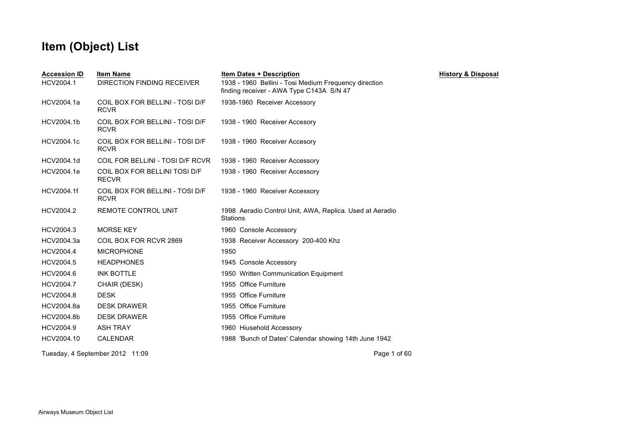| <b>Accession ID</b><br>HCV2004.1 | <b>Item Name</b><br><b>DIRECTION FINDING RECEIVER</b> | <b>Item Dates + Description</b><br>1938 - 1960 Bellini - Tosi Medium Frequency direction<br>finding receiver - AWA Type C143A S/N 47 | <b>History &amp; Disposal</b> |
|----------------------------------|-------------------------------------------------------|--------------------------------------------------------------------------------------------------------------------------------------|-------------------------------|
| HCV2004.1a                       | COIL BOX FOR BELLINI - TOSI D/F<br><b>RCVR</b>        | 1938-1960 Receiver Accessory                                                                                                         |                               |
| HCV2004.1b                       | COIL BOX FOR BELLINI - TOSI D/F<br><b>RCVR</b>        | 1938 - 1960 Receiver Accesory                                                                                                        |                               |
| HCV2004.1c                       | COIL BOX FOR BELLINI - TOSI D/F<br><b>RCVR</b>        | 1938 - 1960 Receiver Accesory                                                                                                        |                               |
| HCV2004.1d                       | COIL FOR BELLINI - TOSI D/F RCVR                      | 1938 - 1960 Receiver Accessory                                                                                                       |                               |
| HCV2004.1e                       | COIL BOX FOR BELLINI TOSI D/F<br><b>RECVR</b>         | 1938 - 1960 Receiver Accessory                                                                                                       |                               |
| HCV2004.1f                       | COIL BOX FOR BELLINI - TOSI D/F<br><b>RCVR</b>        | 1938 - 1960 Receiver Accessory                                                                                                       |                               |
| HCV2004.2                        | REMOTE CONTROL UNIT                                   | 1998 Aeradio Control Unit, AWA, Replica. Used at Aeradio<br><b>Stations</b>                                                          |                               |
| HCV2004.3                        | <b>MORSE KEY</b>                                      | 1960 Console Accessory                                                                                                               |                               |
| HCV2004.3a                       | COIL BOX FOR RCVR 2869                                | 1938 Receiver Accessory 200-400 Khz                                                                                                  |                               |
| HCV2004.4                        | <b>MICROPHONE</b>                                     | 1950                                                                                                                                 |                               |
| HCV2004.5                        | <b>HEADPHONES</b>                                     | 1945 Console Accessory                                                                                                               |                               |
| HCV2004.6                        | <b>INK BOTTLE</b>                                     | 1950 Written Communication Equipment                                                                                                 |                               |
| HCV2004.7                        | CHAIR (DESK)                                          | 1955 Office Furniture                                                                                                                |                               |
| HCV2004.8                        | <b>DESK</b>                                           | 1955 Office Furniture                                                                                                                |                               |
| HCV2004.8a                       | <b>DESK DRAWER</b>                                    | 1955 Office Furniture                                                                                                                |                               |
| HCV2004.8b                       | <b>DESK DRAWER</b>                                    | 1955 Office Furniture                                                                                                                |                               |
| HCV2004.9                        | <b>ASH TRAY</b>                                       | 1960 Hiusehold Accessory                                                                                                             |                               |
| HCV2004.10                       | CALENDAR                                              | 1988 'Bunch of Dates' Calendar showing 14th June 1942                                                                                |                               |
|                                  | Tuesday, 4 September 2012 11:09                       | Page 1 of 60                                                                                                                         |                               |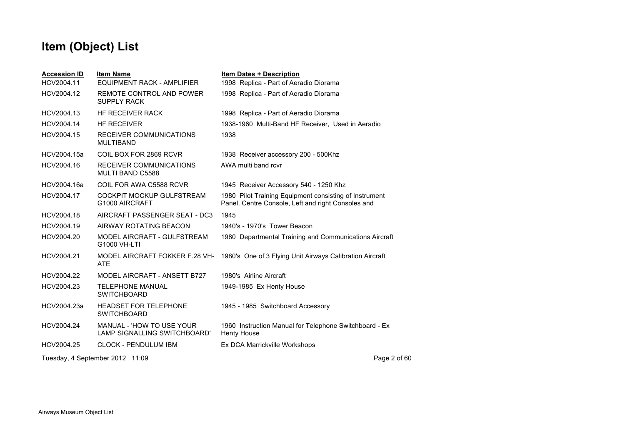| <b>Item Dates + Description</b>                                                                              |
|--------------------------------------------------------------------------------------------------------------|
| 1998 Replica - Part of Aeradio Diorama                                                                       |
| 1998 Replica - Part of Aeradio Diorama                                                                       |
| 1998 Replica - Part of Aeradio Diorama                                                                       |
| 1938-1960 Multi-Band HF Receiver, Used in Aeradio                                                            |
| 1938                                                                                                         |
| 1938 Receiver accessory 200 - 500Khz                                                                         |
| AWA multi band rcvr                                                                                          |
| 1945 Receiver Accessory 540 - 1250 Khz                                                                       |
| 1980 Pilot Training Equipment consisting of Instrument<br>Panel, Centre Console, Left and right Consoles and |
| 1945                                                                                                         |
| 1940's - 1970's Tower Beacon                                                                                 |
| 1980 Departmental Training and Communications Aircraft                                                       |
| MODEL AIRCRAFT FOKKER F.28 VH- 1980's One of 3 Flying Unit Airways Calibration Aircraft                      |
| 1980's Airline Aircraft                                                                                      |
| 1949-1985 Ex Henty House                                                                                     |
| 1945 - 1985 Switchboard Accessory                                                                            |
| 1960 Instruction Manual for Telephone Switchboard - Ex<br><b>Henty House</b>                                 |
| Ex DCA Marrickville Workshops                                                                                |
| Page 2 of 60                                                                                                 |
|                                                                                                              |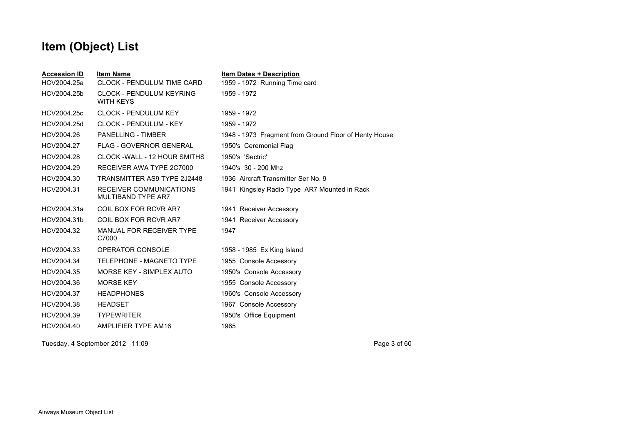| <b>Accession ID</b> | <b>Item Name</b>                                     | <b>Item Dates + Description</b>                       |
|---------------------|------------------------------------------------------|-------------------------------------------------------|
| HCV2004.25a         | <b>CLOCK - PENDULUM TIME CARD</b>                    | 1959 - 1972 Running Time card                         |
| HCV2004.25b         | <b>CLOCK - PENDULUM KEYRING</b><br><b>WITH KEYS</b>  | 1959 - 1972                                           |
| HCV2004.25c         | <b>CLOCK - PENDULUM KEY</b>                          | 1959 - 1972                                           |
| HCV2004.25d         | CLOCK - PENDULUM - KEY                               | 1959 - 1972                                           |
| HCV2004.26          | <b>PANELLING - TIMBER</b>                            | 1948 - 1973 Fragment from Ground Floor of Henty House |
| HCV2004.27          | <b>FLAG - GOVERNOR GENERAL</b>                       | 1950's Ceremonial Flag                                |
| HCV2004.28          | CLOCK - WALL - 12 HOUR SMITHS                        | 1950's 'Sectric'                                      |
| HCV2004.29          | RECEIVER AWA TYPE 2C7000                             | 1940's 30 - 200 Mhz                                   |
| HCV2004.30          | TRANSMITTER AS9 TYPE 2J2448                          | 1936 Aircraft Transmitter Ser No. 9                   |
| HCV2004.31          | RECEIVER COMMUNICATIONS<br><b>MULTIBAND TYPE AR7</b> | 1941 Kingsley Radio Type AR7 Mounted in Rack          |
| HCV2004.31a         | COIL BOX FOR RCVR AR7                                | 1941 Receiver Accessory                               |
| HCV2004.31b         | COIL BOX FOR RCVR AR7                                | 1941 Receiver Accessory                               |
| HCV2004.32          | MANUAL FOR RECEIVER TYPE<br>C7000                    | 1947                                                  |
| HCV2004.33          | OPERATOR CONSOLE                                     | 1958 - 1985 Ex King Island                            |
| HCV2004.34          | TELEPHONE - MAGNETO TYPE                             | 1955 Console Accessory                                |
| HCV2004.35          | MORSE KEY - SIMPLEX AUTO                             | 1950's Console Accessory                              |
| HCV2004.36          | <b>MORSE KEY</b>                                     | 1955 Console Accessory                                |
| HCV2004.37          | <b>HEADPHONES</b>                                    | 1960's Console Accessory                              |
| HCV2004.38          | <b>HEADSET</b>                                       | 1967 Console Accessory                                |
| HCV2004.39          | <b>TYPEWRITER</b>                                    | 1950's Office Equipment                               |
| HCV2004.40          | AMPLIFIER TYPE AM16                                  | 1965                                                  |
|                     |                                                      |                                                       |

Tuesday, 4 September 2012 11:09 Page 3 of 60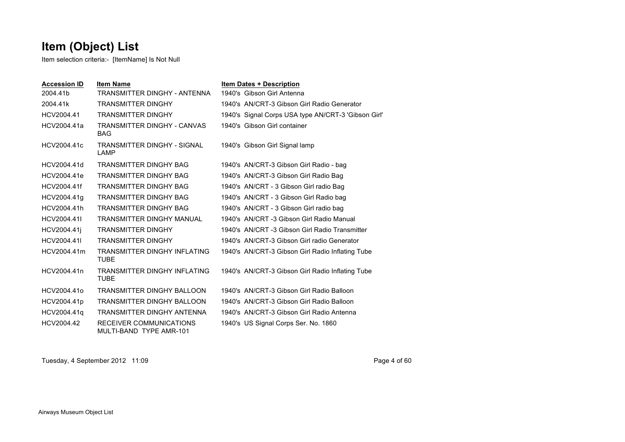Item selection criteria:- [ItemName] Is Not Null

| <b>Accession ID</b> | <b>Item Name</b>                                          | <b>Item Dates + Description</b>                     |
|---------------------|-----------------------------------------------------------|-----------------------------------------------------|
| 2004.41b            | TRANSMITTER DINGHY - ANTENNA                              | 1940's Gibson Girl Antenna                          |
| 2004.41k            | <b>TRANSMITTER DINGHY</b>                                 | 1940's AN/CRT-3 Gibson Girl Radio Generator         |
| HCV2004.41          | <b>TRANSMITTER DINGHY</b>                                 | 1940's Signal Corps USA type AN/CRT-3 'Gibson Girl' |
| HCV2004.41a         | TRANSMITTER DINGHY - CANVAS<br><b>BAG</b>                 | 1940's Gibson Girl container                        |
| HCV2004.41c         | TRANSMITTER DINGHY - SIGNAL<br>LAMP                       | 1940's Gibson Girl Signal lamp                      |
| HCV2004.41d         | <b>TRANSMITTER DINGHY BAG</b>                             | 1940's AN/CRT-3 Gibson Girl Radio - bag             |
| HCV2004.41e         | <b>TRANSMITTER DINGHY BAG</b>                             | 1940's AN/CRT-3 Gibson Girl Radio Bag               |
| HCV2004.41f         | <b>TRANSMITTER DINGHY BAG</b>                             | 1940's AN/CRT - 3 Gibson Girl radio Bag             |
| HCV2004.41a         | <b>TRANSMITTER DINGHY BAG</b>                             | 1940's AN/CRT - 3 Gibson Girl Radio bag             |
| HCV2004.41h         | <b>TRANSMITTER DINGHY BAG</b>                             | 1940's AN/CRT - 3 Gibson Girl radio bag             |
| HCV2004.41I         | <b>TRANSMITTER DINGHY MANUAL</b>                          | 1940's AN/CRT -3 Gibson Girl Radio Manual           |
| HCV2004.41i         | <b>TRANSMITTER DINGHY</b>                                 | 1940's AN/CRT -3 Gibson Girl Radio Transmitter      |
| HCV2004.41I         | <b>TRANSMITTER DINGHY</b>                                 | 1940's AN/CRT-3 Gibson Girl radio Generator         |
| HCV2004.41m         | <b>TRANSMITTER DINGHY INFLATING</b><br><b>TUBE</b>        | 1940's AN/CRT-3 Gibson Girl Radio Inflating Tube    |
| HCV2004.41n         | TRANSMITTER DINGHY INFLATING<br>TUBE                      | 1940's AN/CRT-3 Gibson Girl Radio Inflating Tube    |
| HCV2004.41o         | <b>TRANSMITTER DINGHY BALLOON</b>                         | 1940's AN/CRT-3 Gibson Girl Radio Balloon           |
| HCV2004.41p         | <b>TRANSMITTER DINGHY BALLOON</b>                         | 1940's AN/CRT-3 Gibson Girl Radio Balloon           |
| HCV2004.41q         | TRANSMITTER DINGHY ANTENNA                                | 1940's AN/CRT-3 Gibson Girl Radio Antenna           |
| HCV2004.42          | <b>RECEIVER COMMUNICATIONS</b><br>MULTI-BAND TYPE AMR-101 | 1940's US Signal Corps Ser. No. 1860                |

Tuesday, 4 September 2012 11:09 Page 4 of 60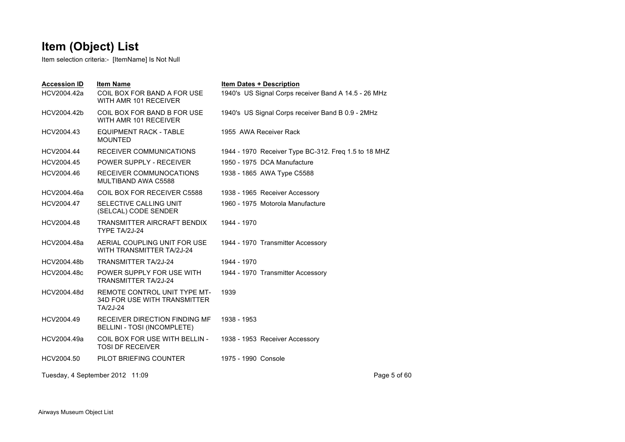| <b>Accession ID</b><br>HCV2004.42a | <b>Item Name</b><br>COIL BOX FOR BAND A FOR USE<br>WITH AMR 101 RECEIVER               | <b>Item Dates + Description</b><br>1940's US Signal Corps receiver Band A 14.5 - 26 MHz |
|------------------------------------|----------------------------------------------------------------------------------------|-----------------------------------------------------------------------------------------|
| HCV2004.42b                        | COIL BOX FOR BAND B FOR USE<br>WITH AMR 101 RECEIVER                                   | 1940's US Signal Corps receiver Band B 0.9 - 2MHz                                       |
| HCV2004.43                         | <b>EQUIPMENT RACK - TABLE</b><br><b>MOUNTED</b>                                        | 1955 AWA Receiver Rack                                                                  |
| HCV2004.44                         | RECEIVER COMMUNICATIONS                                                                | 1944 - 1970 Receiver Type BC-312. Freq 1.5 to 18 MHZ                                    |
| HCV2004.45                         | <b>POWER SUPPLY - RECEIVER</b>                                                         | 1950 - 1975 DCA Manufacture                                                             |
| HCV2004.46                         | RECEIVER COMMUNOCATIONS<br><b>MULTIBAND AWA C5588</b>                                  | 1938 - 1865 AWA Type C5588                                                              |
| HCV2004.46a                        | COIL BOX FOR RECEIVER C5588                                                            | 1938 - 1965 Receiver Accessory                                                          |
| HCV2004.47                         | SELECTIVE CALLING UNIT<br>(SELCAL) CODE SENDER                                         | 1960 - 1975 Motorola Manufacture                                                        |
| HCV2004.48                         | TRANSMITTER AIRCRAFT BENDIX<br>TYPE TA/2J-24                                           | 1944 - 1970                                                                             |
| HCV2004.48a                        | AERIAL COUPLING UNIT FOR USE<br>WITH TRANSMITTER TA/2J-24                              | 1944 - 1970 Transmitter Accessory                                                       |
| HCV2004.48b                        | <b>TRANSMITTER TA/2J-24</b>                                                            | 1944 - 1970                                                                             |
| HCV2004.48c                        | POWER SUPPLY FOR USE WITH<br><b>TRANSMITTER TA/2J-24</b>                               | 1944 - 1970 Transmitter Accessory                                                       |
| HCV2004.48d                        | <b>REMOTE CONTROL UNIT TYPE MT-</b><br><b>34D FOR USE WITH TRANSMITTER</b><br>TA/2J-24 | 1939                                                                                    |
| HCV2004.49                         | RECEIVER DIRECTION FINDING MF<br>BELLINI - TOSI (INCOMPLETE)                           | 1938 - 1953                                                                             |
| HCV2004.49a                        | COIL BOX FOR USE WITH BELLIN -<br><b>TOSI DF RECEIVER</b>                              | 1938 - 1953 Receiver Accessory                                                          |
| HCV2004.50                         | PILOT BRIEFING COUNTER                                                                 | 1975 - 1990 Console                                                                     |
|                                    | Tuesday, 4 September 2012 11:09                                                        | Page 5 of 60                                                                            |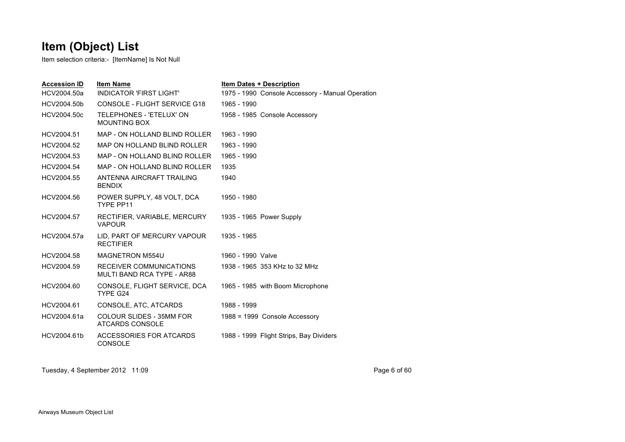Item selection criteria:- [ItemName] Is Not Null

| <b>Accession ID</b> | <b>Item Name</b>                                      | <b>Item Dates + Description</b>                  |
|---------------------|-------------------------------------------------------|--------------------------------------------------|
| HCV2004.50a         | <b>INDICATOR 'FIRST LIGHT'</b>                        | 1975 - 1990 Console Accessory - Manual Operation |
| HCV2004.50b         | CONSOLE - FLIGHT SERVICE G18                          | 1965 - 1990                                      |
| HCV2004.50c         | TELEPHONES - 'ETELUX' ON<br><b>MOUNTING BOX</b>       | 1958 - 1985 Console Accessory                    |
| HCV2004.51          | MAP - ON HOLLAND BLIND ROLLER                         | 1963 - 1990                                      |
| HCV2004.52          | MAP ON HOLLAND BLIND ROLLER                           | 1963 - 1990                                      |
| HCV2004.53          | MAP - ON HOLLAND BLIND ROLLER                         | 1965 - 1990                                      |
| HCV2004.54          | MAP - ON HOLLAND BLIND ROLLER                         | 1935                                             |
| HCV2004.55          | ANTENNA AIRCRAFT TRAILING<br><b>BENDIX</b>            | 1940                                             |
| HCV2004.56          | POWER SUPPLY, 48 VOLT, DCA<br>TYPE PP11               | 1950 - 1980                                      |
| HCV2004.57          | RECTIFIER, VARIABLE, MERCURY<br><b>VAPOUR</b>         | 1935 - 1965 Power Supply                         |
| HCV2004.57a         | LID, PART OF MERCURY VAPOUR<br><b>RECTIFIER</b>       | 1935 - 1965                                      |
| HCV2004.58          | <b>MAGNETRON M554U</b>                                | 1960 - 1990 Valve                                |
| HCV2004.59          | RECEIVER COMMUNICATIONS<br>MULTI BAND RCA TYPE - AR88 | 1938 - 1965 353 KHz to 32 MHz                    |
| HCV2004.60          | CONSOLE, FLIGHT SERVICE, DCA<br>TYPE G24              | 1965 - 1985 with Boom Microphone                 |
| HCV2004.61          | CONSOLE, ATC, ATCARDS                                 | 1988 - 1999                                      |
| HCV2004.61a         | COLOUR SLIDES - 35MM FOR<br>ATCARDS CONSOLE           | 1988 = 1999 Console Accessory                    |
| HCV2004.61b         | ACCESSORIES FOR ATCARDS<br><b>CONSOLE</b>             | 1988 - 1999 Flight Strips, Bay Dividers          |

Tuesday, 4 September 2012 11:09 Page 6 of 60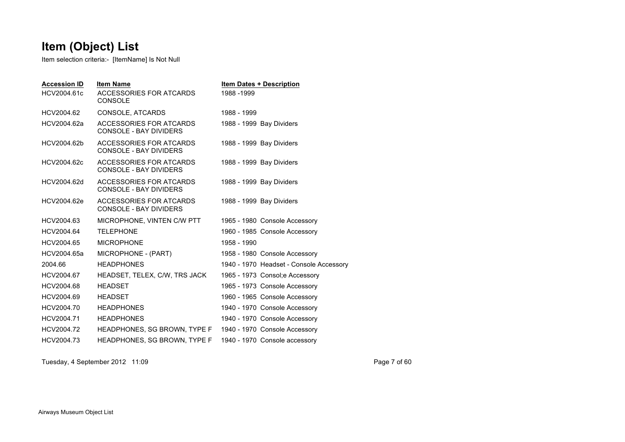Item selection criteria:- [ItemName] Is Not Null

| <b>Accession ID</b><br>HCV2004.61c | <b>Item Name</b><br>ACCESSORIES FOR ATCARDS<br><b>CONSOLE</b> | <b>Item Dates + Description</b><br>1988-1999 |  |
|------------------------------------|---------------------------------------------------------------|----------------------------------------------|--|
| HCV2004.62                         | CONSOLE, ATCARDS                                              | 1988 - 1999                                  |  |
| HCV2004.62a                        | ACCESSORIES FOR ATCARDS<br><b>CONSOLE - BAY DIVIDERS</b>      | 1988 - 1999 Bay Dividers                     |  |
| HCV2004.62b                        | ACCESSORIES FOR ATCARDS<br>CONSOLE - BAY DIVIDERS             | 1988 - 1999 Bay Dividers                     |  |
| HCV2004.62c                        | ACCESSORIES FOR ATCARDS<br><b>CONSOLE - BAY DIVIDERS</b>      | 1988 - 1999 Bay Dividers                     |  |
| HCV2004.62d                        | ACCESSORIES FOR ATCARDS<br><b>CONSOLE - BAY DIVIDERS</b>      | 1988 - 1999 Bay Dividers                     |  |
| HCV2004.62e                        | ACCESSORIES FOR ATCARDS<br>CONSOLE - BAY DIVIDERS             | 1988 - 1999 Bay Dividers                     |  |
| HCV2004.63                         | MICROPHONE, VINTEN C/W PTT                                    | 1965 - 1980 Console Accessory                |  |
| HCV2004.64                         | <b>TELEPHONE</b>                                              | 1960 - 1985 Console Accessory                |  |
| HCV2004.65                         | <b>MICROPHONE</b>                                             | 1958 - 1990                                  |  |
| HCV2004.65a                        | MICROPHONE - (PART)                                           | 1958 - 1980 Console Accessory                |  |
| 2004.66                            | <b>HEADPHONES</b>                                             | 1940 - 1970 Headset - Console Accessory      |  |
| HCV2004.67                         | HEADSET, TELEX, C/W, TRS JACK                                 | 1965 - 1973 Consol; e Accessory              |  |
| HCV2004.68                         | <b>HEADSET</b>                                                | 1965 - 1973 Console Accessory                |  |
| HCV2004.69                         | <b>HEADSET</b>                                                | 1960 - 1965 Console Accessory                |  |
| HCV2004.70                         | <b>HEADPHONES</b>                                             | 1940 - 1970 Console Accessory                |  |
| HCV2004.71                         | <b>HEADPHONES</b>                                             | 1940 - 1970 Console Accessory                |  |
| HCV2004.72                         | HEADPHONES, SG BROWN, TYPE F                                  | 1940 - 1970 Console Accessory                |  |
| HCV2004.73                         | HEADPHONES, SG BROWN, TYPE F                                  | 1940 - 1970 Console accessory                |  |

Tuesday, 4 September 2012 11:09 Page 7 of 60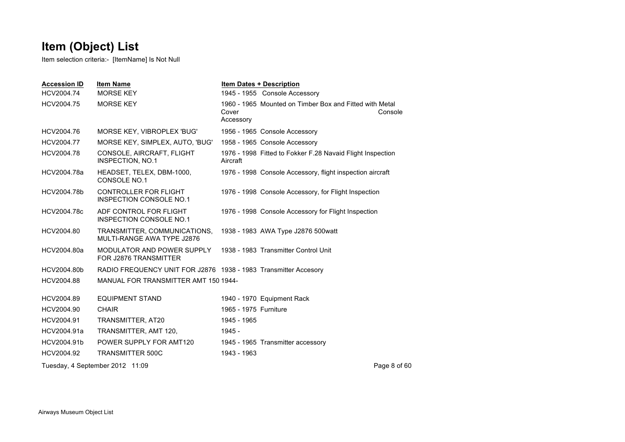| <b>Accession ID</b> | <b>Item Name</b>                                                | <b>Item Dates + Description</b>                                               |              |
|---------------------|-----------------------------------------------------------------|-------------------------------------------------------------------------------|--------------|
| HCV2004.74          | <b>MORSE KEY</b>                                                | 1945 - 1955 Console Accessory                                                 |              |
| HCV2004.75          | <b>MORSE KEY</b>                                                | 1960 - 1965 Mounted on Timber Box and Fitted with Metal<br>Cover<br>Accessory | Console      |
| HCV2004.76          | MORSE KEY, VIBROPLEX 'BUG'                                      | 1956 - 1965 Console Accessory                                                 |              |
| HCV2004.77          | MORSE KEY, SIMPLEX, AUTO, 'BUG'                                 | 1958 - 1965 Console Accessory                                                 |              |
| HCV2004.78          | CONSOLE, AIRCRAFT, FLIGHT<br><b>INSPECTION, NO.1</b>            | 1976 - 1998 Fitted to Fokker F.28 Navaid Flight Inspection<br>Aircraft        |              |
| HCV2004.78a         | HEADSET, TELEX, DBM-1000,<br>CONSOLE NO.1                       | 1976 - 1998 Console Accessory, flight inspection aircraft                     |              |
| HCV2004.78b         | CONTROLLER FOR FLIGHT<br><b>INSPECTION CONSOLE NO.1</b>         | 1976 - 1998 Console Accessory, for Flight Inspection                          |              |
| HCV2004.78c         | ADF CONTROL FOR FLIGHT<br>INSPECTION CONSOLE NO.1               | 1976 - 1998 Console Accessory for Flight Inspection                           |              |
| HCV2004.80          | TRANSMITTER, COMMUNICATIONS,<br>MULTI-RANGE AWA TYPE J2876      | 1938 - 1983 AWA Type J2876 500 watt                                           |              |
| HCV2004.80a         | MODULATOR AND POWER SUPPLY<br>FOR J2876 TRANSMITTER             | 1938 - 1983 Transmitter Control Unit                                          |              |
| HCV2004.80b         | RADIO FREQUENCY UNIT FOR J2876 1938 - 1983 Transmitter Accesory |                                                                               |              |
| HCV2004.88          | MANUAL FOR TRANSMITTER AMT 150 1944-                            |                                                                               |              |
| HCV2004.89          | <b>EQUIPMENT STAND</b>                                          | 1940 - 1970 Equipment Rack                                                    |              |
| HCV2004.90          | <b>CHAIR</b>                                                    | 1965 - 1975 Furniture                                                         |              |
| HCV2004.91          | TRANSMITTER, AT20                                               | 1945 - 1965                                                                   |              |
| HCV2004.91a         | TRANSMITTER, AMT 120,                                           | 1945 -                                                                        |              |
| HCV2004.91b         | POWER SUPPLY FOR AMT120                                         | 1945 - 1965 Transmitter accessory                                             |              |
| HCV2004.92          | <b>TRANSMITTER 500C</b>                                         | 1943 - 1963                                                                   |              |
|                     | Tuesday, 4 September 2012 11:09                                 |                                                                               | Page 8 of 60 |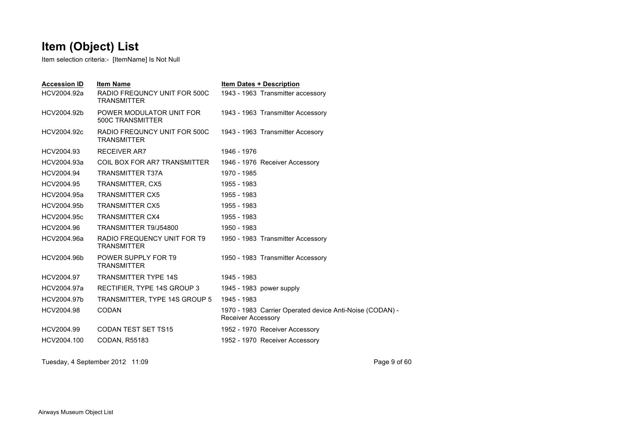Item selection criteria:- [ItemName] Is Not Null

| <b>Accession ID</b><br>HCV2004.92a | <b>Item Name</b><br>RADIO FREQUNCY UNIT FOR 500C<br><b>TRANSMITTER</b> | <b>Item Dates + Description</b><br>1943 - 1963 Transmitter accessory                  |
|------------------------------------|------------------------------------------------------------------------|---------------------------------------------------------------------------------------|
| HCV2004.92b                        | POWER MODULATOR UNIT FOR<br><b>500C TRANSMITTER</b>                    | 1943 - 1963 Transmitter Accessory                                                     |
| HCV2004.92c                        | RADIO FREQUNCY UNIT FOR 500C<br><b>TRANSMITTER</b>                     | 1943 - 1963 Transmitter Accesory                                                      |
| HCV2004.93                         | <b>RECEIVER AR7</b>                                                    | 1946 - 1976                                                                           |
| HCV2004.93a                        | COIL BOX FOR AR7 TRANSMITTER                                           | 1946 - 1976 Receiver Accessory                                                        |
| HCV2004.94                         | <b>TRANSMITTER T37A</b>                                                | 1970 - 1985                                                                           |
| HCV2004.95                         | TRANSMITTER, CX5                                                       | 1955 - 1983                                                                           |
| HCV2004.95a                        | <b>TRANSMITTER CX5</b>                                                 | 1955 - 1983                                                                           |
| HCV2004.95b                        | <b>TRANSMITTER CX5</b>                                                 | 1955 - 1983                                                                           |
| HCV2004.95c                        | <b>TRANSMITTER CX4</b>                                                 | 1955 - 1983                                                                           |
| HCV2004.96                         | TRANSMITTER T9/J54800                                                  | 1950 - 1983                                                                           |
| HCV2004.96a                        | RADIO FREQUENCY UNIT FOR T9<br><b>TRANSMITTER</b>                      | 1950 - 1983 Transmitter Accessory                                                     |
| HCV2004.96b                        | POWER SUPPLY FOR T9<br><b>TRANSMITTER</b>                              | 1950 - 1983 Transmitter Accessory                                                     |
| HCV2004.97                         | <b>TRANSMITTER TYPE 14S</b>                                            | 1945 - 1983                                                                           |
| HCV2004.97a                        | RECTIFIER, TYPE 14S GROUP 3                                            | 1945 - 1983 power supply                                                              |
| HCV2004.97b                        | TRANSMITTER, TYPE 14S GROUP 5                                          | 1945 - 1983                                                                           |
| HCV2004.98                         | <b>CODAN</b>                                                           | 1970 - 1983 Carrier Operated device Anti-Noise (CODAN) -<br><b>Receiver Accessory</b> |
| HCV2004.99                         | CODAN TEST SET TS15                                                    | 1952 - 1970 Receiver Accessory                                                        |
| HCV2004.100                        | <b>CODAN, R55183</b>                                                   | 1952 - 1970 Receiver Accessory                                                        |
|                                    |                                                                        |                                                                                       |

Tuesday, 4 September 2012 11:09 Page 9 of 60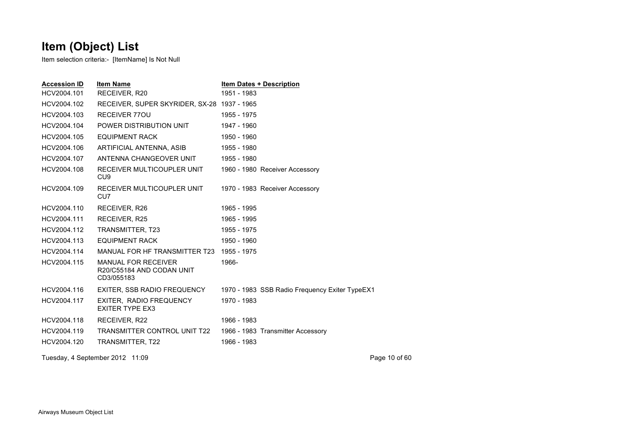| <b>Accession ID</b> | <b>Item Name</b>                                                      | <b>Item Dates + Description</b>                |
|---------------------|-----------------------------------------------------------------------|------------------------------------------------|
| HCV2004.101         | RECEIVER, R20                                                         | 1951 - 1983                                    |
| HCV2004.102         | RECEIVER, SUPER SKYRIDER, SX-28 1937 - 1965                           |                                                |
| HCV2004.103         | <b>RECEIVER 770U</b>                                                  | 1955 - 1975                                    |
| HCV2004.104         | POWER DISTRIBUTION UNIT                                               | 1947 - 1960                                    |
| HCV2004.105         | <b>EQUIPMENT RACK</b>                                                 | 1950 - 1960                                    |
| HCV2004.106         | ARTIFICIAL ANTENNA, ASIB                                              | 1955 - 1980                                    |
| HCV2004.107         | ANTENNA CHANGEOVER UNIT                                               | 1955 - 1980                                    |
| HCV2004.108         | RECEIVER MULTICOUPLER UNIT<br>CU <sub>9</sub>                         | 1960 - 1980 Receiver Accessory                 |
| HCV2004.109         | RECEIVER MULTICOUPLER UNIT<br>CU7                                     | 1970 - 1983 Receiver Accessory                 |
| HCV2004.110         | RECEIVER, R26                                                         | 1965 - 1995                                    |
| HCV2004.111         | RECEIVER, R25                                                         | 1965 - 1995                                    |
| HCV2004.112         | TRANSMITTER, T23                                                      | 1955 - 1975                                    |
| HCV2004.113         | <b>EQUIPMENT RACK</b>                                                 | 1950 - 1960                                    |
| HCV2004.114         | MANUAL FOR HF TRANSMITTER T23                                         | 1955 - 1975                                    |
| HCV2004.115         | <b>MANUAL FOR RECEIVER</b><br>R20/C55184 AND CODAN UNIT<br>CD3/055183 | 1966-                                          |
| HCV2004.116         | EXITER, SSB RADIO FREQUENCY                                           | 1970 - 1983 SSB Radio Frequency Exiter TypeEX1 |
| HCV2004.117         | EXITER, RADIO FREQUENCY<br><b>EXITER TYPE EX3</b>                     | 1970 - 1983                                    |
| HCV2004.118         | RECEIVER, R22                                                         | 1966 - 1983                                    |
| HCV2004.119         | <b>TRANSMITTER CONTROL UNIT T22</b>                                   | 1966 - 1983 Transmitter Accessory              |
| HCV2004.120         | TRANSMITTER, T22                                                      | 1966 - 1983                                    |
|                     | Tuesday, 4 September 2012 11:09                                       | Page 10 of 60                                  |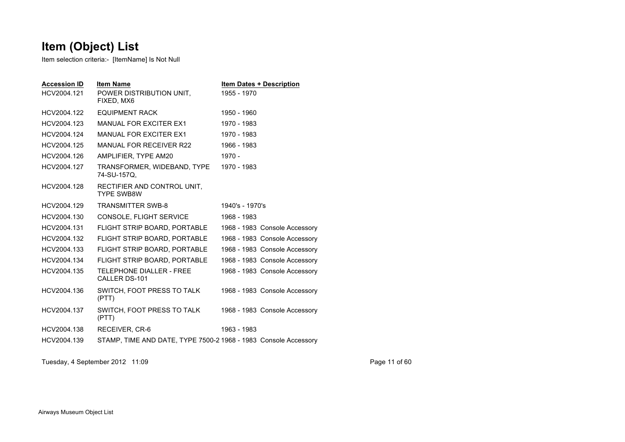Item selection criteria:- [ItemName] Is Not Null

| <b>Accession ID</b><br>HCV2004.121 | <b>Item Name</b><br>POWER DISTRIBUTION UNIT.<br>FIXED, MX6      | 1955 - 1970     | <b>Item Dates + Description</b> |
|------------------------------------|-----------------------------------------------------------------|-----------------|---------------------------------|
| HCV2004.122                        | <b>EQUIPMENT RACK</b>                                           | 1950 - 1960     |                                 |
| HCV2004.123                        | <b>MANUAL FOR EXCITER EX1</b>                                   | 1970 - 1983     |                                 |
| HCV2004.124                        | <b>MANUAL FOR EXCITER EX1</b>                                   | 1970 - 1983     |                                 |
| HCV2004.125                        | <b>MANUAL FOR RECEIVER R22</b>                                  | 1966 - 1983     |                                 |
| HCV2004.126                        | AMPLIFIER, TYPE AM20                                            | $1970 -$        |                                 |
| HCV2004.127                        | TRANSFORMER, WIDEBAND, TYPE<br>74-SU-157Q,                      | 1970 - 1983     |                                 |
| HCV2004.128                        | RECTIFIER AND CONTROL UNIT,<br><b>TYPE SWB8W</b>                |                 |                                 |
| HCV2004.129                        | <b>TRANSMITTER SWB-8</b>                                        | 1940's - 1970's |                                 |
| HCV2004.130                        | CONSOLE, FLIGHT SERVICE                                         | 1968 - 1983     |                                 |
| HCV2004.131                        | FLIGHT STRIP BOARD, PORTABLE                                    |                 | 1968 - 1983 Console Accessory   |
| HCV2004.132                        | FLIGHT STRIP BOARD, PORTABLE                                    |                 | 1968 - 1983 Console Accessory   |
| HCV2004.133                        | FLIGHT STRIP BOARD, PORTABLE                                    |                 | 1968 - 1983 Console Accessory   |
| HCV2004.134                        | FLIGHT STRIP BOARD, PORTABLE                                    |                 | 1968 - 1983 Console Accessory   |
| HCV2004.135                        | <b>TELEPHONE DIALLER - FREE</b><br>CALLER DS-101                |                 | 1968 - 1983 Console Accessory   |
| HCV2004.136                        | SWITCH, FOOT PRESS TO TALK<br>(PTT)                             |                 | 1968 - 1983 Console Accessory   |
| HCV2004.137                        | SWITCH, FOOT PRESS TO TALK<br>(PTT)                             |                 | 1968 - 1983 Console Accessory   |
| HCV2004.138                        | RECEIVER, CR-6                                                  | 1963 - 1983     |                                 |
| HCV2004.139                        | STAMP, TIME AND DATE, TYPE 7500-2 1968 - 1983 Console Accessory |                 |                                 |

Tuesday, 4 September 2012 11:09 Page 11 of 60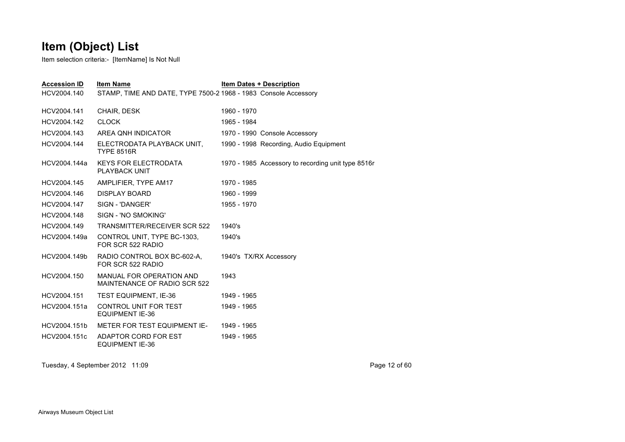Item selection criteria:- [ItemName] Is Not Null

| <b>Accession ID</b> | <b>Item Name</b>                                                | <b>Item Dates + Description</b>                    |
|---------------------|-----------------------------------------------------------------|----------------------------------------------------|
| HCV2004.140         | STAMP, TIME AND DATE, TYPE 7500-2 1968 - 1983 Console Accessory |                                                    |
| HCV2004.141         | CHAIR, DESK                                                     | 1960 - 1970                                        |
| HCV2004.142         | <b>CLOCK</b>                                                    | 1965 - 1984                                        |
| HCV2004.143         | AREA ONH INDICATOR                                              | 1970 - 1990 Console Accessory                      |
| HCV2004.144         | ELECTRODATA PLAYBACK UNIT,<br><b>TYPE 8516R</b>                 | 1990 - 1998 Recording, Audio Equipment             |
| HCV2004.144a        | <b>KEYS FOR ELECTRODATA</b><br><b>PLAYBACK UNIT</b>             | 1970 - 1985 Accessory to recording unit type 8516r |
| HCV2004.145         | AMPLIFIER, TYPE AM17                                            | 1970 - 1985                                        |
| HCV2004.146         | DISPLAY BOARD                                                   | 1960 - 1999                                        |
| HCV2004.147         | SIGN - 'DANGER'                                                 | 1955 - 1970                                        |
| HCV2004.148         | SIGN - 'NO SMOKING'                                             |                                                    |
| HCV2004.149         | <b>TRANSMITTER/RECEIVER SCR 522</b>                             | 1940's                                             |
| HCV2004.149a        | CONTROL UNIT. TYPE BC-1303.<br>FOR SCR 522 RADIO                | 1940's                                             |
| HCV2004.149b        | RADIO CONTROL BOX BC-602-A.<br>FOR SCR 522 RADIO                | 1940's TX/RX Accessory                             |
| HCV2004.150         | MANUAL FOR OPERATION AND<br>MAINTENANCE OF RADIO SCR 522        | 1943                                               |
| HCV2004.151         | TEST EQUIPMENT, IE-36                                           | 1949 - 1965                                        |
| HCV2004.151a        | CONTROL UNIT FOR TEST<br><b>EQUIPMENT IE-36</b>                 | 1949 - 1965                                        |
| HCV2004.151b        | METER FOR TEST EQUIPMENT IE-                                    | 1949 - 1965                                        |
| HCV2004.151c        | ADAPTOR CORD FOR EST<br><b>EQUIPMENT IE-36</b>                  | 1949 - 1965                                        |
|                     |                                                                 |                                                    |

Tuesday, 4 September 2012 11:09 Page 12 of 60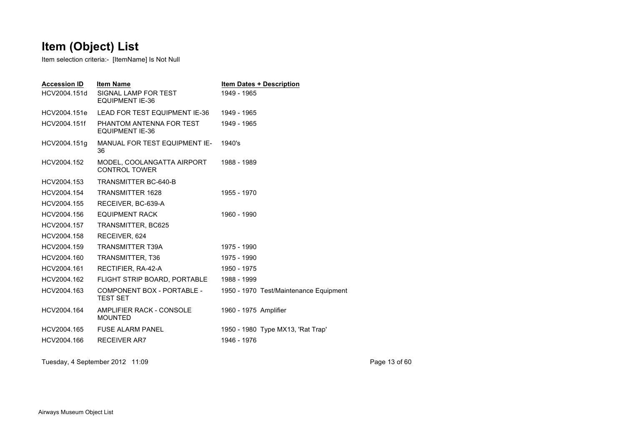Item selection criteria:- [ItemName] Is Not Null

| <b>Accession ID</b><br>HCV2004.151d | <b>Item Name</b><br>SIGNAL LAMP FOR TEST<br><b>EQUIPMENT IE-36</b> | <b>Item Dates + Description</b><br>1949 - 1965 |
|-------------------------------------|--------------------------------------------------------------------|------------------------------------------------|
| HCV2004.151e                        | LEAD FOR TEST EQUIPMENT IE-36                                      | 1949 - 1965                                    |
| HCV2004.151f                        | PHANTOM ANTENNA FOR TEST<br><b>EQUIPMENT IE-36</b>                 | 1949 - 1965                                    |
| HCV2004.151g                        | MANUAL FOR TEST EQUIPMENT IE-<br>36                                | 1940's                                         |
| HCV2004.152                         | MODEL, COOLANGATTA AIRPORT<br><b>CONTROL TOWER</b>                 | 1988 - 1989                                    |
| HCV2004.153                         | <b>TRANSMITTER BC-640-B</b>                                        |                                                |
| HCV2004.154                         | <b>TRANSMITTER 1628</b>                                            | 1955 - 1970                                    |
| HCV2004.155                         | RECEIVER, BC-639-A                                                 |                                                |
| HCV2004.156                         | <b>EQUIPMENT RACK</b>                                              | 1960 - 1990                                    |
| HCV2004.157                         | TRANSMITTER, BC625                                                 |                                                |
| HCV2004.158                         | RECEIVER, 624                                                      |                                                |
| HCV2004.159                         | <b>TRANSMITTER T39A</b>                                            | 1975 - 1990                                    |
| HCV2004.160                         | TRANSMITTER, T36                                                   | 1975 - 1990                                    |
| HCV2004.161                         | RECTIFIER, RA-42-A                                                 | 1950 - 1975                                    |
| HCV2004.162                         | FLIGHT STRIP BOARD, PORTABLE                                       | 1988 - 1999                                    |
| HCV2004.163                         | <b>COMPONENT BOX - PORTABLE -</b><br><b>TEST SET</b>               | 1950 - 1970 Test/Maintenance Equipment         |
| HCV2004.164                         | AMPLIFIER RACK - CONSOLE<br><b>MOUNTED</b>                         | 1960 - 1975 Amplifier                          |
| HCV2004.165                         | <b>FUSE ALARM PANEL</b>                                            | 1950 - 1980 Type MX13, 'Rat Trap'              |
| HCV2004.166                         | <b>RECEIVER AR7</b>                                                | 1946 - 1976                                    |

Tuesday, 4 September 2012 11:09 Page 13 of 60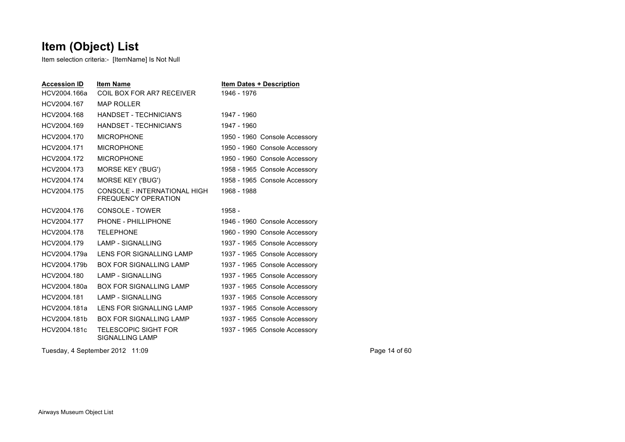Item selection criteria:- [ItemName] Is Not Null

| <b>Accession ID</b> | <b>Item Name</b>                                           | <b>Item Dates + Description</b> |
|---------------------|------------------------------------------------------------|---------------------------------|
| HCV2004.166a        | COIL BOX FOR AR7 RECEIVER                                  | 1946 - 1976                     |
| HCV2004.167         | <b>MAP ROLLER</b>                                          |                                 |
| HCV2004.168         | HANDSFT - TECHNICIAN'S                                     | 1947 - 1960                     |
| HCV2004.169         | HANDSET - TECHNICIAN'S                                     | 1947 - 1960                     |
| HCV2004.170         | <b>MICROPHONE</b>                                          | 1950 - 1960 Console Accessory   |
| HCV2004.171         | <b>MICROPHONE</b>                                          | 1950 - 1960 Console Accessory   |
| HCV2004.172         | <b>MICROPHONE</b>                                          | 1950 - 1960 Console Accessory   |
| HCV2004.173         | <b>MORSE KEY ('BUG')</b>                                   | 1958 - 1965 Console Accessory   |
| HCV2004.174         | <b>MORSE KEY ('BUG')</b>                                   | 1958 - 1965 Console Accessory   |
| HCV2004.175         | CONSOLE - INTERNATIONAL HIGH<br><b>FREQUENCY OPERATION</b> | 1968 - 1988                     |
| HCV2004.176         | CONSOLE - TOWER                                            | $1958 -$                        |
| HCV2004.177         | PHONE - PHILLIPHONE                                        | 1946 - 1960 Console Accessory   |
| HCV2004.178         | <b>TELEPHONE</b>                                           | 1960 - 1990 Console Accessory   |
| HCV2004.179         | <b>LAMP - SIGNALLING</b>                                   | 1937 - 1965 Console Accessory   |
| HCV2004.179a        | LENS FOR SIGNALLING LAMP                                   | 1937 - 1965 Console Accessory   |
| HCV2004.179b        | <b>BOX FOR SIGNALLING LAMP</b>                             | 1937 - 1965 Console Accessory   |
| HCV2004.180         | <b>LAMP - SIGNALLING</b>                                   | 1937 - 1965 Console Accessory   |
| HCV2004.180a        | <b>BOX FOR SIGNALLING LAMP</b>                             | 1937 - 1965 Console Accessory   |
| HCV2004.181         | <b>LAMP - SIGNALLING</b>                                   | 1937 - 1965 Console Accessory   |
| HCV2004.181a        | LENS FOR SIGNALLING LAMP                                   | 1937 - 1965 Console Accessory   |
| HCV2004.181b        | <b>BOX FOR SIGNALLING LAMP</b>                             | 1937 - 1965 Console Accessory   |
| HCV2004.181c        | <b>TELESCOPIC SIGHT FOR</b><br><b>SIGNALLING LAMP</b>      | 1937 - 1965 Console Accessory   |

Tuesday, 4 September 2012 11:09 Page 14 of 60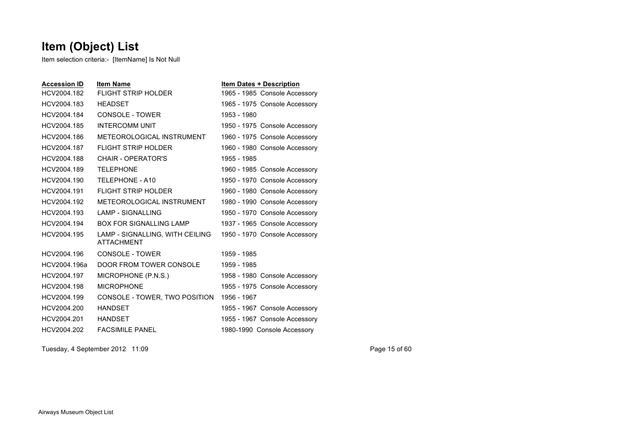Item selection criteria:- [ItemName] Is Not Null

| <b>Accession ID</b> | <b>Item Name</b>                                     | <b>Item Dates + Description</b> |
|---------------------|------------------------------------------------------|---------------------------------|
| HCV2004.182         | <b>FLIGHT STRIP HOLDER</b>                           | 1965 - 1985 Console Accessory   |
| HCV2004.183         | <b>HEADSET</b>                                       | 1965 - 1975 Console Accessory   |
| HCV2004.184         | CONSOLE - TOWER                                      | 1953 - 1980                     |
| HCV2004.185         | <b>INTERCOMM UNIT</b>                                | 1950 - 1975 Console Accessory   |
| HCV2004.186         | METEOROLOGICAL INSTRUMENT                            | 1960 - 1975 Console Accessory   |
| HCV2004.187         | <b>FLIGHT STRIP HOLDER</b>                           | 1960 - 1980 Console Accessory   |
| HCV2004.188         | CHAIR - OPERATOR'S                                   | 1955 - 1985                     |
| HCV2004.189         | <b>TELEPHONE</b>                                     | 1960 - 1985 Console Accessory   |
| HCV2004.190         | TELEPHONE - A10                                      | 1950 - 1970 Console Accessory   |
| HCV2004.191         | <b>FLIGHT STRIP HOLDER</b>                           | 1960 - 1980 Console Accessory   |
| HCV2004.192         | METEOROLOGICAL INSTRUMENT                            | 1980 - 1990 Console Accessory   |
| HCV2004.193         | <b>LAMP - SIGNALLING</b>                             | 1950 - 1970 Console Accessory   |
| HCV2004.194         | BOX FOR SIGNALLING LAMP                              | 1937 - 1965 Console Accessory   |
| HCV2004.195         | LAMP - SIGNALLING, WITH CEILING<br><b>ATTACHMENT</b> | 1950 - 1970 Console Accessory   |
| HCV2004.196         | CONSOLE - TOWER                                      | 1959 - 1985                     |
| HCV2004.196a        | DOOR FROM TOWER CONSOLE                              | 1959 - 1985                     |
| HCV2004.197         | MICROPHONE (P.N.S.)                                  | 1958 - 1980 Console Accessory   |
| HCV2004.198         | <b>MICROPHONE</b>                                    | 1955 - 1975 Console Accessory   |
| HCV2004.199         | CONSOLE - TOWER, TWO POSITION                        | 1956 - 1967                     |
| HCV2004.200         | <b>HANDSET</b>                                       | 1955 - 1967 Console Accessory   |
| HCV2004.201         | <b>HANDSET</b>                                       | 1955 - 1967 Console Accessory   |
| HCV2004.202         | <b>FACSIMILE PANEL</b>                               | 1980-1990 Console Accessory     |

Tuesday, 4 September 2012 11:09 Page 15 of 60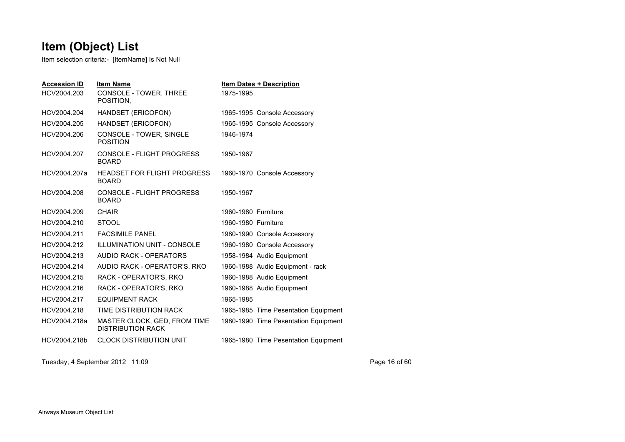Item selection criteria:- [ItemName] Is Not Null

| <b>Accession ID</b><br>HCV2004.203 | <b>Item Name</b><br>CONSOLE - TOWER, THREE<br>POSITION.  | <b>Item Dates + Description</b><br>1975-1995 |
|------------------------------------|----------------------------------------------------------|----------------------------------------------|
| HCV2004.204                        | HANDSET (ERICOFON)                                       | 1965-1995 Console Accessory                  |
| HCV2004.205                        | HANDSET (ERICOFON)                                       | 1965-1995 Console Accessory                  |
| HCV2004.206                        | CONSOLE - TOWER, SINGLE<br><b>POSITION</b>               | 1946-1974                                    |
| HCV2004.207                        | CONSOLE - FLIGHT PROGRESS<br><b>BOARD</b>                | 1950-1967                                    |
| HCV2004.207a                       | <b>HEADSET FOR FLIGHT PROGRESS</b><br><b>BOARD</b>       | 1960-1970 Console Accessory                  |
| HCV2004.208                        | CONSOLE - FLIGHT PROGRESS<br><b>BOARD</b>                | 1950-1967                                    |
| HCV2004.209                        | <b>CHAIR</b>                                             | 1960-1980 Furniture                          |
| HCV2004.210                        | <b>STOOL</b>                                             | 1960-1980 Furniture                          |
| HCV2004.211                        | <b>FACSIMILE PANEL</b>                                   | 1980-1990 Console Accessory                  |
| HCV2004.212                        | ILLUMINATION UNIT - CONSOLE                              | 1960-1980 Console Accessory                  |
| HCV2004.213                        | AUDIO RACK - OPERATORS                                   | 1958-1984 Audio Equipment                    |
| HCV2004.214                        | AUDIO RACK - OPERATOR'S, RKO                             | 1960-1988 Audio Equipment - rack             |
| HCV2004.215                        | RACK - OPERATOR'S, RKO                                   | 1960-1988 Audio Equipment                    |
| HCV2004.216                        | RACK - OPERATOR'S, RKO                                   | 1960-1988 Audio Equipment                    |
| HCV2004.217                        | <b>EQUIPMENT RACK</b>                                    | 1965-1985                                    |
| HCV2004.218                        | TIME DISTRIBUTION RACK                                   | 1965-1985 Time Pesentation Equipment         |
| HCV2004.218a                       | MASTER CLOCK, GED, FROM TIME<br><b>DISTRIBUTION RACK</b> | 1980-1990 Time Pesentation Equipment         |
| HCV2004.218b                       | <b>CLOCK DISTRIBUTION UNIT</b>                           | 1965-1980 Time Pesentation Equipment         |

Tuesday, 4 September 2012 11:09 Page 16 of 60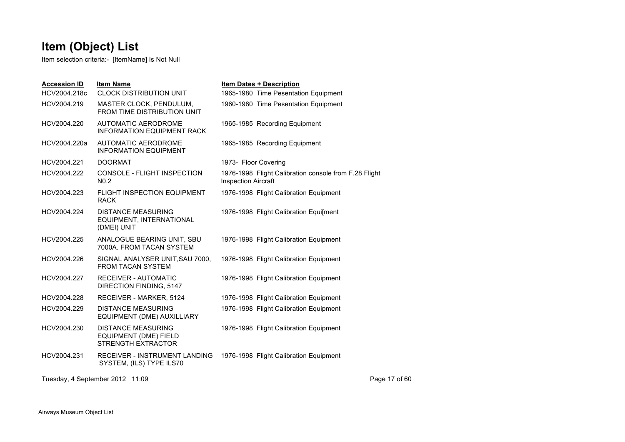| <b>Accession ID</b> | <b>Item Name</b>                                                                       | <b>Item Dates + Description</b>                                                     |               |
|---------------------|----------------------------------------------------------------------------------------|-------------------------------------------------------------------------------------|---------------|
| HCV2004.218c        | <b>CLOCK DISTRIBUTION UNIT</b>                                                         | 1965-1980 Time Pesentation Equipment                                                |               |
| HCV2004.219         | MASTER CLOCK, PENDULUM,<br>FROM TIME DISTRIBUTION UNIT                                 | 1960-1980 Time Pesentation Equipment                                                |               |
| HCV2004.220         | AUTOMATIC AERODROME<br><b>INFORMATION EQUIPMENT RACK</b>                               | 1965-1985 Recording Equipment                                                       |               |
| HCV2004.220a        | AUTOMATIC AERODROME<br><b>INFORMATION EQUIPMENT</b>                                    | 1965-1985 Recording Equipment                                                       |               |
| HCV2004.221         | <b>DOORMAT</b>                                                                         | 1973- Floor Covering                                                                |               |
| HCV2004.222         | CONSOLE - FLIGHT INSPECTION<br>N <sub>0.2</sub>                                        | 1976-1998 Flight Calibration console from F.28 Flight<br><b>Inspection Aircraft</b> |               |
| HCV2004.223         | <b>FLIGHT INSPECTION EQUIPMENT</b><br><b>RACK</b>                                      | 1976-1998 Flight Calibration Equipment                                              |               |
| HCV2004.224         | <b>DISTANCE MEASURING</b><br>EQUIPMENT, INTERNATIONAL<br>(DMEI) UNIT                   | 1976-1998 Flight Calibration Equi[ment                                              |               |
| HCV2004.225         | ANALOGUE BEARING UNIT, SBU<br>7000A. FROM TACAN SYSTEM                                 | 1976-1998 Flight Calibration Equipment                                              |               |
| HCV2004.226         | SIGNAL ANALYSER UNIT, SAU 7000,<br><b>FROM TACAN SYSTEM</b>                            | 1976-1998 Flight Calibration Equipment                                              |               |
| HCV2004.227         | <b>RECEIVER - AUTOMATIC</b><br>DIRECTION FINDING, 5147                                 | 1976-1998 Flight Calibration Equipment                                              |               |
| HCV2004.228         | RECEIVER - MARKER, 5124                                                                | 1976-1998 Flight Calibration Equipment                                              |               |
| HCV2004.229         | <b>DISTANCE MEASURING</b><br>EQUIPMENT (DME) AUXILLIARY                                | 1976-1998 Flight Calibration Equipment                                              |               |
| HCV2004.230         | <b>DISTANCE MEASURING</b><br><b>EQUIPMENT (DME) FIELD</b><br><b>STRENGTH EXTRACTOR</b> | 1976-1998 Flight Calibration Equipment                                              |               |
| HCV2004.231         | <b>RECEIVER - INSTRUMENT LANDING</b><br>SYSTEM, (ILS) TYPE ILS70                       | 1976-1998 Flight Calibration Equipment                                              |               |
|                     | Tuesday, 4 September 2012 11:09                                                        |                                                                                     | Page 17 of 60 |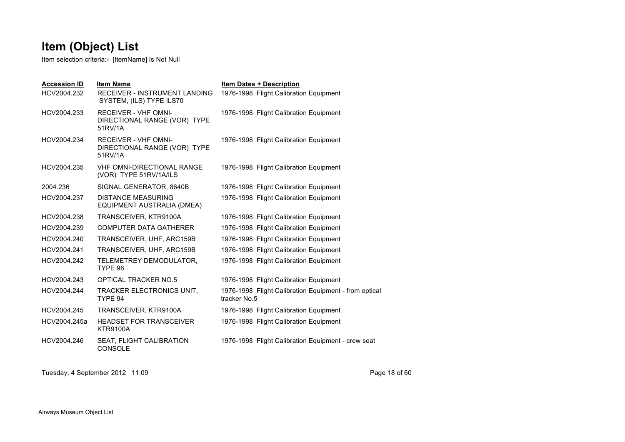Item selection criteria:- [ItemName] Is Not Null

| <b>Accession ID</b><br>HCV2004.232 | <b>Item Name</b><br><b>RECEIVER - INSTRUMENT LANDING</b><br>SYSTEM, (ILS) TYPE ILS70 | <b>Item Dates + Description</b><br>1976-1998 Flight Calibration Equipment |
|------------------------------------|--------------------------------------------------------------------------------------|---------------------------------------------------------------------------|
| HCV2004.233                        | <b>RECEIVER - VHF OMNI-</b><br>DIRECTIONAL RANGE (VOR) TYPE<br>51RV/1A               | 1976-1998 Flight Calibration Equipment                                    |
| HCV2004.234                        | <b>RECEIVER - VHF OMNI-</b><br>DIRECTIONAL RANGE (VOR) TYPE<br>51RV/1A               | 1976-1998 Flight Calibration Equipment                                    |
| HCV2004.235                        | <b>VHF OMNI-DIRECTIONAL RANGE</b><br>(VOR) TYPE 51RV/1A/ILS                          | 1976-1998 Flight Calibration Equipment                                    |
| 2004.236                           | SIGNAL GENERATOR, 8640B                                                              | 1976-1998 Flight Calibration Equipment                                    |
| HCV2004.237                        | <b>DISTANCE MEASURING</b><br>EQUIPMENT AUSTRALIA (DMEA)                              | 1976-1998 Flight Calibration Equipment                                    |
| HCV2004.238                        | TRANSCEIVER, KTR9100A                                                                | 1976-1998 Flight Calibration Equipment                                    |
| HCV2004.239                        | <b>COMPUTER DATA GATHERER</b>                                                        | 1976-1998 Flight Calibration Equipment                                    |
| HCV2004.240                        | TRANSCEIVER, UHF, ARC159B                                                            | 1976-1998 Flight Calibration Equipment                                    |
| HCV2004.241                        | TRANSCEIVER, UHF, ARC159B                                                            | 1976-1998 Flight Calibration Equipment                                    |
| HCV2004.242                        | TELEMETREY DEMODULATOR,<br>TYPE 96                                                   | 1976-1998 Flight Calibration Equipment                                    |
| HCV2004.243                        | <b>OPTICAL TRACKER NO.5</b>                                                          | 1976-1998 Flight Calibration Equipment                                    |
| HCV2004.244                        | TRACKER ELECTRONICS UNIT,<br>TYPE 94                                                 | 1976-1998 Flight Calibration Equipment - from optical<br>tracker No.5     |
| HCV2004.245                        | TRANSCEIVER, KTR9100A                                                                | 1976-1998 Flight Calibration Equipment                                    |
| HCV2004.245a                       | <b>HEADSET FOR TRANSCEIVER</b><br><b>KTR9100A</b>                                    | 1976-1998 Flight Calibration Equipment                                    |
| HCV2004.246                        | SEAT, FLIGHT CALIBRATION<br><b>CONSOLE</b>                                           | 1976-1998 Flight Calibration Equipment - crew seat                        |

Tuesday, 4 September 2012 11:09 Page 18 of 60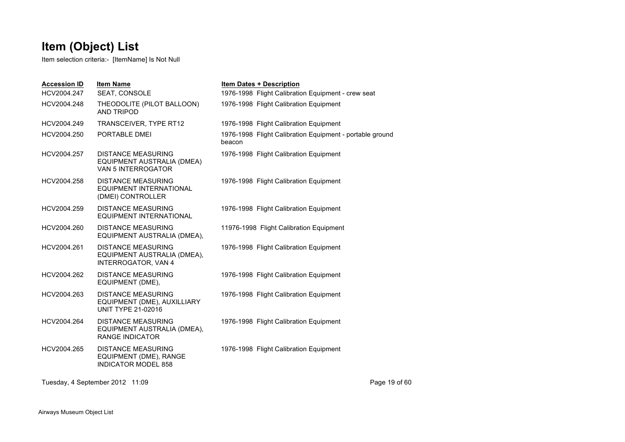Item selection criteria:- [ItemName] Is Not Null

| <b>Item Name</b><br>SEAT, CONSOLE                                                      | <b>Item Dates + Description</b><br>1976-1998 Flight Calibration Equipment - crew seat |
|----------------------------------------------------------------------------------------|---------------------------------------------------------------------------------------|
| THEODOLITE (PILOT BALLOON)<br><b>AND TRIPOD</b>                                        | 1976-1998 Flight Calibration Equipment                                                |
| TRANSCEIVER, TYPE RT12                                                                 | 1976-1998 Flight Calibration Equipment                                                |
| PORTABLE DMEI                                                                          | 1976-1998 Flight Calibration Equipment - portable ground<br>beacon                    |
| <b>DISTANCE MEASURING</b><br>EQUIPMENT AUSTRALIA (DMEA)<br>VAN 5 INTERROGATOR          | 1976-1998 Flight Calibration Equipment                                                |
| <b>DISTANCE MEASURING</b><br>EQUIPMENT INTERNATIONAL<br>(DMEI) CONTROLLER              | 1976-1998 Flight Calibration Equipment                                                |
| <b>DISTANCE MEASURING</b><br><b>EQUIPMENT INTERNATIONAL</b>                            | 1976-1998 Flight Calibration Equipment                                                |
| <b>DISTANCE MEASURING</b><br>EQUIPMENT AUSTRALIA (DMEA),                               | 11976-1998 Flight Calibration Equipment                                               |
| <b>DISTANCE MEASURING</b><br>EQUIPMENT AUSTRALIA (DMEA),<br><b>INTERROGATOR, VAN 4</b> | 1976-1998 Flight Calibration Equipment                                                |
| <b>DISTANCE MEASURING</b><br>EQUIPMENT (DME),                                          | 1976-1998 Flight Calibration Equipment                                                |
| <b>DISTANCE MEASURING</b><br>EQUIPMENT (DME), AUXILLIARY<br><b>UNIT TYPE 21-02016</b>  | 1976-1998 Flight Calibration Equipment                                                |
| <b>DISTANCE MEASURING</b><br>EQUIPMENT AUSTRALIA (DMEA),<br><b>RANGE INDICATOR</b>     | 1976-1998 Flight Calibration Equipment                                                |
| <b>DISTANCE MEASURING</b><br>EQUIPMENT (DME), RANGE<br><b>INDICATOR MODEL 858</b>      | 1976-1998 Flight Calibration Equipment                                                |
|                                                                                        |                                                                                       |

Tuesday, 4 September 2012 11:09 Page 19 of 60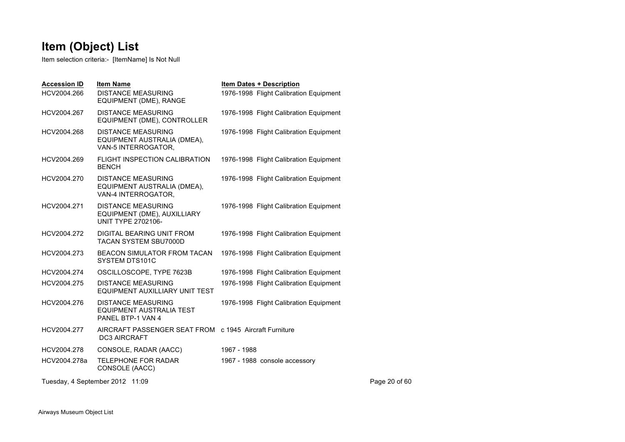| <b>Accession ID</b>             | <b>Item Name</b>                                                                      | <b>Item Dates + Description</b>        |               |
|---------------------------------|---------------------------------------------------------------------------------------|----------------------------------------|---------------|
| HCV2004.266                     | <b>DISTANCE MEASURING</b><br>EQUIPMENT (DME), RANGE                                   | 1976-1998 Flight Calibration Equipment |               |
| HCV2004.267                     | <b>DISTANCE MEASURING</b><br>EQUIPMENT (DME), CONTROLLER                              | 1976-1998 Flight Calibration Equipment |               |
| HCV2004.268                     | <b>DISTANCE MEASURING</b><br>EQUIPMENT AUSTRALIA (DMEA),<br>VAN-5 INTERROGATOR,       | 1976-1998 Flight Calibration Equipment |               |
| HCV2004.269                     | FLIGHT INSPECTION CALIBRATION<br><b>BENCH</b>                                         | 1976-1998 Flight Calibration Equipment |               |
| HCV2004.270                     | <b>DISTANCE MEASURING</b><br>EQUIPMENT AUSTRALIA (DMEA),<br>VAN-4 INTERROGATOR,       | 1976-1998 Flight Calibration Equipment |               |
| HCV2004.271                     | <b>DISTANCE MEASURING</b><br>EQUIPMENT (DME), AUXILLIARY<br><b>UNIT TYPE 2702106-</b> | 1976-1998 Flight Calibration Equipment |               |
| HCV2004.272                     | <b>DIGITAL BEARING UNIT FROM</b><br><b>TACAN SYSTEM SBU7000D</b>                      | 1976-1998 Flight Calibration Equipment |               |
| HCV2004.273                     | <b>BEACON SIMULATOR FROM TACAN</b><br>SYSTEM DTS101C                                  | 1976-1998 Flight Calibration Equipment |               |
| HCV2004.274                     | OSCILLOSCOPE, TYPE 7623B                                                              | 1976-1998 Flight Calibration Equipment |               |
| HCV2004.275                     | <b>DISTANCE MEASURING</b><br>EQUIPMENT AUXILLIARY UNIT TEST                           | 1976-1998 Flight Calibration Equipment |               |
| HCV2004.276                     | <b>DISTANCE MEASURING</b><br>EQUIPMENT AUSTRALIA TEST<br>PANEL BTP-1 VAN 4            | 1976-1998 Flight Calibration Equipment |               |
| HCV2004.277                     | AIRCRAFT PASSENGER SEAT FROM c 1945 Aircraft Furniture<br><b>DC3 AIRCRAFT</b>         |                                        |               |
| HCV2004.278                     | CONSOLE, RADAR (AACC)                                                                 | 1967 - 1988                            |               |
| HCV2004.278a                    | <b>TELEPHONE FOR RADAR</b><br>CONSOLE (AACC)                                          | 1967 - 1988 console accessory          |               |
| Tuesday, 4 September 2012 11:09 |                                                                                       |                                        | Page 20 of 60 |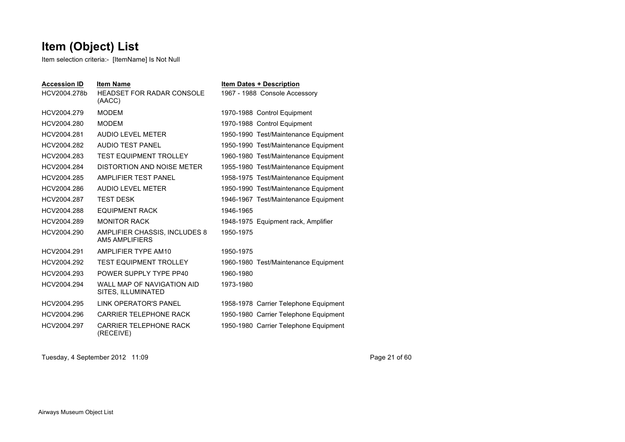Item selection criteria:- [ItemName] Is Not Null

| <b>Accession ID</b><br>HCV2004.278b | <b>Item Name</b><br><b>HEADSET FOR RADAR CONSOLE</b><br>(AACC) | <b>Item Dates + Description</b><br>1967 - 1988 Console Accessory |
|-------------------------------------|----------------------------------------------------------------|------------------------------------------------------------------|
| HCV2004.279                         | <b>MODEM</b>                                                   | 1970-1988 Control Equipment                                      |
| HCV2004.280                         | <b>MODEM</b>                                                   | 1970-1988 Control Equipment                                      |
| HCV2004.281                         | AUDIO LEVEL METER                                              | 1950-1990 Test/Maintenance Equipment                             |
| HCV2004.282                         | <b>AUDIO TEST PANEL</b>                                        | 1950-1990 Test/Maintenance Equipment                             |
| HCV2004.283                         | <b>TEST EQUIPMENT TROLLEY</b>                                  | 1960-1980 Test/Maintenance Equipment                             |
| HCV2004.284                         | DISTORTION AND NOISE METER                                     | 1955-1980 Test/Maintenance Equipment                             |
| HCV2004.285                         | AMPLIFIER TEST PANEL                                           | 1958-1975 Test/Maintenance Equipment                             |
| HCV2004.286                         | AUDIO LEVEL METER                                              | 1950-1990 Test/Maintenance Equipment                             |
| HCV2004.287                         | <b>TEST DESK</b>                                               | 1946-1967 Test/Maintenance Equipment                             |
| HCV2004.288                         | <b>EQUIPMENT RACK</b>                                          | 1946-1965                                                        |
| HCV2004.289                         | <b>MONITOR RACK</b>                                            | 1948-1975 Equipment rack, Amplifier                              |
| HCV2004.290                         | AMPLIFIER CHASSIS, INCLUDES 8<br>AM5 AMPI IFIFRS               | 1950-1975                                                        |
| HCV2004.291                         | AMPLIFIER TYPE AM10                                            | 1950-1975                                                        |
| HCV2004.292                         | <b>TEST EQUIPMENT TROLLEY</b>                                  | 1960-1980 Test/Maintenance Equipment                             |
| HCV2004.293                         | POWER SUPPLY TYPE PP40                                         | 1960-1980                                                        |
| HCV2004.294                         | WALL MAP OF NAVIGATION AID<br>SITES, ILLUMINATED               | 1973-1980                                                        |
| HCV2004.295                         | LINK OPERATOR'S PANEL                                          | 1958-1978 Carrier Telephone Equipment                            |
| HCV2004.296                         | <b>CARRIER TELEPHONE RACK</b>                                  | 1950-1980 Carrier Telephone Equipment                            |
| HCV2004.297                         | <b>CARRIER TELEPHONE RACK</b><br>(RECEIVE)                     | 1950-1980 Carrier Telephone Equipment                            |

Tuesday, 4 September 2012 11:09 Page 21 of 60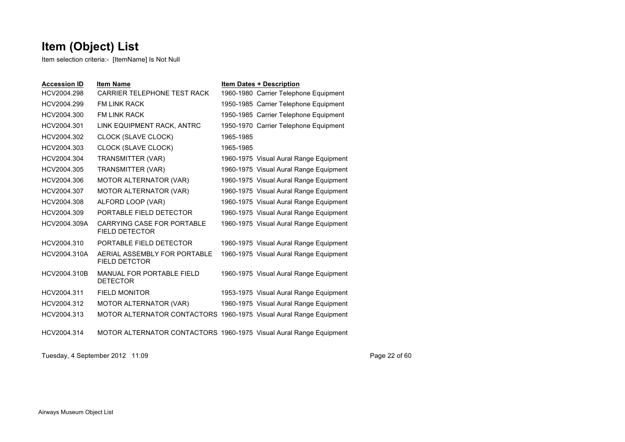Item selection criteria:- [ItemName] Is Not Null

| <b>Accession ID</b> | <b>Item Name</b>                                     | <b>Item Dates + Description</b>                                    |
|---------------------|------------------------------------------------------|--------------------------------------------------------------------|
| HCV2004.298         | CARRIER TELEPHONE TEST RACK                          | 1960-1980 Carrier Telephone Equipment                              |
| HCV2004.299         | <b>FM LINK RACK</b>                                  | 1950-1985 Carrier Telephone Equipment                              |
| HCV2004.300         | <b>FM I INK RACK</b>                                 | 1950-1985 Carrier Telephone Equipment                              |
| HCV2004.301         | LINK EQUIPMENT RACK, ANTRC                           | 1950-1970 Carrier Telephone Equipment                              |
| HCV2004.302         | CLOCK (SLAVE CLOCK)                                  | 1965-1985                                                          |
| HCV2004.303         | CLOCK (SLAVE CLOCK)                                  | 1965-1985                                                          |
| HCV2004.304         | TRANSMITTER (VAR)                                    | 1960-1975 Visual Aural Range Equipment                             |
| HCV2004.305         | TRANSMITTER (VAR)                                    | 1960-1975 Visual Aural Range Equipment                             |
| HCV2004.306         | MOTOR ALTERNATOR (VAR)                               | 1960-1975 Visual Aural Range Equipment                             |
| HCV2004.307         | <b>MOTOR ALTERNATOR (VAR)</b>                        | 1960-1975 Visual Aural Range Equipment                             |
| HCV2004.308         | ALFORD LOOP (VAR)                                    | 1960-1975 Visual Aural Range Equipment                             |
| HCV2004.309         | PORTABLE FIFLD DETECTOR                              | 1960-1975 Visual Aural Range Equipment                             |
| HCV2004.309A        | CARRYING CASE FOR PORTABLE<br><b>FIELD DETECTOR</b>  | 1960-1975 Visual Aural Range Equipment                             |
| HCV2004.310         | PORTABLE FIELD DETECTOR                              | 1960-1975 Visual Aural Range Equipment                             |
| HCV2004.310A        | AERIAL ASSEMBLY FOR PORTABLE<br><b>FIELD DETCTOR</b> | 1960-1975 Visual Aural Range Equipment                             |
| HCV2004.310B        | <b>MANUAL FOR PORTABLE FIELD</b><br><b>DETECTOR</b>  | 1960-1975 Visual Aural Range Equipment                             |
| HCV2004.311         | <b>FIELD MONITOR</b>                                 | 1953-1975 Visual Aural Range Equipment                             |
| HCV2004.312         | <b>MOTOR ALTERNATOR (VAR)</b>                        | 1960-1975 Visual Aural Range Equipment                             |
| HCV2004.313         |                                                      | MOTOR ALTERNATOR CONTACTORS 1960-1975 Visual Aural Range Equipment |
| HCV2004.314         |                                                      | MOTOR ALTERNATOR CONTACTORS 1960-1975 Visual Aural Range Equipment |

Tuesday, 4 September 2012 11:09 Page 22 of 60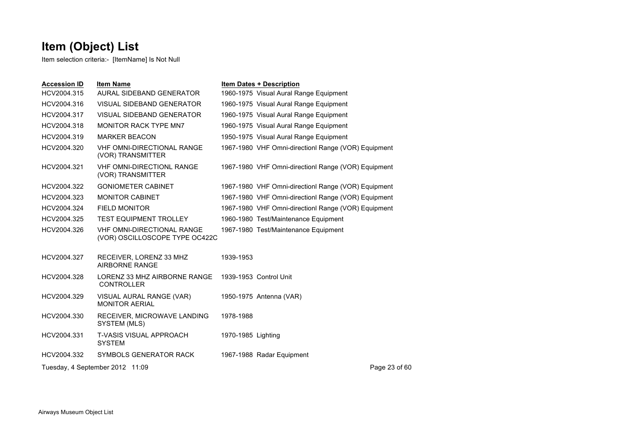| <b>Accession ID</b> | <b>Item Name</b>                                                    |                    | <b>Item Dates + Description</b>                    |
|---------------------|---------------------------------------------------------------------|--------------------|----------------------------------------------------|
| HCV2004.315         | AURAL SIDEBAND GENERATOR                                            |                    | 1960-1975 Visual Aural Range Equipment             |
| HCV2004.316         | <b>VISUAL SIDEBAND GENERATOR</b>                                    |                    | 1960-1975 Visual Aural Range Equipment             |
| HCV2004.317         | VISUAL SIDEBAND GENERATOR                                           |                    | 1960-1975 Visual Aural Range Equipment             |
| HCV2004.318         | <b>MONITOR RACK TYPE MN7</b>                                        |                    | 1960-1975 Visual Aural Range Equipment             |
| HCV2004.319         | <b>MARKER BEACON</b>                                                |                    | 1950-1975 Visual Aural Range Equipment             |
| HCV2004.320         | <b>VHF OMNI-DIRECTIONAL RANGE</b><br>(VOR) TRANSMITTER              |                    | 1967-1980 VHF Omni-direction Range (VOR) Equipment |
| HCV2004.321         | <b>VHF OMNI-DIRECTIONL RANGE</b><br>(VOR) TRANSMITTER               |                    | 1967-1980 VHF Omni-direction Range (VOR) Equipment |
| HCV2004.322         | <b>GONIOMETER CABINET</b>                                           |                    | 1967-1980 VHF Omni-direction Range (VOR) Equipment |
| HCV2004.323         | <b>MONITOR CABINET</b>                                              |                    | 1967-1980 VHF Omni-direction Range (VOR) Equipment |
| HCV2004.324         | <b>FIELD MONITOR</b>                                                |                    | 1967-1980 VHF Omni-direction Range (VOR) Equipment |
| HCV2004.325         | <b>TEST EQUIPMENT TROLLEY</b>                                       |                    | 1960-1980 Test/Maintenance Equipment               |
| HCV2004.326         | <b>VHF OMNI-DIRECTIONAL RANGE</b><br>(VOR) OSCILLOSCOPE TYPE OC422C |                    | 1967-1980 Test/Maintenance Equipment               |
| HCV2004.327         | RECEIVER, LORENZ 33 MHZ<br>AIRBORNE RANGE                           | 1939-1953          |                                                    |
| HCV2004.328         | LORENZ 33 MHZ AIRBORNE RANGE<br><b>CONTROLLER</b>                   |                    | 1939-1953 Control Unit                             |
| HCV2004.329         | VISUAL AURAL RANGE (VAR)<br><b>MONITOR AERIAL</b>                   |                    | 1950-1975 Antenna (VAR)                            |
| HCV2004.330         | RECEIVER, MICROWAVE LANDING<br>SYSTEM (MLS)                         | 1978-1988          |                                                    |
| HCV2004.331         | <b>T-VASIS VISUAL APPROACH</b><br><b>SYSTEM</b>                     | 1970-1985 Lighting |                                                    |
| HCV2004.332         | SYMBOLS GENERATOR RACK                                              |                    | 1967-1988 Radar Equipment                          |
|                     | Tuesday, 4 September 2012 11:09                                     |                    | Page 23 of 60                                      |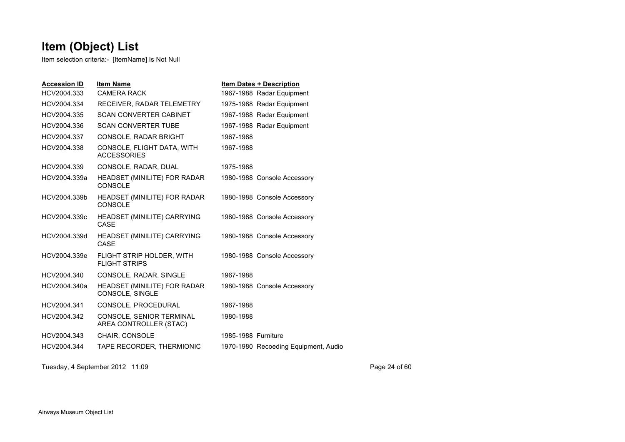Item selection criteria:- [ItemName] Is Not Null

| <b>Accession ID</b> | <b>Item Name</b>                                   |                     | <b>Item Dates + Description</b>      |
|---------------------|----------------------------------------------------|---------------------|--------------------------------------|
| HCV2004.333         | <b>CAMERA RACK</b>                                 |                     | 1967-1988 Radar Equipment            |
| HCV2004.334         | RECEIVER, RADAR TELEMETRY                          |                     | 1975-1988 Radar Equipment            |
| HCV2004.335         | <b>SCAN CONVERTER CABINET</b>                      |                     | 1967-1988 Radar Equipment            |
| HCV2004.336         | <b>SCAN CONVERTER TUBE</b>                         |                     | 1967-1988 Radar Equipment            |
| HCV2004.337         | <b>CONSOLE, RADAR BRIGHT</b>                       | 1967-1988           |                                      |
| HCV2004.338         | CONSOLE, FLIGHT DATA, WITH<br><b>ACCESSORIES</b>   | 1967-1988           |                                      |
| HCV2004.339         | CONSOLE, RADAR, DUAL                               | 1975-1988           |                                      |
| HCV2004.339a        | HEADSET (MINILITE) FOR RADAR<br><b>CONSOLE</b>     |                     | 1980-1988 Console Accessory          |
| HCV2004.339b        | <b>HEADSET (MINILITE) FOR RADAR</b><br>CONSOLE     |                     | 1980-1988 Console Accessory          |
| HCV2004.339c        | <b>HEADSET (MINILITE) CARRYING</b><br>CASE         |                     | 1980-1988 Console Accessory          |
| HCV2004.339d        | HEADSET (MINILITE) CARRYING<br>CASE                |                     | 1980-1988 Console Accessory          |
| HCV2004.339e        | FLIGHT STRIP HOLDER, WITH<br><b>FLIGHT STRIPS</b>  |                     | 1980-1988 Console Accessory          |
| HCV2004.340         | CONSOLE, RADAR, SINGLE                             | 1967-1988           |                                      |
| HCV2004.340a        | HEADSET (MINILITE) FOR RADAR<br>CONSOLE, SINGLE    |                     | 1980-1988 Console Accessory          |
| HCV2004.341         | CONSOLE, PROCEDURAL                                | 1967-1988           |                                      |
| HCV2004.342         | CONSOLE, SENIOR TERMINAL<br>AREA CONTROLLER (STAC) | 1980-1988           |                                      |
| HCV2004.343         | <b>CHAIR, CONSOLE</b>                              | 1985-1988 Furniture |                                      |
| HCV2004.344         | TAPE RECORDER, THERMIONIC                          |                     | 1970-1980 Recoeding Equipment, Audio |
|                     |                                                    |                     |                                      |

Tuesday, 4 September 2012 11:09 Page 24 of 60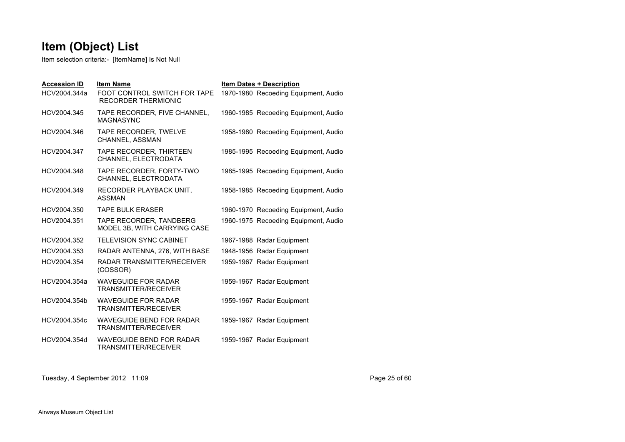Item selection criteria:- [ItemName] Is Not Null

| <b>Accession ID</b> | <b>Item Name</b>                                               | <b>Item Dates + Description</b>      |
|---------------------|----------------------------------------------------------------|--------------------------------------|
| HCV2004.344a        | FOOT CONTROL SWITCH FOR TAPE<br><b>RECORDER THERMIONIC</b>     | 1970-1980 Recoeding Equipment, Audio |
| HCV2004.345         | TAPE RECORDER, FIVE CHANNEL,<br><b>MAGNASYNC</b>               | 1960-1985 Recoeding Equipment, Audio |
| HCV2004.346         | TAPE RECORDER, TWELVE<br>CHANNEL, ASSMAN                       | 1958-1980 Recoeding Equipment, Audio |
| HCV2004.347         | TAPE RECORDER, THIRTEEN<br>CHANNEL, ELECTRODATA                | 1985-1995 Recoeding Equipment, Audio |
| HCV2004.348         | TAPE RECORDER, FORTY-TWO<br>CHANNEL, ELECTRODATA               | 1985-1995 Recoeding Equipment, Audio |
| HCV2004.349         | RECORDER PLAYBACK UNIT,<br><b>ASSMAN</b>                       | 1958-1985 Recoeding Equipment, Audio |
| HCV2004.350         | <b>TAPE BULK ERASER</b>                                        | 1960-1970 Recoeding Equipment, Audio |
| HCV2004.351         | TAPE RECORDER, TANDBERG<br>MODEL 3B, WITH CARRYING CASE        | 1960-1975 Recoeding Equipment, Audio |
| HCV2004.352         | TELEVISION SYNC CABINET                                        | 1967-1988 Radar Equipment            |
| HCV2004.353         | RADAR ANTENNA, 276, WITH BASE                                  | 1948-1956 Radar Equipment            |
| HCV2004.354         | RADAR TRANSMITTER/RECEIVER<br>(COSSOR)                         | 1959-1967 Radar Equipment            |
| HCV2004.354a        | <b>WAVEGUIDE FOR RADAR</b><br><b>TRANSMITTER/RECEIVER</b>      | 1959-1967 Radar Equipment            |
| HCV2004.354b        | <b>WAVEGUIDE FOR RADAR</b><br>TRANSMITTER/RECEIVER             | 1959-1967 Radar Equipment            |
| HCV2004.354c        | <b>WAVEGUIDE BEND FOR RADAR</b><br><b>TRANSMITTER/RECEIVER</b> | 1959-1967 Radar Equipment            |
| HCV2004.354d        | WAVEGUIDE BEND FOR RADAR<br>TRANSMITTER/RECEIVER               | 1959-1967 Radar Equipment            |

Tuesday, 4 September 2012 11:09 Page 25 of 60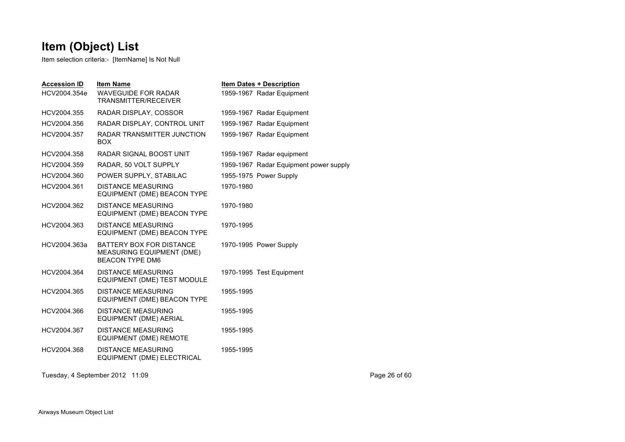Item selection criteria:- [ItemName] Is Not Null

| <b>Accession ID</b><br>HCV2004.354e | <b>Item Name</b><br>WAVEGUIDE FOR RADAR<br><b>TRANSMITTER/RECEIVER</b>          |           | <b>Item Dates + Description</b><br>1959-1967 Radar Equipment |
|-------------------------------------|---------------------------------------------------------------------------------|-----------|--------------------------------------------------------------|
| HCV2004.355                         | RADAR DISPLAY, COSSOR                                                           |           | 1959-1967 Radar Equipment                                    |
| HCV2004.356                         | RADAR DISPLAY, CONTROL UNIT                                                     |           | 1959-1967 Radar Equipment                                    |
| HCV2004.357                         | RADAR TRANSMITTER JUNCTION<br><b>BOX</b>                                        |           | 1959-1967 Radar Equipment                                    |
| HCV2004.358                         | RADAR SIGNAL BOOST UNIT                                                         |           | 1959-1967 Radar equipment                                    |
| HCV2004.359                         | RADAR, 50 VOLT SUPPLY                                                           |           | 1959-1967 Radar Equipment power supply                       |
| HCV2004.360                         | POWER SUPPLY, STABILAC                                                          |           | 1955-1975 Power Supply                                       |
| HCV2004.361                         | <b>DISTANCE MEASURING</b><br>EQUIPMENT (DME) BEACON TYPE                        | 1970-1980 |                                                              |
| HCV2004.362                         | <b>DISTANCE MEASURING</b><br>EQUIPMENT (DME) BEACON TYPE                        | 1970-1980 |                                                              |
| HCV2004.363                         | <b>DISTANCE MEASURING</b><br>EQUIPMENT (DME) BEACON TYPE                        | 1970-1995 |                                                              |
| HCV2004.363a                        | BATTERY BOX FOR DISTANCE<br>MEASURING EQUIPMENT (DME)<br><b>BEACON TYPE DM6</b> |           | 1970-1995 Power Supply                                       |
| HCV2004.364                         | <b>DISTANCE MEASURING</b><br>EQUIPMENT (DME) TEST MODULE                        |           | 1970-1995 Test Equipment                                     |
| HCV2004.365                         | <b>DISTANCE MEASURING</b><br>EQUIPMENT (DME) BEACON TYPE                        | 1955-1995 |                                                              |
| HCV2004.366                         | <b>DISTANCE MEASURING</b><br>EQUIPMENT (DME) AERIAL                             | 1955-1995 |                                                              |
| HCV2004.367                         | DISTANCE MEASURING<br><b>EQUIPMENT (DME) REMOTE</b>                             | 1955-1995 |                                                              |
| HCV2004.368                         | <b>DISTANCE MEASURING</b><br>EQUIPMENT (DME) ELECTRICAL                         | 1955-1995 |                                                              |
|                                     |                                                                                 |           |                                                              |

Tuesday, 4 September 2012 11:09 Page 26 of 60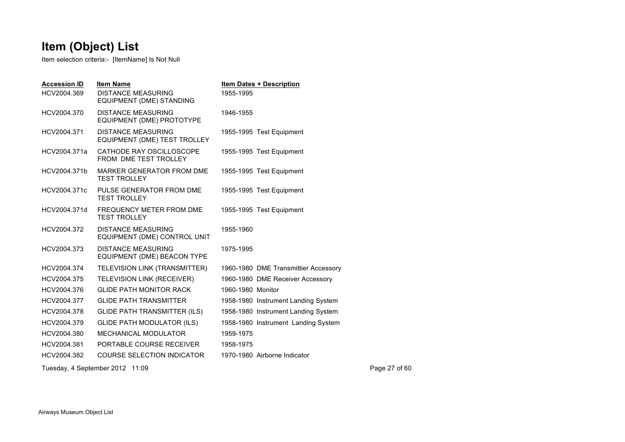| <b>Accession ID</b><br>HCV2004.369 | <b>Item Name</b><br><b>DISTANCE MEASURING</b><br>EQUIPMENT (DME) STANDING | <b>Item Dates + Description</b><br>1955-1995 |               |
|------------------------------------|---------------------------------------------------------------------------|----------------------------------------------|---------------|
| HCV2004.370                        | <b>DISTANCE MEASURING</b><br>EQUIPMENT (DME) PROTOTYPE                    | 1946-1955                                    |               |
| HCV2004.371                        | <b>DISTANCE MEASURING</b><br>EQUIPMENT (DME) TEST TROLLEY                 | 1955-1995 Test Equipment                     |               |
| HCV2004.371a                       | CATHODE RAY OSCILLOSCOPE<br>FROM DME TEST TROLLEY                         | 1955-1995 Test Equipment                     |               |
| HCV2004.371b                       | MARKER GENERATOR FROM DME<br><b>TEST TROLLEY</b>                          | 1955-1995 Test Equipment                     |               |
| HCV2004.371c                       | PULSE GENERATOR FROM DME<br><b>TEST TROLLEY</b>                           | 1955-1995 Test Equipment                     |               |
| HCV2004.371d                       | FREQUENCY METER FROM DME<br><b>TEST TROLLEY</b>                           | 1955-1995 Test Equipment                     |               |
| HCV2004.372                        | <b>DISTANCE MEASURING</b><br>EQUIPMENT (DME) CONTROL UNIT                 | 1955-1960                                    |               |
| HCV2004.373                        | <b>DISTANCE MEASURING</b><br>EQUIPMENT (DME) BEACON TYPE                  | 1975-1995                                    |               |
| HCV2004.374                        | TELEVISION LINK (TRANSMITTER)                                             | 1960-1980 DME Transmittier Accessory         |               |
| HCV2004.375                        | <b>TELEVISION LINK (RECEIVER)</b>                                         | 1960-1980 DME Receiver Accessory             |               |
| HCV2004.376                        | <b>GLIDE PATH MONITOR RACK</b>                                            | 1960-1980 Monitor                            |               |
| HCV2004.377                        | <b>GLIDE PATH TRANSMITTER</b>                                             | 1958-1980 Instrument Landing System          |               |
| HCV2004.378                        | <b>GLIDE PATH TRANSMITTER (ILS)</b>                                       | 1958-1980 Instrument Landing System          |               |
| HCV2004.379                        | <b>GLIDE PATH MODULATOR (ILS)</b>                                         | 1958-1980 Instrument Landing System          |               |
| HCV2004.380                        | <b>MECHANICAL MODULATOR</b>                                               | 1959-1975                                    |               |
| HCV2004.381                        | PORTABLE COURSE RECEIVER                                                  | 1958-1975                                    |               |
| HCV2004.382                        | <b>COURSE SELECTION INDICATOR</b>                                         | 1970-1980 Airborne Indicator                 |               |
|                                    | Tuesday, 4 September 2012 11:09                                           |                                              | Page 27 of 60 |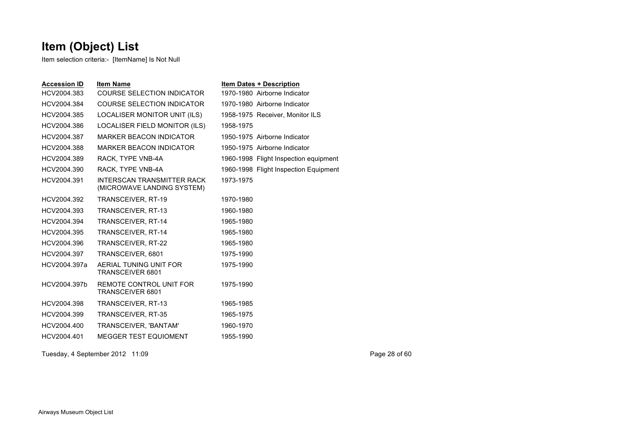Item selection criteria:- [ItemName] Is Not Null

| <b>Accession ID</b> | <b>Item Name</b>                                         |           | <b>Item Dates + Description</b>       |
|---------------------|----------------------------------------------------------|-----------|---------------------------------------|
| HCV2004.383         | <b>COURSE SELECTION INDICATOR</b>                        |           | 1970-1980 Airborne Indicator          |
| HCV2004.384         | <b>COURSE SELECTION INDICATOR</b>                        |           | 1970-1980 Airborne Indicator          |
| HCV2004.385         | LOCALISER MONITOR UNIT (ILS)                             |           | 1958-1975 Receiver, Monitor ILS       |
| HCV2004.386         | LOCALISER FIELD MONITOR (ILS)                            | 1958-1975 |                                       |
| HCV2004.387         | <b>MARKER BEACON INDICATOR</b>                           |           | 1950-1975 Airborne Indicator          |
| HCV2004.388         | <b>MARKER BEACON INDICATOR</b>                           |           | 1950-1975 Airborne Indicator          |
| HCV2004.389         | RACK, TYPE VNB-4A                                        |           | 1960-1998 Flight Inspection equipment |
| HCV2004.390         | RACK, TYPE VNB-4A                                        |           | 1960-1998 Flight Inspection Equipment |
| HCV2004.391         | INTERSCAN TRANSMITTER RACK<br>(MICROWAVE LANDING SYSTEM) | 1973-1975 |                                       |
| HCV2004.392         | TRANSCEIVER, RT-19                                       | 1970-1980 |                                       |
| HCV2004.393         | TRANSCEIVER, RT-13                                       | 1960-1980 |                                       |
| HCV2004.394         | TRANSCEIVER, RT-14                                       | 1965-1980 |                                       |
| HCV2004.395         | TRANSCEIVER, RT-14                                       | 1965-1980 |                                       |
| HCV2004.396         | TRANSCEIVER, RT-22                                       | 1965-1980 |                                       |
| HCV2004.397         | TRANSCEIVER, 6801                                        | 1975-1990 |                                       |
| HCV2004.397a        | AERIAL TUNING UNIT FOR<br>TRANSCEIVER 6801               | 1975-1990 |                                       |
| HCV2004.397b        | REMOTE CONTROL UNIT FOR<br>TRANSCEIVER 6801              | 1975-1990 |                                       |
| HCV2004.398         | TRANSCEIVER, RT-13                                       | 1965-1985 |                                       |
| HCV2004.399         | TRANSCEIVER, RT-35                                       | 1965-1975 |                                       |
| HCV2004.400         | TRANSCEIVER, 'BANTAM'                                    | 1960-1970 |                                       |
| HCV2004.401         | <b>MEGGER TEST EQUIOMENT</b>                             | 1955-1990 |                                       |
|                     |                                                          |           |                                       |

Tuesday, 4 September 2012 11:09 Page 28 of 60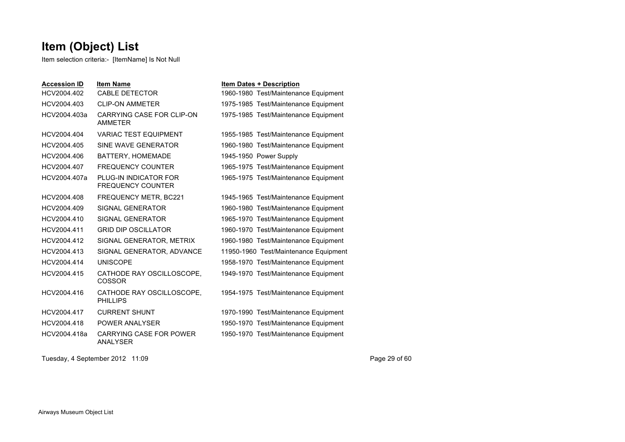Item selection criteria:- [ItemName] Is Not Null

| <b>Accession ID</b> | <b>Item Name</b>                                  | <b>Item Dates + Description</b>       |
|---------------------|---------------------------------------------------|---------------------------------------|
| HCV2004.402         | <b>CABLE DETECTOR</b>                             | 1960-1980 Test/Maintenance Equipment  |
| HCV2004.403         | <b>CLIP-ON AMMETER</b>                            | 1975-1985 Test/Maintenance Equipment  |
| HCV2004.403a        | CARRYING CASE FOR CLIP-ON<br><b>AMMETER</b>       | 1975-1985 Test/Maintenance Equipment  |
| HCV2004.404         | <b>VARIAC TEST EQUIPMENT</b>                      | 1955-1985 Test/Maintenance Equipment  |
| HCV2004.405         | SINE WAVE GENERATOR                               | 1960-1980 Test/Maintenance Equipment  |
| HCV2004.406         | BATTERY, HOMEMADE                                 | 1945-1950 Power Supply                |
| HCV2004.407         | <b>FREQUENCY COUNTER</b>                          | 1965-1975 Test/Maintenance Equipment  |
| HCV2004.407a        | PLUG-IN INDICATOR FOR<br><b>FREQUENCY COUNTER</b> | 1965-1975 Test/Maintenance Equipment  |
| HCV2004.408         | FREQUENCY METR, BC221                             | 1945-1965 Test/Maintenance Equipment  |
| HCV2004.409         | SIGNAL GENERATOR                                  | 1960-1980 Test/Maintenance Equipment  |
| HCV2004.410         | SIGNAL GENERATOR                                  | 1965-1970 Test/Maintenance Equipment  |
| HCV2004.411         | <b>GRID DIP OSCILLATOR</b>                        | 1960-1970 Test/Maintenance Equipment  |
| HCV2004.412         | SIGNAL GENERATOR, METRIX                          | 1960-1980 Test/Maintenance Equipment  |
| HCV2004.413         | SIGNAL GENERATOR, ADVANCE                         | 11950-1960 Test/Maintenance Equipment |
| HCV2004.414         | <b>UNISCOPE</b>                                   | 1958-1970 Test/Maintenance Equipment  |
| HCV2004.415         | CATHODE RAY OSCILLOSCOPE,<br>COSSOR               | 1949-1970 Test/Maintenance Equipment  |
| HCV2004.416         | CATHODE RAY OSCILLOSCOPE,<br><b>PHILLIPS</b>      | 1954-1975 Test/Maintenance Equipment  |
| HCV2004.417         | <b>CURRENT SHUNT</b>                              | 1970-1990 Test/Maintenance Equipment  |
| HCV2004.418         | POWER ANALYSER                                    | 1950-1970 Test/Maintenance Equipment  |
| HCV2004.418a        | CARRYING CASE FOR POWER<br><b>ANALYSER</b>        | 1950-1970 Test/Maintenance Equipment  |

Tuesday, 4 September 2012 11:09 Page 29 of 60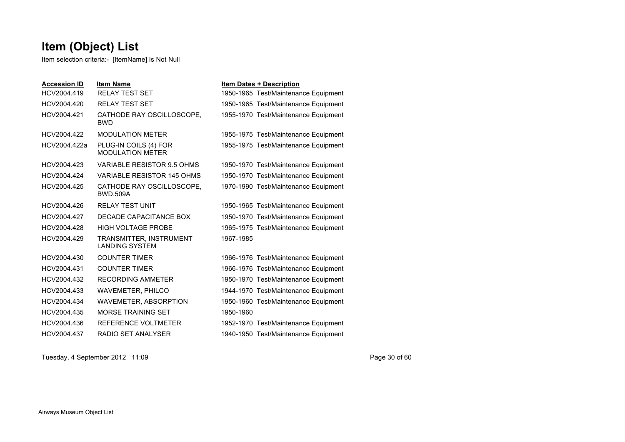Item selection criteria:- [ItemName] Is Not Null

| <b>Accession ID</b> | <b>Item Name</b>                                 | <b>Item Dates + Description</b>      |
|---------------------|--------------------------------------------------|--------------------------------------|
| HCV2004.419         | <b>RELAY TEST SET</b>                            | 1950-1965 Test/Maintenance Equipment |
| HCV2004.420         | <b>RELAY TEST SET</b>                            | 1950-1965 Test/Maintenance Equipment |
| HCV2004.421         | CATHODE RAY OSCILLOSCOPE.<br><b>BWD</b>          | 1955-1970 Test/Maintenance Equipment |
| HCV2004.422         | <b>MODULATION METER</b>                          | 1955-1975 Test/Maintenance Equipment |
| HCV2004.422a        | PLUG-IN COILS (4) FOR<br><b>MODULATION METER</b> | 1955-1975 Test/Maintenance Equipment |
| HCV2004.423         | VARIABLE RESISTOR 9.5 OHMS                       | 1950-1970 Test/Maintenance Equipment |
| HCV2004.424         | VARIABLE RESISTOR 145 OHMS                       | 1950-1970 Test/Maintenance Equipment |
| HCV2004.425         | CATHODE RAY OSCILLOSCOPE.<br><b>BWD,509A</b>     | 1970-1990 Test/Maintenance Equipment |
| HCV2004.426         | <b>RELAY TEST UNIT</b>                           | 1950-1965 Test/Maintenance Equipment |
| HCV2004.427         | DECADE CAPACITANCE BOX                           | 1950-1970 Test/Maintenance Equipment |
| HCV2004.428         | <b>HIGH VOLTAGE PROBE</b>                        | 1965-1975 Test/Maintenance Equipment |
| HCV2004.429         | TRANSMITTER, INSTRUMENT<br><b>LANDING SYSTEM</b> | 1967-1985                            |
| HCV2004.430         | <b>COUNTER TIMER</b>                             | 1966-1976 Test/Maintenance Equipment |
| HCV2004.431         | <b>COUNTER TIMER</b>                             | 1966-1976 Test/Maintenance Equipment |
| HCV2004.432         | <b>RECORDING AMMETER</b>                         | 1950-1970 Test/Maintenance Equipment |
| HCV2004.433         | <b>WAVEMETER, PHILCO</b>                         | 1944-1970 Test/Maintenance Equipment |
| HCV2004.434         | WAVEMETER, ABSORPTION                            | 1950-1960 Test/Maintenance Equipment |
| HCV2004.435         | <b>MORSE TRAINING SET</b>                        | 1950-1960                            |
| HCV2004.436         | REFERENCE VOLTMETER                              | 1952-1970 Test/Maintenance Equipment |
| HCV2004.437         | RADIO SET ANALYSER                               | 1940-1950 Test/Maintenance Equipment |

Tuesday, 4 September 2012 11:09 Page 30 of 60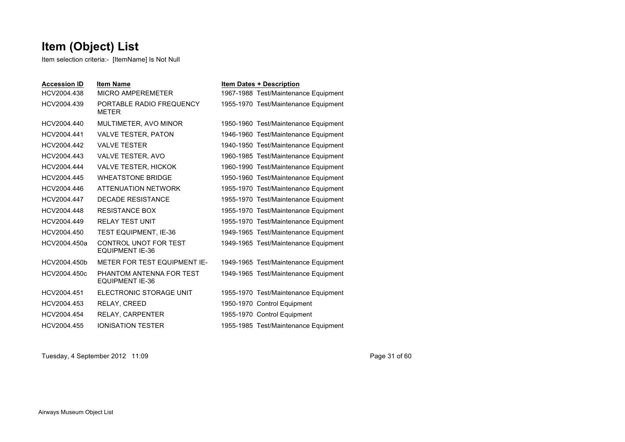Item selection criteria:- [ItemName] Is Not Null

| <b>Accession ID</b> | <b>Item Name</b>                                   | <b>Item Dates + Description</b>      |
|---------------------|----------------------------------------------------|--------------------------------------|
| HCV2004.438         | MICRO AMPEREMETER                                  | 1967-1988 Test/Maintenance Equipment |
| HCV2004.439         | PORTABLE RADIO FREQUENCY<br><b>METER</b>           | 1955-1970 Test/Maintenance Equipment |
| HCV2004.440         | MULTIMETER, AVO MINOR                              | 1950-1960 Test/Maintenance Equipment |
| HCV2004.441         | <b>VALVE TESTER, PATON</b>                         | 1946-1960 Test/Maintenance Equipment |
| HCV2004.442         | <b>VALVE TESTER</b>                                | 1940-1950 Test/Maintenance Equipment |
| HCV2004.443         | VALVE TESTER, AVO                                  | 1960-1985 Test/Maintenance Equipment |
| HCV2004.444         | <b>VALVE TESTER, HICKOK</b>                        | 1960-1990 Test/Maintenance Equipment |
| HCV2004.445         | <b>WHEATSTONE BRIDGE</b>                           | 1950-1960 Test/Maintenance Equipment |
| HCV2004.446         | ATTENUATION NETWORK                                | 1955-1970 Test/Maintenance Equipment |
| HCV2004.447         | <b>DECADE RESISTANCE</b>                           | 1955-1970 Test/Maintenance Equipment |
| HCV2004.448         | <b>RESISTANCE BOX</b>                              | 1955-1970 Test/Maintenance Equipment |
| HCV2004.449         | <b>RELAY TEST UNIT</b>                             | 1955-1970 Test/Maintenance Equipment |
| HCV2004.450         | <b>TEST EQUIPMENT, IE-36</b>                       | 1949-1965 Test/Maintenance Equipment |
| HCV2004.450a        | CONTROL UNOT FOR TEST<br><b>EQUIPMENT IE-36</b>    | 1949-1965 Test/Maintenance Equipment |
| HCV2004.450b        | METER FOR TEST EQUIPMENT IE-                       | 1949-1965 Test/Maintenance Equipment |
| HCV2004.450c        | PHANTOM ANTENNA FOR TEST<br><b>EQUIPMENT IE-36</b> | 1949-1965 Test/Maintenance Equipment |
| HCV2004.451         | ELECTRONIC STORAGE UNIT                            | 1955-1970 Test/Maintenance Equipment |
| HCV2004.453         | <b>RELAY, CREED</b>                                | 1950-1970 Control Equipment          |
| HCV2004.454         | RELAY, CARPENTER                                   | 1955-1970 Control Equipment          |
| HCV2004.455         | <b>IONISATION TESTER</b>                           | 1955-1985 Test/Maintenance Equipment |

Tuesday, 4 September 2012 11:09 Page 31 of 60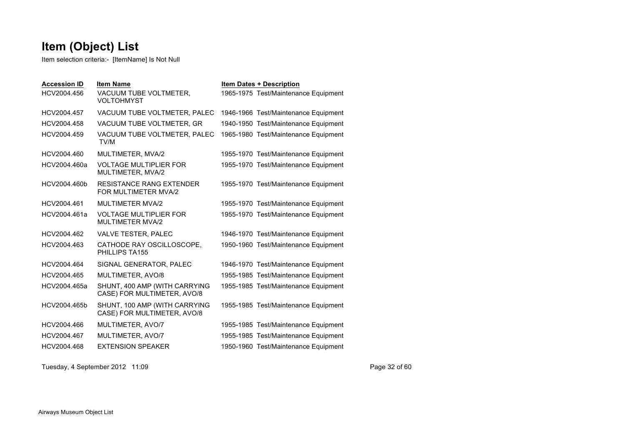Item selection criteria:- [ItemName] Is Not Null

| <b>Accession ID</b> | <b>Item Name</b>                                             | <b>Item Dates + Description</b>      |
|---------------------|--------------------------------------------------------------|--------------------------------------|
| HCV2004.456         | VACUUM TUBE VOLTMETER,<br><b>VOLTOHMYST</b>                  | 1965-1975 Test/Maintenance Equipment |
| HCV2004.457         | VACUUM TUBE VOLTMETER, PALEC                                 | 1946-1966 Test/Maintenance Equipment |
| HCV2004.458         | VACUUM TUBE VOLTMETER, GR                                    | 1940-1950 Test/Maintenance Equipment |
| HCV2004.459         | VACUUM TUBE VOLTMETER, PALEC<br>TV/M                         | 1965-1980 Test/Maintenance Equipment |
| HCV2004.460         | MULTIMETER, MVA/2                                            | 1955-1970 Test/Maintenance Equipment |
| HCV2004.460a        | <b>VOLTAGE MULTIPLIER FOR</b><br>MULTIMETER, MVA/2           | 1955-1970 Test/Maintenance Equipment |
| HCV2004.460b        | <b>RESISTANCE RANG EXTENDER</b><br>FOR MULTIMETER MVA/2      | 1955-1970 Test/Maintenance Equipment |
| HCV2004.461         | <b>MULTIMETER MVA/2</b>                                      | 1955-1970 Test/Maintenance Equipment |
| HCV2004.461a        | <b>VOLTAGE MULTIPLIER FOR</b><br><b>MULTIMETER MVA/2</b>     | 1955-1970 Test/Maintenance Equipment |
| HCV2004.462         | VALVE TESTER, PALEC                                          | 1946-1970 Test/Maintenance Equipment |
| HCV2004.463         | CATHODE RAY OSCILLOSCOPE,<br>PHILLIPS TA155                  | 1950-1960 Test/Maintenance Equipment |
| HCV2004.464         | SIGNAL GENERATOR, PALEC                                      | 1946-1970 Test/Maintenance Equipment |
| HCV2004.465         | MULTIMETER, AVO/8                                            | 1955-1985 Test/Maintenance Equipment |
| HCV2004.465a        | SHUNT, 400 AMP (WITH CARRYING<br>CASE) FOR MULTIMETER, AVO/8 | 1955-1985 Test/Maintenance Equipment |
| HCV2004.465b        | SHUNT, 100 AMP (WITH CARRYING<br>CASE) FOR MULTIMETER, AVO/8 | 1955-1985 Test/Maintenance Equipment |
| HCV2004.466         | MULTIMETER, AVO/7                                            | 1955-1985 Test/Maintenance Equipment |
| HCV2004.467         | MULTIMETER, AVO/7                                            | 1955-1985 Test/Maintenance Equipment |
| HCV2004.468         | <b>EXTENSION SPEAKER</b>                                     | 1950-1960 Test/Maintenance Equipment |
|                     |                                                              |                                      |

Tuesday, 4 September 2012 11:09 Page 32 of 60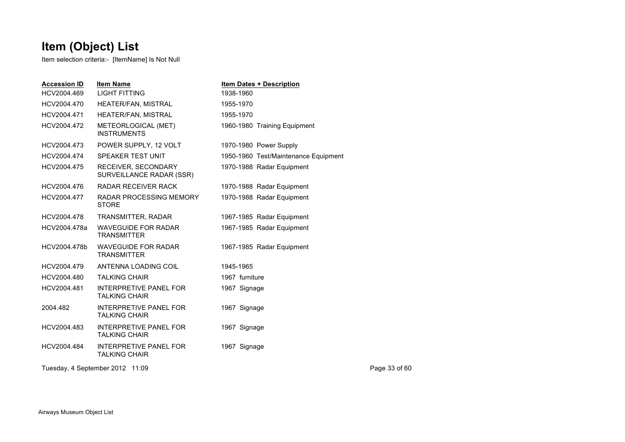| <b>Accession ID</b> | <b>Item Name</b>                                      | Item Dates + Description             |               |
|---------------------|-------------------------------------------------------|--------------------------------------|---------------|
| HCV2004.469         | <b>LIGHT FITTING</b>                                  | 1938-1960                            |               |
| HCV2004.470         | HEATER/FAN, MISTRAL                                   | 1955-1970                            |               |
| HCV2004.471         | HEATER/FAN, MISTRAL                                   | 1955-1970                            |               |
| HCV2004.472         | METEORLOGICAL (MET)<br><b>INSTRUMENTS</b>             | 1960-1980 Training Equipment         |               |
| HCV2004.473         | POWER SUPPLY, 12 VOLT                                 | 1970-1980 Power Supply               |               |
| HCV2004.474         | SPEAKER TEST UNIT                                     | 1950-1960 Test/Maintenance Equipment |               |
| HCV2004.475         | RECEIVER, SECONDARY<br>SURVEILLANCE RADAR (SSR)       | 1970-1988 Radar Equipment            |               |
| HCV2004.476         | RADAR RECEIVER RACK                                   | 1970-1988 Radar Equipment            |               |
| HCV2004.477         | <b>RADAR PROCESSING MEMORY</b><br><b>STORE</b>        | 1970-1988 Radar Equipment            |               |
| HCV2004.478         | TRANSMITTER, RADAR                                    | 1967-1985 Radar Equipment            |               |
| HCV2004.478a        | <b>WAVEGUIDE FOR RADAR</b><br><b>TRANSMITTER</b>      | 1967-1985 Radar Equipment            |               |
| HCV2004.478b        | WAVEGUIDE FOR RADAR<br><b>TRANSMITTER</b>             | 1967-1985 Radar Equipment            |               |
| HCV2004.479         | ANTENNA LOADING COIL                                  | 1945-1965                            |               |
| HCV2004.480         | <b>TALKING CHAIR</b>                                  | 1967 furniture                       |               |
| HCV2004.481         | <b>INTERPRETIVE PANEL FOR</b><br><b>TALKING CHAIR</b> | 1967 Signage                         |               |
| 2004.482            | <b>INTERPRETIVE PANEL FOR</b><br><b>TALKING CHAIR</b> | 1967 Signage                         |               |
| HCV2004.483         | INTERPRETIVE PANEL FOR<br><b>TALKING CHAIR</b>        | 1967 Signage                         |               |
| HCV2004.484         | <b>INTERPRETIVE PANEL FOR</b><br><b>TALKING CHAIR</b> | 1967 Signage                         |               |
|                     | Tuesday, 4 September 2012 11:09                       |                                      | Page 33 of 60 |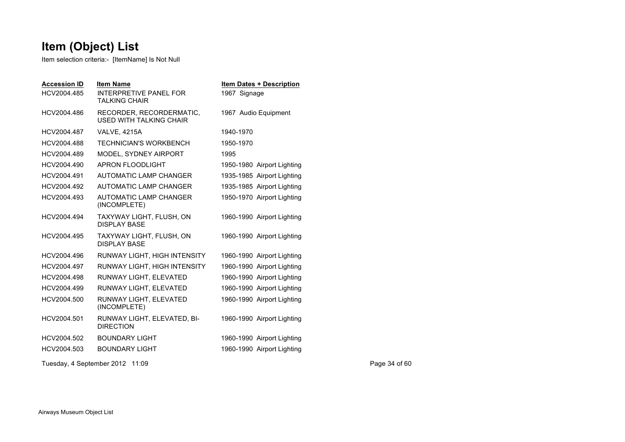Item selection criteria:- [ItemName] Is Not Null

| <b>Accession ID</b><br>HCV2004.485 | <b>Item Name</b><br>INTERPRETIVE PANEL FOR<br><b>TALKING CHAIR</b> | <b>Item Dates + Description</b><br>1967 Signage |
|------------------------------------|--------------------------------------------------------------------|-------------------------------------------------|
| HCV2004.486                        | RECORDER, RECORDERMATIC,<br><b>USED WITH TALKING CHAIR</b>         | 1967 Audio Equipment                            |
| HCV2004.487                        | <b>VALVE, 4215A</b>                                                | 1940-1970                                       |
| HCV2004.488                        | TECHNICIAN'S WORKBENCH                                             | 1950-1970                                       |
| HCV2004.489                        | MODEL, SYDNEY AIRPORT                                              | 1995                                            |
| HCV2004.490                        | APRON FLOODLIGHT                                                   | 1950-1980 Airport Lighting                      |
| HCV2004.491                        | <b>AUTOMATIC LAMP CHANGER</b>                                      | 1935-1985 Airport Lighting                      |
| HCV2004.492                        | <b>AUTOMATIC LAMP CHANGER</b>                                      | 1935-1985 Airport Lighting                      |
| HCV2004.493                        | <b>AUTOMATIC LAMP CHANGER</b><br>(INCOMPLETE)                      | 1950-1970 Airport Lighting                      |
| HCV2004.494                        | TAXYWAY LIGHT, FLUSH, ON<br><b>DISPLAY BASE</b>                    | 1960-1990 Airport Lighting                      |
| HCV2004.495                        | TAXYWAY LIGHT, FLUSH, ON<br><b>DISPLAY BASE</b>                    | 1960-1990 Airport Lighting                      |
| HCV2004.496                        | RUNWAY LIGHT, HIGH INTENSITY                                       | 1960-1990 Airport Lighting                      |
| HCV2004.497                        | RUNWAY LIGHT, HIGH INTENSITY                                       | 1960-1990 Airport Lighting                      |
| HCV2004.498                        | RUNWAY LIGHT, ELEVATED                                             | 1960-1990 Airport Lighting                      |
| HCV2004.499                        | RUNWAY LIGHT, ELEVATED                                             | 1960-1990 Airport Lighting                      |
| HCV2004.500                        | RUNWAY LIGHT, ELEVATED<br>(INCOMPLETE)                             | 1960-1990 Airport Lighting                      |
| HCV2004.501                        | RUNWAY LIGHT, ELEVATED, BI-<br><b>DIRECTION</b>                    | 1960-1990 Airport Lighting                      |
| HCV2004.502                        | <b>BOUNDARY LIGHT</b>                                              | 1960-1990 Airport Lighting                      |
| HCV2004.503                        | <b>BOUNDARY LIGHT</b>                                              | 1960-1990 Airport Lighting                      |

Tuesday, 4 September 2012 11:09 Page 34 of 60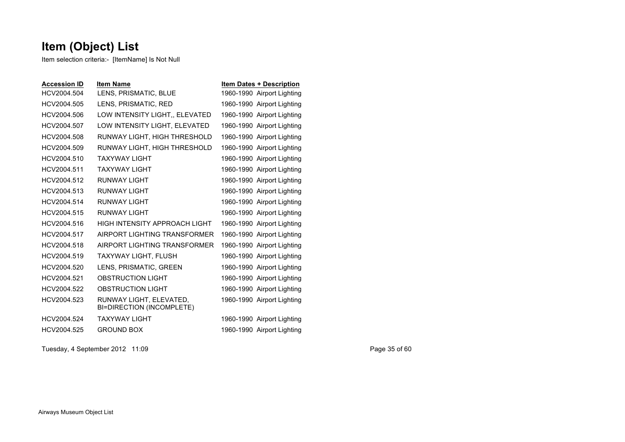Item selection criteria:- [ItemName] Is Not Null

| <b>Accession ID</b> | <b>Item Name</b>                                     | <b>Item Dates + Description</b> |
|---------------------|------------------------------------------------------|---------------------------------|
| HCV2004.504         | LENS, PRISMATIC, BLUE                                | 1960-1990 Airport Lighting      |
| HCV2004.505         | LENS, PRISMATIC, RED                                 | 1960-1990 Airport Lighting      |
| HCV2004.506         | LOW INTENSITY LIGHT., ELEVATED                       | 1960-1990 Airport Lighting      |
| HCV2004.507         | LOW INTENSITY LIGHT, ELEVATED                        | 1960-1990 Airport Lighting      |
| HCV2004.508         | RUNWAY LIGHT, HIGH THRESHOLD                         | 1960-1990 Airport Lighting      |
| HCV2004.509         | RUNWAY LIGHT, HIGH THRESHOLD                         | 1960-1990 Airport Lighting      |
| HCV2004.510         | TAXYWAY I IGHT                                       | 1960-1990 Airport Lighting      |
| HCV2004.511         | TAXYWAY I IGHT                                       | 1960-1990 Airport Lighting      |
| HCV2004.512         | <b>RUNWAY LIGHT</b>                                  | 1960-1990 Airport Lighting      |
| HCV2004.513         | <b>RUNWAY LIGHT</b>                                  | 1960-1990 Airport Lighting      |
| HCV2004.514         | <b>RUNWAY LIGHT</b>                                  | 1960-1990 Airport Lighting      |
| HCV2004.515         | RUNWAY LIGHT                                         | 1960-1990 Airport Lighting      |
| HCV2004.516         | HIGH INTENSITY APPROACH LIGHT                        | 1960-1990 Airport Lighting      |
| HCV2004.517         | AIRPORT LIGHTING TRANSFORMER                         | 1960-1990 Airport Lighting      |
| HCV2004.518         | AIRPORT LIGHTING TRANSFORMER                         | 1960-1990 Airport Lighting      |
| HCV2004.519         | TAXYWAY LIGHT, FLUSH                                 | 1960-1990 Airport Lighting      |
| HCV2004.520         | LENS, PRISMATIC, GREEN                               | 1960-1990 Airport Lighting      |
| HCV2004.521         | <b>OBSTRUCTION LIGHT</b>                             | 1960-1990 Airport Lighting      |
| HCV2004.522         | <b>OBSTRUCTION LIGHT</b>                             | 1960-1990 Airport Lighting      |
| HCV2004.523         | RUNWAY LIGHT, ELEVATED,<br>BI=DIRECTION (INCOMPLETE) | 1960-1990 Airport Lighting      |
| HCV2004.524         | TAXYWAY I IGHT                                       | 1960-1990 Airport Lighting      |
| HCV2004.525         | <b>GROUND BOX</b>                                    | 1960-1990 Airport Lighting      |
|                     |                                                      |                                 |

Tuesday, 4 September 2012 11:09 Page 35 of 60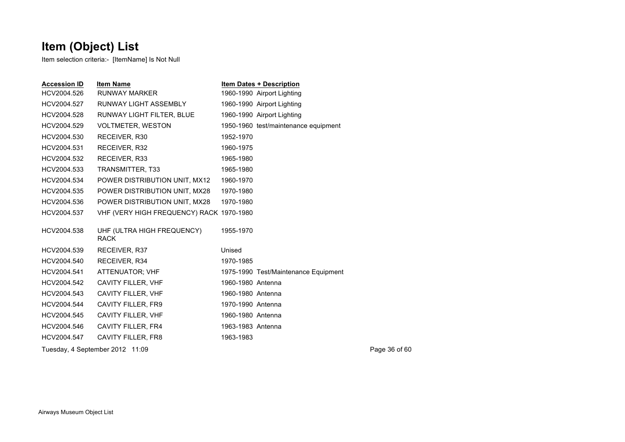| <b>Accession ID</b> | <b>Item Name</b>                          | <b>Item Dates + Description</b>      |               |  |
|---------------------|-------------------------------------------|--------------------------------------|---------------|--|
| HCV2004.526         | <b>RUNWAY MARKER</b>                      | 1960-1990 Airport Lighting           |               |  |
| HCV2004.527         | RUNWAY LIGHT ASSEMBLY                     | 1960-1990 Airport Lighting           |               |  |
| HCV2004.528         | RUNWAY LIGHT FILTER, BLUE                 | 1960-1990 Airport Lighting           |               |  |
| HCV2004.529         | <b>VOLTMETER, WESTON</b>                  | 1950-1960 test/maintenance equipment |               |  |
| HCV2004.530         | RECEIVER, R30                             | 1952-1970                            |               |  |
| HCV2004.531         | RECEIVER, R32                             | 1960-1975                            |               |  |
| HCV2004.532         | RECEIVER, R33                             | 1965-1980                            |               |  |
| HCV2004.533         | TRANSMITTER, T33                          | 1965-1980                            |               |  |
| HCV2004.534         | POWER DISTRIBUTION UNIT, MX12             | 1960-1970                            |               |  |
| HCV2004.535         | POWER DISTRIBUTION UNIT, MX28             | 1970-1980                            |               |  |
| HCV2004.536         | POWER DISTRIBUTION UNIT, MX28             | 1970-1980                            |               |  |
| HCV2004.537         | VHF (VERY HIGH FREQUENCY) RACK 1970-1980  |                                      |               |  |
|                     |                                           |                                      |               |  |
| HCV2004.538         | UHF (ULTRA HIGH FREQUENCY)<br><b>RACK</b> | 1955-1970                            |               |  |
| HCV2004.539         | RECEIVER, R37                             | Unised                               |               |  |
| HCV2004.540         | RECEIVER, R34                             | 1970-1985                            |               |  |
| HCV2004.541         | ATTENUATOR; VHF                           | 1975-1990 Test/Maintenance Equipment |               |  |
| HCV2004.542         | CAVITY FILLER, VHF                        | 1960-1980 Antenna                    |               |  |
| HCV2004.543         | CAVITY FILLER, VHF                        | 1960-1980 Antenna                    |               |  |
| HCV2004.544         | <b>CAVITY FILLER, FR9</b>                 | 1970-1990 Antenna                    |               |  |
| HCV2004.545         | CAVITY FILLER, VHF                        | 1960-1980 Antenna                    |               |  |
| HCV2004.546         | <b>CAVITY FILLER, FR4</b>                 | 1963-1983 Antenna                    |               |  |
| HCV2004.547         | CAVITY FILLER, FR8                        | 1963-1983                            |               |  |
|                     | Tuesday, 4 September 2012 11:09           |                                      | Page 36 of 60 |  |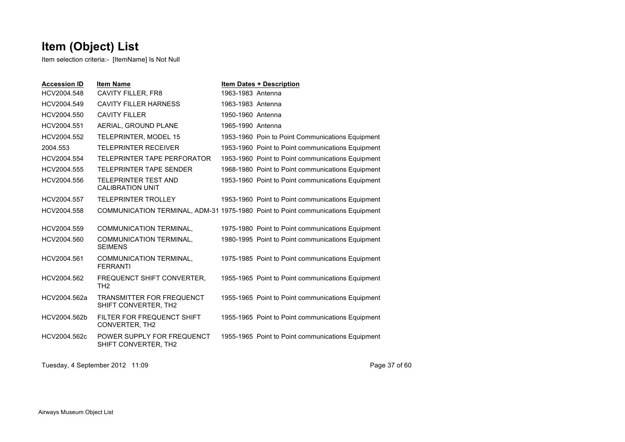Item selection criteria:- [ItemName] Is Not Null

| <b>Accession ID</b> | <b>Item Name</b>                                         | <b>Item Dates + Description</b>                                                  |
|---------------------|----------------------------------------------------------|----------------------------------------------------------------------------------|
| HCV2004.548         | CAVITY FILLER, FR8                                       | 1963-1983 Antenna                                                                |
| HCV2004.549         | <b>CAVITY FILLER HARNESS</b>                             | 1963-1983 Antenna                                                                |
| HCV2004.550         | <b>CAVITY FILLER</b>                                     | 1950-1960 Antenna                                                                |
| HCV2004.551         | AERIAL, GROUND PLANE                                     | 1965-1990 Antenna                                                                |
| HCV2004.552         | <b>TELEPRINTER, MODEL 15</b>                             | 1953-1960 Poin to Point Communications Equipment                                 |
| 2004.553            | <b>TELEPRINTER RECEIVER</b>                              | 1953-1960 Point to Point communications Equipment                                |
| HCV2004.554         | TELEPRINTER TAPE PERFORATOR                              | 1953-1960 Point to Point communications Equipment                                |
| HCV2004.555         | TFI FPRINTER TAPF SENDER                                 | 1968-1980 Point to Point communications Equipment                                |
| HCV2004.556         | TELEPRINTER TEST AND<br><b>CALIBRATION UNIT</b>          | 1953-1960 Point to Point communications Equipment                                |
| HCV2004.557         | <b>TELEPRINTER TROLLEY</b>                               | 1953-1960 Point to Point communications Equipment                                |
| HCV2004.558         |                                                          | COMMUNICATION TERMINAL, ADM-31 1975-1980 Point to Point communications Equipment |
| HCV2004.559         | <b>COMMUNICATION TERMINAL,</b>                           | 1975-1980 Point to Point communications Equipment                                |
| HCV2004.560         | COMMUNICATION TERMINAL,<br><b>SEIMENS</b>                | 1980-1995 Point to Point communications Equipment                                |
| HCV2004.561         | <b>COMMUNICATION TERMINAL,</b><br><b>FERRANTI</b>        | 1975-1985 Point to Point communications Equipment                                |
| HCV2004.562         | FREQUENCT SHIFT CONVERTER.<br>TH <sub>2</sub>            | 1955-1965 Point to Point communications Equipment                                |
| HCV2004.562a        | <b>TRANSMITTER FOR FREQUENCT</b><br>SHIFT CONVERTER, TH2 | 1955-1965 Point to Point communications Equipment                                |
| HCV2004.562b        | FILTER FOR FREQUENCT SHIFT<br>CONVERTER, TH2             | 1955-1965 Point to Point communications Equipment                                |
| HCV2004.562c        | POWER SUPPLY FOR FREQUENCT<br>SHIFT CONVERTER. TH2       | 1955-1965 Point to Point communications Equipment                                |

Tuesday, 4 September 2012 11:09 Page 37 of 60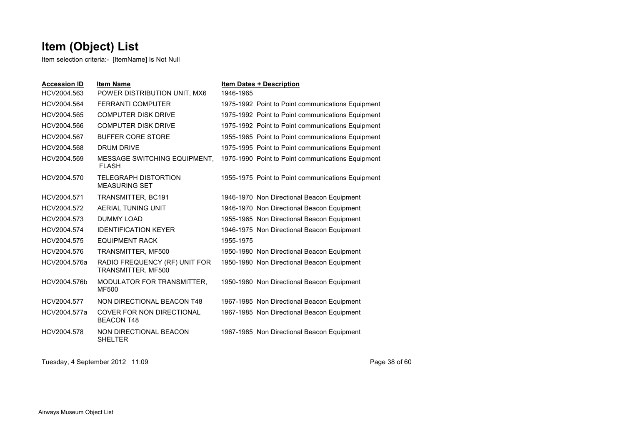Item selection criteria:- [ItemName] Is Not Null

| <b>Accession ID</b> | <b>Item Name</b>                                      | <b>Item Dates + Description</b>                   |
|---------------------|-------------------------------------------------------|---------------------------------------------------|
| HCV2004.563         | POWER DISTRIBUTION UNIT, MX6                          | 1946-1965                                         |
| HCV2004.564         | <b>FERRANTI COMPUTER</b>                              | 1975-1992 Point to Point communications Equipment |
| HCV2004.565         | <b>COMPUTER DISK DRIVE</b>                            | 1975-1992 Point to Point communications Equipment |
| HCV2004.566         | <b>COMPUTER DISK DRIVE</b>                            | 1975-1992 Point to Point communications Equipment |
| HCV2004.567         | <b>BUFFER CORE STORE</b>                              | 1955-1965 Point to Point communications Equipment |
| HCV2004.568         | <b>DRUM DRIVE</b>                                     | 1975-1995 Point to Point communications Equipment |
| HCV2004.569         | <b>MESSAGE SWITCHING EQUIPMENT.</b><br><b>FLASH</b>   | 1975-1990 Point to Point communications Equipment |
| HCV2004.570         | <b>TELEGRAPH DISTORTION</b><br><b>MEASURING SET</b>   | 1955-1975 Point to Point communications Equipment |
| HCV2004.571         | TRANSMITTER, BC191                                    | 1946-1970 Non Directional Beacon Equipment        |
| HCV2004.572         | AERIAL TUNING UNIT                                    | 1946-1970 Non Directional Beacon Equipment        |
| HCV2004.573         | <b>DUMMY LOAD</b>                                     | 1955-1965 Non Directional Beacon Equipment        |
| HCV2004.574         | <b>IDENTIFICATION KEYER</b>                           | 1946-1975 Non Directional Beacon Equipment        |
| HCV2004.575         | <b>EQUIPMENT RACK</b>                                 | 1955-1975                                         |
| HCV2004.576         | TRANSMITTER, MF500                                    | 1950-1980 Non Directional Beacon Equipment        |
| HCV2004.576a        | RADIO FREQUENCY (RF) UNIT FOR<br>TRANSMITTER, MF500   | 1950-1980 Non Directional Beacon Equipment        |
| HCV2004.576b        | MODULATOR FOR TRANSMITTER,<br><b>MF500</b>            | 1950-1980 Non Directional Beacon Equipment        |
| HCV2004.577         | NON DIRECTIONAL BEACON T48                            | 1967-1985 Non Directional Beacon Equipment        |
| HCV2004.577a        | <b>COVER FOR NON DIRECTIONAL</b><br><b>BEACON T48</b> | 1967-1985 Non Directional Beacon Equipment        |
| HCV2004.578         | NON DIRECTIONAL BEACON<br><b>SHELTER</b>              | 1967-1985 Non Directional Beacon Equipment        |

Tuesday, 4 September 2012 11:09 Page 38 of 60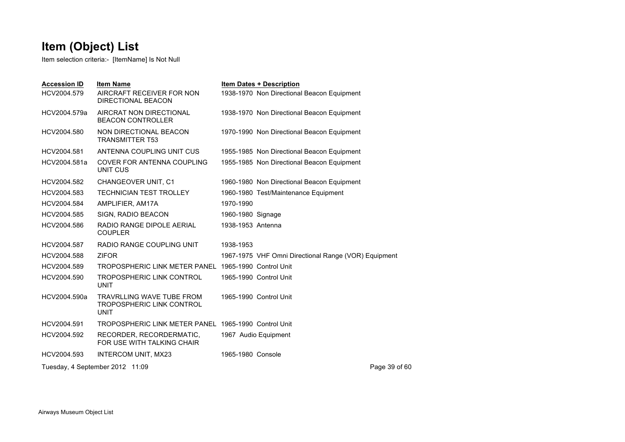| <b>Accession ID</b><br>HCV2004.579 | <b>Item Name</b><br>AIRCRAFT RECEIVER FOR NON<br>DIRECTIONAL BEACON                 | <b>Item Dates + Description</b><br>1938-1970 Non Directional Beacon Equipment |
|------------------------------------|-------------------------------------------------------------------------------------|-------------------------------------------------------------------------------|
| HCV2004.579a                       | AIRCRAT NON DIRECTIONAL<br><b>BEACON CONTROLLER</b>                                 | 1938-1970 Non Directional Beacon Equipment                                    |
| HCV2004.580                        | NON DIRECTIONAL BEACON<br><b>TRANSMITTER T53</b>                                    | 1970-1990 Non Directional Beacon Equipment                                    |
| HCV2004.581                        | ANTENNA COUPLING UNIT CUS                                                           | 1955-1985 Non Directional Beacon Equipment                                    |
| HCV2004.581a                       | COVER FOR ANTENNA COUPLING<br>UNIT CUS                                              | 1955-1985 Non Directional Beacon Equipment                                    |
| HCV2004.582                        | <b>CHANGEOVER UNIT, C1</b>                                                          | 1960-1980 Non Directional Beacon Equipment                                    |
| HCV2004.583                        | <b>TECHNICIAN TEST TROLLEY</b>                                                      | 1960-1980 Test/Maintenance Equipment                                          |
| HCV2004.584                        | AMPLIFIER, AM17A                                                                    | 1970-1990                                                                     |
| HCV2004.585                        | SIGN, RADIO BEACON                                                                  | 1960-1980 Signage                                                             |
| HCV2004.586                        | RADIO RANGE DIPOLE AERIAL<br><b>COUPLER</b>                                         | 1938-1953 Antenna                                                             |
| HCV2004.587                        | RADIO RANGE COUPLING UNIT                                                           | 1938-1953                                                                     |
| HCV2004.588                        | <b>ZIFOR</b>                                                                        | 1967-1975 VHF Omni Directional Range (VOR) Equipment                          |
| HCV2004.589                        | TROPOSPHERIC LINK METER PANEL 1965-1990 Control Unit                                |                                                                               |
| HCV2004.590                        | TROPOSPHERIC LINK CONTROL<br><b>UNIT</b>                                            | 1965-1990 Control Unit                                                        |
| HCV2004.590a                       | <b>TRAVRLLING WAVE TUBE FROM</b><br><b>TROPOSPHERIC LINK CONTROL</b><br><b>UNIT</b> | 1965-1990 Control Unit                                                        |
| HCV2004.591                        | TROPOSPHERIC LINK METER PANEL 1965-1990 Control Unit                                |                                                                               |
| HCV2004.592                        | RECORDER, RECORDERMATIC,<br>FOR USE WITH TALKING CHAIR                              | 1967 Audio Equipment                                                          |
| HCV2004.593                        | INTERCOM UNIT, MX23                                                                 | 1965-1980 Console                                                             |
|                                    | Tuesday, 4 September 2012 11:09                                                     | Page 39 of 60                                                                 |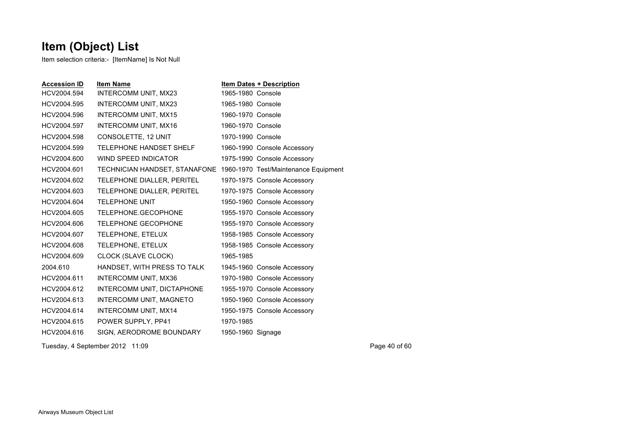Item selection criteria:- [ItemName] Is Not Null

| <b>Accession ID</b> | <b>Item Name</b>                                                   |                   | <b>Item Dates + Description</b> |
|---------------------|--------------------------------------------------------------------|-------------------|---------------------------------|
| HCV2004.594         | INTERCOMM UNIT, MX23                                               | 1965-1980 Console |                                 |
| HCV2004.595         | INTERCOMM UNIT, MX23                                               | 1965-1980 Console |                                 |
| HCV2004.596         | <b>INTERCOMM UNIT, MX15</b>                                        | 1960-1970 Console |                                 |
| HCV2004.597         | <b>INTERCOMM UNIT, MX16</b>                                        | 1960-1970 Console |                                 |
| HCV2004.598         | CONSOLETTE, 12 UNIT                                                | 1970-1990 Console |                                 |
| HCV2004.599         | TELEPHONE HANDSET SHELF                                            |                   | 1960-1990 Console Accessory     |
| HCV2004.600         | WIND SPEED INDICATOR                                               |                   | 1975-1990 Console Accessory     |
| HCV2004.601         | TECHNICIAN HANDSET, STANAFONE 1960-1970 Test/Maintenance Equipment |                   |                                 |
| HCV2004.602         | TELEPHONE DIALLER, PERITEL                                         |                   | 1970-1975 Console Accessory     |
| HCV2004.603         | TELEPHONE DIALLER, PERITEL                                         |                   | 1970-1975 Console Accessory     |
| HCV2004.604         | <b>TELEPHONE UNIT</b>                                              |                   | 1950-1960 Console Accessory     |
| HCV2004.605         | TELEPHONE.GECOPHONE                                                |                   | 1955-1970 Console Accessory     |
| HCV2004.606         | <b>TELEPHONE GECOPHONE</b>                                         |                   | 1955-1970 Console Accessory     |
| HCV2004.607         | TELEPHONE, ETELUX                                                  |                   | 1958-1985 Console Accessory     |
| HCV2004.608         | TELEPHONE, ETELUX                                                  |                   | 1958-1985 Console Accessory     |
| HCV2004.609         | CLOCK (SLAVE CLOCK)                                                | 1965-1985         |                                 |
| 2004.610            | HANDSET, WITH PRESS TO TALK                                        |                   | 1945-1960 Console Accessory     |
| HCV2004.611         | <b>INTERCOMM UNIT, MX36</b>                                        |                   | 1970-1980 Console Accessory     |
| HCV2004.612         | INTERCOMM UNIT, DICTAPHONE                                         |                   | 1955-1970 Console Accessory     |
| HCV2004.613         | INTERCOMM UNIT, MAGNETO                                            |                   | 1950-1960 Console Accessory     |
| HCV2004.614         | INTERCOMM UNIT, MX14                                               |                   | 1950-1975 Console Accessory     |
| HCV2004.615         | POWER SUPPLY, PP41                                                 | 1970-1985         |                                 |
| HCV2004.616         | SIGN, AERODROME BOUNDARY                                           | 1950-1960 Signage |                                 |
|                     |                                                                    |                   |                                 |

Tuesday, 4 September 2012 11:09 Page 40 of 60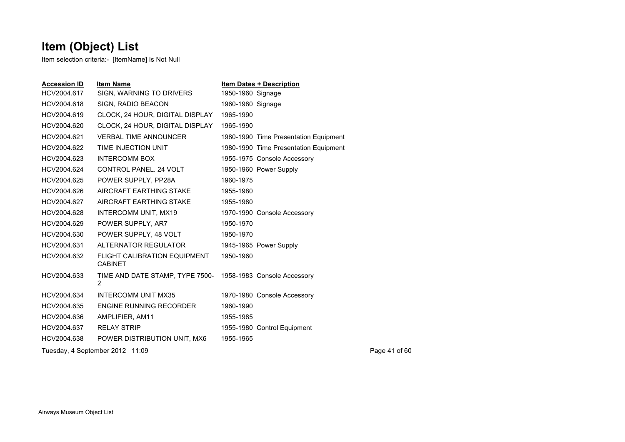| <b>Accession ID</b> | <b>Item Name</b>                                                 | <b>Item Dates + Description</b>       |               |
|---------------------|------------------------------------------------------------------|---------------------------------------|---------------|
| HCV2004.617         | SIGN, WARNING TO DRIVERS                                         | 1950-1960 Signage                     |               |
| HCV2004.618         | SIGN, RADIO BEACON                                               | 1960-1980 Signage                     |               |
| HCV2004.619         | CLOCK, 24 HOUR, DIGITAL DISPLAY                                  | 1965-1990                             |               |
| HCV2004.620         | CLOCK, 24 HOUR, DIGITAL DISPLAY                                  | 1965-1990                             |               |
| HCV2004.621         | <b>VERBAL TIME ANNOUNCER</b>                                     | 1980-1990 Time Presentation Equipment |               |
| HCV2004.622         | TIME INJECTION UNIT                                              | 1980-1990 Time Presentation Equipment |               |
| HCV2004.623         | <b>INTERCOMM BOX</b>                                             | 1955-1975 Console Accessory           |               |
| HCV2004.624         | CONTROL PANEL, 24 VOLT                                           | 1950-1960 Power Supply                |               |
| HCV2004.625         | POWER SUPPLY, PP28A                                              | 1960-1975                             |               |
| HCV2004.626         | AIRCRAFT EARTHING STAKE                                          | 1955-1980                             |               |
| HCV2004.627         | AIRCRAFT EARTHING STAKE                                          | 1955-1980                             |               |
| HCV2004.628         | INTERCOMM UNIT, MX19                                             | 1970-1990 Console Accessory           |               |
| HCV2004.629         | POWER SUPPLY, AR7                                                | 1950-1970                             |               |
| HCV2004.630         | POWER SUPPLY, 48 VOLT                                            | 1950-1970                             |               |
| HCV2004.631         | ALTERNATOR REGULATOR                                             | 1945-1965 Power Supply                |               |
| HCV2004.632         | FLIGHT CALIBRATION EQUIPMENT<br><b>CABINET</b>                   | 1950-1960                             |               |
| HCV2004.633         | TIME AND DATE STAMP, TYPE 7500- 1958-1983 Console Accessory<br>2 |                                       |               |
| HCV2004.634         | <b>INTERCOMM UNIT MX35</b>                                       | 1970-1980 Console Accessory           |               |
| HCV2004.635         | ENGINE RUNNING RECORDER                                          | 1960-1990                             |               |
| HCV2004.636         | AMPLIFIER, AM11                                                  | 1955-1985                             |               |
| HCV2004.637         | <b>RELAY STRIP</b>                                               | 1955-1980 Control Equipment           |               |
| HCV2004.638         | POWER DISTRIBUTION UNIT, MX6                                     | 1955-1965                             |               |
|                     | Tuesday, 4 September 2012 11:09                                  |                                       | Page 41 of 60 |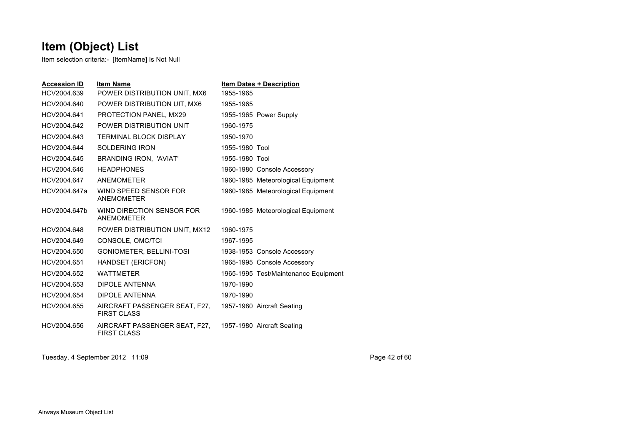Item selection criteria:- [ItemName] Is Not Null

| <b>Accession ID</b> | <b>Item Name</b>                                                               | <b>Item Dates + Description</b>      |
|---------------------|--------------------------------------------------------------------------------|--------------------------------------|
| HCV2004.639         | POWER DISTRIBUTION UNIT, MX6                                                   | 1955-1965                            |
| HCV2004.640         | POWER DISTRIBUTION UIT, MX6                                                    | 1955-1965                            |
| HCV2004.641         | PROTECTION PANEL, MX29                                                         | 1955-1965 Power Supply               |
| HCV2004.642         | POWER DISTRIBUTION UNIT                                                        | 1960-1975                            |
| HCV2004.643         | <b>TERMINAL BLOCK DISPLAY</b>                                                  | 1950-1970                            |
| HCV2004.644         | <b>SOLDERING IRON</b>                                                          | 1955-1980 Tool                       |
| HCV2004.645         | <b>BRANDING IRON. 'AVIAT'</b>                                                  | 1955-1980 Tool                       |
| HCV2004.646         | <b>HEADPHONES</b>                                                              | 1960-1980 Console Accessory          |
| HCV2004.647         | ANEMOMETER                                                                     | 1960-1985 Meteorological Equipment   |
| HCV2004.647a        | WIND SPEED SENSOR FOR<br><b>ANEMOMETER</b>                                     | 1960-1985 Meteorological Equipment   |
| HCV2004.647b        | WIND DIRECTION SENSOR FOR<br><b>ANEMOMETER</b>                                 | 1960-1985 Meteorological Equipment   |
| HCV2004.648         | POWER DISTRIBUTION UNIT, MX12                                                  | 1960-1975                            |
| HCV2004.649         | CONSOLE, OMC/TCI                                                               | 1967-1995                            |
| HCV2004.650         | GONIOMETER, BELLINI-TOSI                                                       | 1938-1953 Console Accessory          |
| HCV2004.651         | HANDSET (ERICFON)                                                              | 1965-1995 Console Accessory          |
| HCV2004.652         | <b>WATTMFTFR</b>                                                               | 1965-1995 Test/Maintenance Equipment |
| HCV2004.653         | DIPOLE ANTENNA                                                                 | 1970-1990                            |
| HCV2004.654         | <b>DIPOLE ANTENNA</b>                                                          | 1970-1990                            |
| HCV2004.655         | AIRCRAFT PASSENGER SEAT, F27,<br><b>FIRST CLASS</b>                            | 1957-1980 Aircraft Seating           |
| HCV2004.656         | AIRCRAFT PASSENGER SEAT, F27, 1957-1980 Aircraft Seating<br><b>FIRST CLASS</b> |                                      |

Tuesday, 4 September 2012 11:09 Page 42 of 60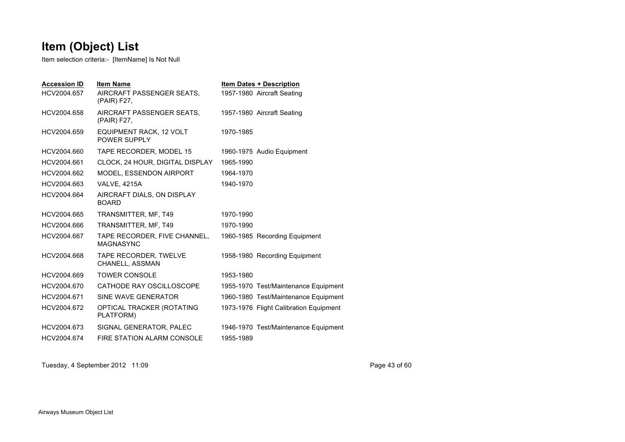Item selection criteria:- [ItemName] Is Not Null

| <b>Accession ID</b><br>HCV2004.657 | <b>Item Name</b><br>AIRCRAFT PASSENGER SEATS.<br>(PAIR) F27, |           | <b>Item Dates + Description</b><br>1957-1980 Aircraft Seating |
|------------------------------------|--------------------------------------------------------------|-----------|---------------------------------------------------------------|
| HCV2004.658                        | AIRCRAFT PASSENGER SEATS,<br>(PAIR) F27,                     |           | 1957-1980 Aircraft Seating                                    |
| HCV2004.659                        | EQUIPMENT RACK, 12 VOLT<br>POWER SUPPLY                      | 1970-1985 |                                                               |
| HCV2004.660                        | TAPE RECORDER, MODEL 15                                      |           | 1960-1975 Audio Equipment                                     |
| HCV2004.661                        | CLOCK, 24 HOUR, DIGITAL DISPLAY                              | 1965-1990 |                                                               |
| HCV2004.662                        | <b>MODEL, ESSENDON AIRPORT</b>                               | 1964-1970 |                                                               |
| HCV2004.663                        | <b>VALVE, 4215A</b>                                          | 1940-1970 |                                                               |
| HCV2004.664                        | AIRCRAFT DIALS, ON DISPLAY<br><b>BOARD</b>                   |           |                                                               |
| HCV2004.665                        | TRANSMITTER, MF, T49                                         | 1970-1990 |                                                               |
| HCV2004.666                        | TRANSMITTER, MF, T49                                         | 1970-1990 |                                                               |
| HCV2004.667                        | TAPE RECORDER, FIVE CHANNEL,<br><b>MAGNASYNC</b>             |           | 1960-1985 Recording Equipment                                 |
| HCV2004.668                        | TAPE RECORDER, TWELVE<br>CHANELL, ASSMAN                     |           | 1958-1980 Recording Equipment                                 |
| HCV2004.669                        | <b>TOWER CONSOLE</b>                                         | 1953-1980 |                                                               |
| HCV2004.670                        | CATHODE RAY OSCILLOSCOPE                                     |           | 1955-1970 Test/Maintenance Equipment                          |
| HCV2004.671                        | SINE WAVE GENERATOR                                          |           | 1960-1980 Test/Maintenance Equipment                          |
| HCV2004.672                        | OPTICAL TRACKER (ROTATING<br>PLATFORM)                       |           | 1973-1976 Flight Calibration Equipment                        |
| HCV2004.673                        | SIGNAL GENERATOR, PALEC                                      |           | 1946-1970 Test/Maintenance Equipment                          |
| HCV2004.674                        | FIRE STATION ALARM CONSOLE                                   | 1955-1989 |                                                               |

Tuesday, 4 September 2012 11:09 Page 43 of 60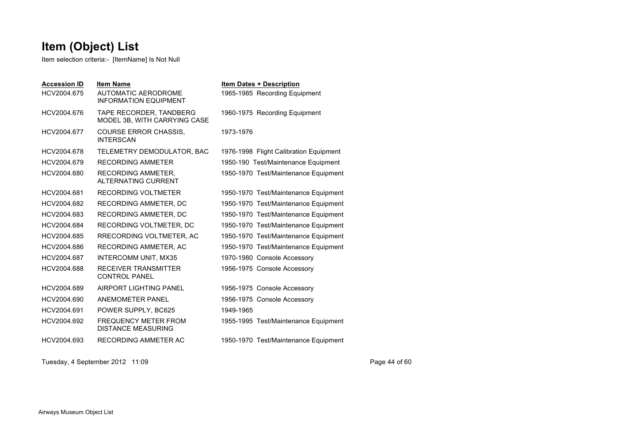Item selection criteria:- [ItemName] Is Not Null

| <b>Accession ID</b> | <b>Item Name</b>                                           | <b>Item Dates + Description</b>        |
|---------------------|------------------------------------------------------------|----------------------------------------|
| HCV2004.675         | <b>AUTOMATIC AERODROME</b><br><b>INFORMATION EQUIPMENT</b> | 1965-1985 Recording Equipment          |
| HCV2004.676         | TAPE RECORDER, TANDBERG<br>MODEL 3B, WITH CARRYING CASE    | 1960-1975 Recording Equipment          |
| HCV2004.677         | <b>COURSE ERROR CHASSIS.</b><br><b>INTERSCAN</b>           | 1973-1976                              |
| HCV2004.678         | TELEMETRY DEMODULATOR, BAC                                 | 1976-1998 Flight Calibration Equipment |
| HCV2004.679         | <b>RECORDING AMMETER</b>                                   | 1950-190 Test/Maintenance Equipment    |
| HCV2004.680         | RECORDING AMMETER.<br><b>ALTERNATING CURRENT</b>           | 1950-1970 Test/Maintenance Equipment   |
| HCV2004.681         | RECORDING VOLTMETER                                        | 1950-1970 Test/Maintenance Equipment   |
| HCV2004.682         | RECORDING AMMETER, DC                                      | 1950-1970 Test/Maintenance Equipment   |
| HCV2004.683         | RECORDING AMMETER, DC                                      | 1950-1970 Test/Maintenance Equipment   |
| HCV2004.684         | RECORDING VOLTMETER, DC                                    | 1950-1970 Test/Maintenance Equipment   |
| HCV2004.685         | RRECORDING VOLTMETER, AC                                   | 1950-1970 Test/Maintenance Equipment   |
| HCV2004.686         | RECORDING AMMETER, AC                                      | 1950-1970 Test/Maintenance Equipment   |
| HCV2004.687         | <b>INTERCOMM UNIT, MX35</b>                                | 1970-1980 Console Accessory            |
| HCV2004.688         | <b>RECEIVER TRANSMITTER</b><br><b>CONTROL PANEL</b>        | 1956-1975 Console Accessory            |
| HCV2004.689         | AIRPORT LIGHTING PANEL                                     | 1956-1975 Console Accessory            |
| HCV2004.690         | ANEMOMETER PANEL                                           | 1956-1975 Console Accessory            |
| HCV2004.691         | POWER SUPPLY, BC625                                        | 1949-1965                              |
| HCV2004.692         | <b>FREQUENCY METER FROM</b><br><b>DISTANCE MEASURING</b>   | 1955-1995 Test/Maintenance Equipment   |
| HCV2004.693         | RECORDING AMMETER AC                                       | 1950-1970 Test/Maintenance Equipment   |

Tuesday, 4 September 2012 11:09 Page 44 of 60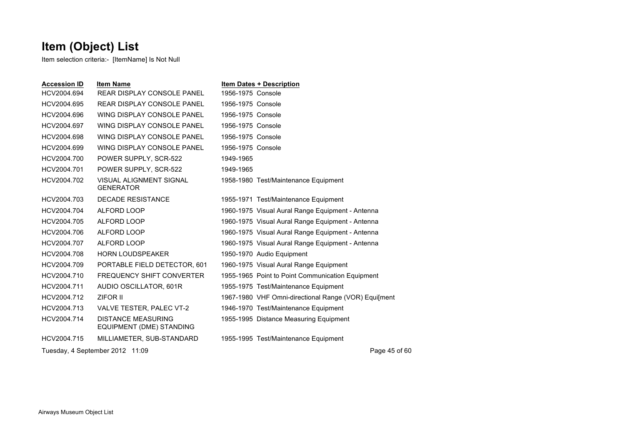| <b>Accession ID</b> | <b>Item Name</b>                                      |                   | <b>Item Dates + Description</b>                      |
|---------------------|-------------------------------------------------------|-------------------|------------------------------------------------------|
| HCV2004.694         | <b>REAR DISPLAY CONSOLE PANEL</b>                     | 1956-1975 Console |                                                      |
| HCV2004.695         | <b>REAR DISPLAY CONSOLE PANEL</b>                     | 1956-1975 Console |                                                      |
| HCV2004.696         | WING DISPLAY CONSOLE PANEL                            | 1956-1975 Console |                                                      |
| HCV2004.697         | WING DISPLAY CONSOLE PANEL                            | 1956-1975 Console |                                                      |
| HCV2004.698         | WING DISPLAY CONSOLE PANEL                            | 1956-1975 Console |                                                      |
| HCV2004.699         | WING DISPLAY CONSOLE PANEL                            | 1956-1975 Console |                                                      |
| HCV2004.700         | POWER SUPPLY, SCR-522                                 | 1949-1965         |                                                      |
| HCV2004.701         | POWER SUPPLY, SCR-522                                 | 1949-1965         |                                                      |
| HCV2004.702         | VISUAL ALIGNMENT SIGNAL<br><b>GENERATOR</b>           |                   | 1958-1980 Test/Maintenance Equipment                 |
| HCV2004.703         | <b>DECADE RESISTANCE</b>                              |                   | 1955-1971 Test/Maintenance Equipment                 |
| HCV2004.704         | ALFORD LOOP                                           |                   | 1960-1975 Visual Aural Range Equipment - Antenna     |
| HCV2004.705         | ALFORD LOOP                                           |                   | 1960-1975 Visual Aural Range Equipment - Antenna     |
| HCV2004.706         | ALFORD LOOP                                           |                   | 1960-1975 Visual Aural Range Equipment - Antenna     |
| HCV2004.707         | <b>ALFORD LOOP</b>                                    |                   | 1960-1975 Visual Aural Range Equipment - Antenna     |
| HCV2004.708         | <b>HORN LOUDSPEAKER</b>                               |                   | 1950-1970 Audio Equipment                            |
| HCV2004.709         | PORTABLE FIELD DETECTOR, 601                          |                   | 1960-1975 Visual Aural Range Equipment               |
| HCV2004.710         | <b>FREQUENCY SHIFT CONVERTER</b>                      |                   | 1955-1965 Point to Point Communication Equipment     |
| HCV2004.711         | AUDIO OSCILLATOR, 601R                                |                   | 1955-1975 Test/Maintenance Equipment                 |
| HCV2004.712         | ZIFOR II                                              |                   | 1967-1980 VHF Omni-directional Range (VOR) Equilment |
| HCV2004.713         | VALVE TESTER, PALEC VT-2                              |                   | 1946-1970 Test/Maintenance Equipment                 |
| HCV2004.714         | <b>DISTANCE MEASURING</b><br>EQUIPMENT (DME) STANDING |                   | 1955-1995 Distance Measuring Equipment               |
| HCV2004.715         | MILLIAMETER, SUB-STANDARD                             |                   | 1955-1995 Test/Maintenance Equipment                 |
|                     | Tuesday, 4 September 2012 11:09                       |                   | Page 45 of 60                                        |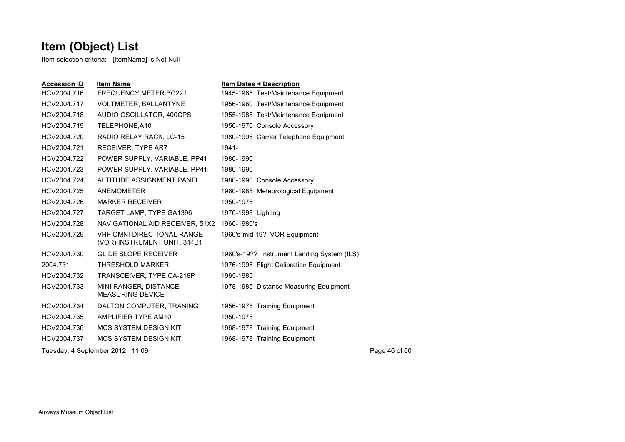| <b>Accession ID</b> | <b>Item Name</b>                                                  | <b>Item Dates + Description</b>             |               |
|---------------------|-------------------------------------------------------------------|---------------------------------------------|---------------|
| HCV2004.716         | <b>FREQUENCY METER BC221</b>                                      | 1945-1965 Test/Maintenance Equipment        |               |
| HCV2004.717         | <b>VOLTMETER, BALLANTYNE</b>                                      | 1956-1960 Test/Maintenance Equipment        |               |
| HCV2004.718         | AUDIO OSCILLATOR, 400CPS                                          | 1955-1985 Test/Maintenance Equipment        |               |
| HCV2004.719         | TELEPHONE, A10                                                    | 1950-1970 Console Accessory                 |               |
| HCV2004.720         | RADIO RELAY RACK, LC-15                                           | 1980-1995 Carrier Telephone Equipment       |               |
| HCV2004.721         | RECEIVER, TYPE AR7                                                | 1941-                                       |               |
| HCV2004.722         | POWER SUPPLY, VARIABLE, PP41                                      | 1980-1990                                   |               |
| HCV2004.723         | POWER SUPPLY, VARIABLE, PP41                                      | 1980-1990                                   |               |
| HCV2004.724         | ALTITUDE ASSIGNMENT PANEL                                         | 1980-1990 Console Accessory                 |               |
| HCV2004.725         | <b>ANEMOMETER</b>                                                 | 1960-1985 Meteorological Equipment          |               |
| HCV2004.726         | <b>MARKER RECEIVER</b>                                            | 1950-1975                                   |               |
| HCV2004.727         | TARGET LAMP, TYPE GA1396                                          | 1976-1998 Lighting                          |               |
| HCV2004.728         | NAVIGATIONAL AID RECEIVER, 51X2                                   | 1960-1980's                                 |               |
| HCV2004.729         | <b>VHF OMNI-DIRECTIONAL RANGE</b><br>(VOR) INSTRUMENT UNIT, 344B1 | 1960's-mid 19? VOR Equipment                |               |
| HCV2004.730         | <b>GLIDE SLOPE RECEIVER</b>                                       | 1960's-19?? Instrument Landing System (ILS) |               |
| 2004.731            | THRESHOLD MARKER                                                  | 1976-1998 Flight Calibration Equipment      |               |
| HCV2004.732         | TRANSCEIVER, TYPE CA-218P                                         | 1965-1985                                   |               |
| HCV2004.733         | MINI RANGER, DISTANCE<br><b>MEASURING DEVICE</b>                  | 1978-1985 Distance Measuring Equipment      |               |
| HCV2004.734         | DALTON COMPUTER, TRANING                                          | 1956-1975 Training Equipment                |               |
| HCV2004.735         | AMPLIFIER TYPE AM10                                               | 1950-1975                                   |               |
| HCV2004.736         | <b>MCS SYSTEM DESIGN KIT</b>                                      | 1968-1978 Training Equipment                |               |
| HCV2004.737         | <b>MCS SYSTEM DESIGN KIT</b>                                      | 1968-1978 Training Equipment                |               |
|                     | Tuesday, 4 September 2012 11:09                                   |                                             | Page 46 of 60 |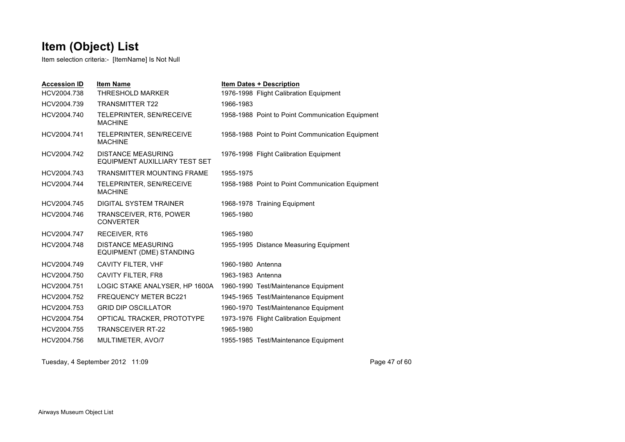Item selection criteria:- [ItemName] Is Not Null

| <b>Accession ID</b> | <b>Item Name</b>                                           | <b>Item Dates + Description</b>                  |
|---------------------|------------------------------------------------------------|--------------------------------------------------|
| HCV2004.738         | <b>THRESHOLD MARKER</b>                                    | 1976-1998 Flight Calibration Equipment           |
| HCV2004.739         | <b>TRANSMITTER T22</b>                                     | 1966-1983                                        |
| HCV2004.740         | TELEPRINTER, SEN/RECEIVE<br><b>MACHINF</b>                 | 1958-1988 Point to Point Communication Equipment |
| HCV2004.741         | TELEPRINTER, SEN/RECEIVE<br><b>MACHINE</b>                 | 1958-1988 Point to Point Communication Equipment |
| HCV2004.742         | <b>DISTANCE MEASURING</b><br>EQUIPMENT AUXILLIARY TEST SET | 1976-1998 Flight Calibration Equipment           |
| HCV2004.743         | <b>TRANSMITTER MOUNTING FRAME</b>                          | 1955-1975                                        |
| HCV2004.744         | TELEPRINTER, SEN/RECEIVE<br><b>MACHINE</b>                 | 1958-1988 Point to Point Communication Equipment |
| HCV2004.745         | DIGITAL SYSTEM TRAINER                                     | 1968-1978 Training Equipment                     |
| HCV2004.746         | TRANSCEIVER, RT6, POWER<br><b>CONVERTER</b>                | 1965-1980                                        |
| HCV2004.747         | RECEIVER, RT6                                              | 1965-1980                                        |
| HCV2004.748         | <b>DISTANCE MEASURING</b><br>EQUIPMENT (DME) STANDING      | 1955-1995 Distance Measuring Equipment           |
| HCV2004.749         | <b>CAVITY FILTER, VHF</b>                                  | 1960-1980 Antenna                                |
| HCV2004.750         | CAVITY FILTER, FR8                                         | 1963-1983 Antenna                                |
| HCV2004.751         | LOGIC STAKE ANALYSER, HP 1600A                             | 1960-1990 Test/Maintenance Equipment             |
| HCV2004.752         | <b>FREQUENCY METER BC221</b>                               | 1945-1965 Test/Maintenance Equipment             |
| HCV2004.753         | <b>GRID DIP OSCILLATOR</b>                                 | 1960-1970 Test/Maintenance Equipment             |
| HCV2004.754         | OPTICAL TRACKER, PROTOTYPE                                 | 1973-1976 Flight Calibration Equipment           |
| HCV2004.755         | <b>TRANSCEIVER RT-22</b>                                   | 1965-1980                                        |
| HCV2004.756         | MULTIMETER, AVO/7                                          | 1955-1985 Test/Maintenance Equipment             |

Tuesday, 4 September 2012 11:09 Page 47 of 60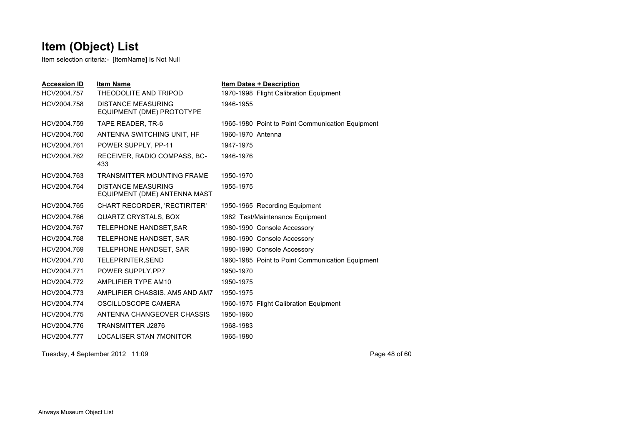Item selection criteria:- [ItemName] Is Not Null

| <b>Accession ID</b> | <b>Item Name</b>                                          | <b>Item Dates + Description</b>                  |
|---------------------|-----------------------------------------------------------|--------------------------------------------------|
| HCV2004.757         | THEODOLITE AND TRIPOD                                     | 1970-1998 Flight Calibration Equipment           |
| HCV2004.758         | <b>DISTANCE MEASURING</b><br>EQUIPMENT (DME) PROTOTYPE    | 1946-1955                                        |
| HCV2004.759         | TAPE READER, TR-6                                         | 1965-1980 Point to Point Communication Equipment |
| HCV2004.760         | ANTENNA SWITCHING UNIT, HF                                | 1960-1970 Antenna                                |
| HCV2004.761         | POWER SUPPLY, PP-11                                       | 1947-1975                                        |
| HCV2004.762         | RECEIVER, RADIO COMPASS, BC-<br>433                       | 1946-1976                                        |
| HCV2004.763         | <b>TRANSMITTER MOUNTING FRAME</b>                         | 1950-1970                                        |
| HCV2004.764         | <b>DISTANCE MEASURING</b><br>EQUIPMENT (DME) ANTENNA MAST | 1955-1975                                        |
| HCV2004.765         | CHART RECORDER, 'RECTIRITER'                              | 1950-1965 Recording Equipment                    |
| HCV2004.766         | <b>QUARTZ CRYSTALS, BOX</b>                               | 1982 Test/Maintenance Equipment                  |
| HCV2004.767         | TELEPHONE HANDSET, SAR                                    | 1980-1990 Console Accessory                      |
| HCV2004.768         | TELEPHONE HANDSET, SAR                                    | 1980-1990 Console Accessory                      |
| HCV2004.769         | TELEPHONE HANDSET, SAR                                    | 1980-1990 Console Accessory                      |
| HCV2004.770         | TELEPRINTER, SEND                                         | 1960-1985 Point to Point Communication Equipment |
| HCV2004.771         | POWER SUPPLY, PP7                                         | 1950-1970                                        |
| HCV2004.772         | AMPLIFIER TYPE AM10                                       | 1950-1975                                        |
| HCV2004.773         | AMPLIFIER CHASSIS, AM5 AND AM7                            | 1950-1975                                        |
| HCV2004.774         | OSCILLOSCOPE CAMERA                                       | 1960-1975 Flight Calibration Equipment           |
| HCV2004.775         | ANTENNA CHANGEOVER CHASSIS                                | 1950-1960                                        |
| HCV2004.776         | <b>TRANSMITTER J2876</b>                                  | 1968-1983                                        |
| HCV2004.777         | <b>LOCALISER STAN 7MONITOR</b>                            | 1965-1980                                        |

Tuesday, 4 September 2012 11:09 Page 48 of 60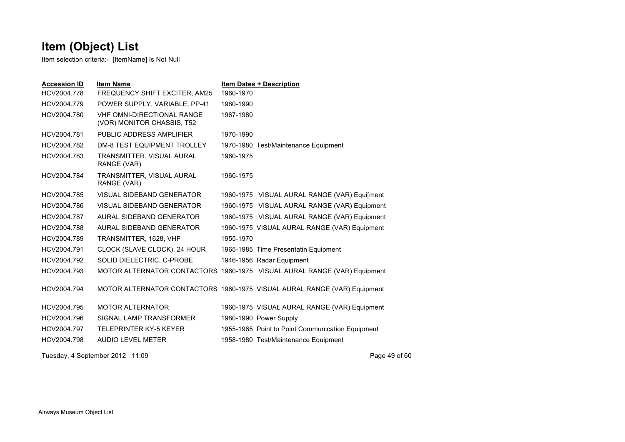| <b>Accession ID</b>             | <b>Item Name</b>                                                |           | <b>Item Dates + Description</b>                                          |
|---------------------------------|-----------------------------------------------------------------|-----------|--------------------------------------------------------------------------|
| HCV2004.778                     | FREQUENCY SHIFT EXCITER, AM25                                   | 1960-1970 |                                                                          |
| HCV2004.779                     | POWER SUPPLY, VARIABLE, PP-41                                   | 1980-1990 |                                                                          |
| HCV2004.780                     | <b>VHF OMNI-DIRECTIONAL RANGE</b><br>(VOR) MONITOR CHASSIS, T52 | 1967-1980 |                                                                          |
| HCV2004.781                     | PUBLIC ADDRESS AMPLIFIER                                        | 1970-1990 |                                                                          |
| HCV2004.782                     | <b>DM-8 TEST EQUIPMENT TROLLEY</b>                              |           | 1970-1980 Test/Maintenance Equipment                                     |
| HCV2004.783                     | TRANSMITTER, VISUAL AURAL<br>RANGE (VAR)                        | 1960-1975 |                                                                          |
| HCV2004.784                     | TRANSMITTER, VISUAL AURAL<br>RANGE (VAR)                        | 1960-1975 |                                                                          |
| HCV2004.785                     | VISUAL SIDEBAND GENERATOR                                       |           | 1960-1975 VISUAL AURAL RANGE (VAR) Equi[ment                             |
| HCV2004.786                     | VISUAL SIDEBAND GENERATOR                                       |           | 1960-1975 VISUAL AURAL RANGE (VAR) Equipment                             |
| HCV2004.787                     | AURAL SIDEBAND GENERATOR                                        |           | 1960-1975 VISUAL AURAL RANGE (VAR) Equipment                             |
| HCV2004.788                     | AURAL SIDEBAND GENERATOR                                        |           | 1960-1975 VISUAL AURAL RANGE (VAR) Equipment                             |
| HCV2004.789                     | TRANSMITTER, 1628, VHF                                          | 1955-1970 |                                                                          |
| HCV2004.791                     | CLOCK (SLAVE CLOCK), 24 HOUR                                    |           | 1965-1985 Time Presentatin Equipment                                     |
| HCV2004.792                     | SOLID DIELECTRIC, C-PROBE                                       |           | 1946-1956 Radar Equipment                                                |
| HCV2004.793                     |                                                                 |           | MOTOR ALTERNATOR CONTACTORS 1960-1975 VISUAL AURAL RANGE (VAR) Equipment |
| HCV2004.794                     |                                                                 |           | MOTOR ALTERNATOR CONTACTORS 1960-1975 VISUAL AURAL RANGE (VAR) Equipment |
| HCV2004.795                     | <b>MOTOR ALTERNATOR</b>                                         |           | 1960-1975 VISUAL AURAL RANGE (VAR) Equipment                             |
| HCV2004.796                     | SIGNAL LAMP TRANSFORMER                                         |           | 1980-1990 Power Supply                                                   |
| HCV2004.797                     | <b>TELEPRINTER KY-5 KEYER</b>                                   |           | 1955-1965 Point to Point Communication Equipment                         |
| HCV2004.798                     | AUDIO LEVEL METER                                               |           | 1958-1980 Test/Maintenance Equipment                                     |
| Tuesday, 4 September 2012 11:09 |                                                                 |           | Page 49 of 60                                                            |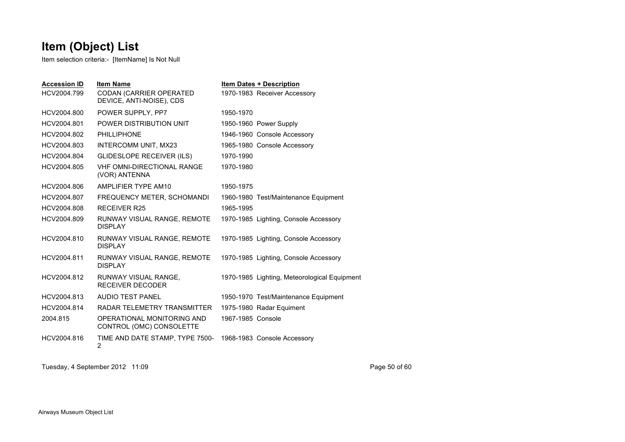Item selection criteria:- [ItemName] Is Not Null

| <b>Accession ID</b><br>HCV2004.799 | <b>Item Name</b><br>CODAN (CARRIER OPERATED<br>DEVICE, ANTI-NOISE), CDS | <b>Item Dates + Description</b><br>1970-1983 Receiver Accessory |
|------------------------------------|-------------------------------------------------------------------------|-----------------------------------------------------------------|
| HCV2004.800                        | POWER SUPPLY, PP7                                                       | 1950-1970                                                       |
| HCV2004.801                        | POWER DISTRIBUTION UNIT                                                 | 1950-1960 Power Supply                                          |
| HCV2004.802                        | <b>PHILLIPHONE</b>                                                      | 1946-1960 Console Accessory                                     |
| HCV2004.803                        | INTERCOMM UNIT, MX23                                                    | 1965-1980 Console Accessory                                     |
| HCV2004.804                        | <b>GLIDESLOPE RECEIVER (ILS)</b>                                        | 1970-1990                                                       |
| HCV2004.805                        | <b>VHF OMNI-DIRECTIONAL RANGE</b><br>(VOR) ANTENNA                      | 1970-1980                                                       |
| HCV2004.806                        | AMPLIFIER TYPE AM10                                                     | 1950-1975                                                       |
| HCV2004.807                        | FREQUENCY METER, SCHOMANDI                                              | 1960-1980 Test/Maintenance Equipment                            |
| HCV2004.808                        | <b>RECEIVER R25</b>                                                     | 1965-1995                                                       |
| HCV2004.809                        | RUNWAY VISUAL RANGE, REMOTE<br><b>DISPLAY</b>                           | 1970-1985 Lighting, Console Accessory                           |
| HCV2004.810                        | RUNWAY VISUAL RANGE, REMOTE<br><b>DISPI AY</b>                          | 1970-1985 Lighting, Console Accessory                           |
| HCV2004.811                        | RUNWAY VISUAL RANGE, REMOTE<br><b>DISPLAY</b>                           | 1970-1985 Lighting, Console Accessory                           |
| HCV2004.812                        | RUNWAY VISUAL RANGE,<br>RECEIVER DECODER                                | 1970-1985 Lighting, Meteorological Equipment                    |
| HCV2004.813                        | AUDIO TEST PANEL                                                        | 1950-1970 Test/Maintenance Equipment                            |
| HCV2004.814                        | RADAR TELEMETRY TRANSMITTER                                             | 1975-1980 Radar Equiment                                        |
| 2004.815                           | OPERATIONAL MONITORING AND<br>CONTROL (OMC) CONSOLETTE                  | 1967-1985 Console                                               |
| HCV2004.816                        | TIME AND DATE STAMP, TYPE 7500-<br>$\overline{2}$                       | 1968-1983 Console Accessory                                     |

Tuesday, 4 September 2012 11:09 Page 50 of 60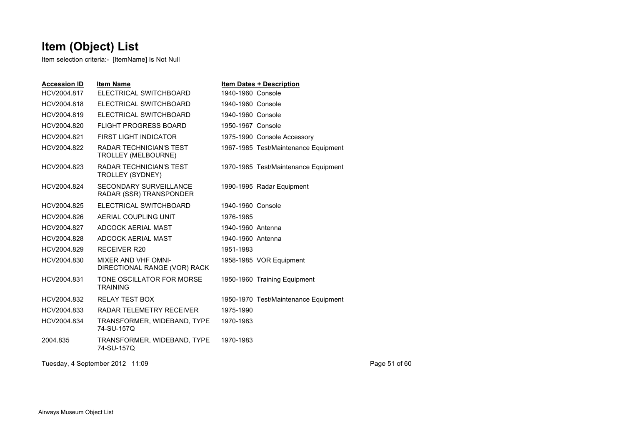Item selection criteria:- [ItemName] Is Not Null

| <b>Accession ID</b> | <b>Item Name</b>                                             | <b>Item Dates + Description</b>      |
|---------------------|--------------------------------------------------------------|--------------------------------------|
| HCV2004.817         | ELECTRICAL SWITCHBOARD                                       | 1940-1960 Console                    |
| HCV2004.818         | ELECTRICAL SWITCHBOARD                                       | 1940-1960 Console                    |
| HCV2004.819         | ELECTRICAL SWITCHBOARD                                       | 1940-1960 Console                    |
| HCV2004.820         | <b>FLIGHT PROGRESS BOARD</b>                                 | 1950-1967 Console                    |
| HCV2004.821         | <b>FIRST LIGHT INDICATOR</b>                                 | 1975-1990 Console Accessory          |
| HCV2004.822         | <b>RADAR TECHNICIAN'S TEST</b><br><b>TROLLEY (MELBOURNE)</b> | 1967-1985 Test/Maintenance Equipment |
| HCV2004.823         | <b>RADAR TECHNICIAN'S TEST</b><br>TROLLEY (SYDNEY)           | 1970-1985 Test/Maintenance Equipment |
| HCV2004.824         | <b>SECONDARY SURVEILLANCE</b><br>RADAR (SSR) TRANSPONDER     | 1990-1995 Radar Equipment            |
| HCV2004.825         | ELECTRICAL SWITCHBOARD                                       | 1940-1960 Console                    |
| HCV2004.826         | AERIAL COUPLING UNIT                                         | 1976-1985                            |
| HCV2004.827         | ADCOCK AERIAL MAST                                           | 1940-1960 Antenna                    |
| HCV2004.828         | ADCOCK AERIAL MAST                                           | 1940-1960 Antenna                    |
| HCV2004.829         | <b>RECEIVER R20</b>                                          | 1951-1983                            |
| HCV2004.830         | <b>MIXER AND VHF OMNI-</b><br>DIRECTIONAL RANGE (VOR) RACK   | 1958-1985 VOR Equipment              |
| HCV2004.831         | TONE OSCILLATOR FOR MORSE<br><b>TRAINING</b>                 | 1950-1960 Training Equipment         |
| HCV2004.832         | <b>RELAY TEST BOX</b>                                        | 1950-1970 Test/Maintenance Equipment |
| HCV2004.833         | RADAR TELEMETRY RECEIVER                                     | 1975-1990                            |
| HCV2004.834         | TRANSFORMER, WIDEBAND, TYPE<br>74-SU-157Q                    | 1970-1983                            |
| 2004.835            | TRANSFORMER, WIDEBAND, TYPE<br>74-SU-157Q                    | 1970-1983                            |

Tuesday, 4 September 2012 11:09 Page 51 of 60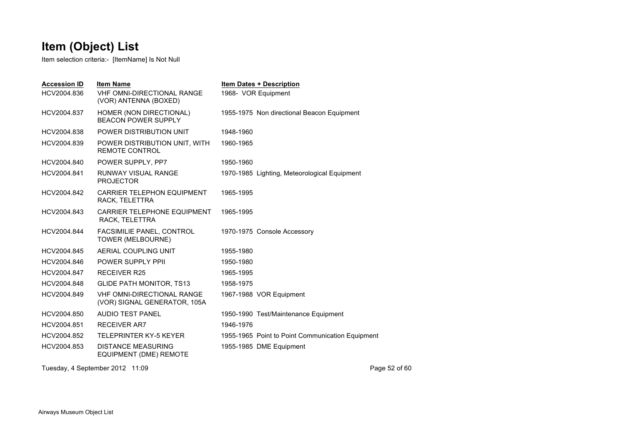Item selection criteria:- [ItemName] Is Not Null

| <b>Accession ID</b><br>HCV2004.836 | <b>Item Name</b><br><b>VHF OMNI-DIRECTIONAL RANGE</b><br>(VOR) ANTENNA (BOXED) | <b>Item Dates + Description</b><br>1968- VOR Equipment |
|------------------------------------|--------------------------------------------------------------------------------|--------------------------------------------------------|
| HCV2004.837                        | HOMER (NON DIRECTIONAL)<br><b>BEACON POWER SUPPLY</b>                          | 1955-1975 Non directional Beacon Equipment             |
| HCV2004.838                        | POWER DISTRIBUTION UNIT                                                        | 1948-1960                                              |
| HCV2004.839                        | POWER DISTRIBUTION UNIT, WITH<br><b>REMOTE CONTROL</b>                         | 1960-1965                                              |
| HCV2004.840                        | POWER SUPPLY, PP7                                                              | 1950-1960                                              |
| HCV2004.841                        | RUNWAY VISUAL RANGE<br><b>PROJECTOR</b>                                        | 1970-1985 Lighting, Meteorological Equipment           |
| HCV2004.842                        | <b>CARRIER TELEPHON EQUIPMENT</b><br>RACK, TELETTRA                            | 1965-1995                                              |
| HCV2004.843                        | CARRIER TELEPHONE EQUIPMENT<br>RACK, TELETTRA                                  | 1965-1995                                              |
| HCV2004.844                        | FACSIMILIE PANEL, CONTROL<br>TOWER (MELBOURNE)                                 | 1970-1975 Console Accessory                            |
| HCV2004.845                        | AERIAL COUPLING UNIT                                                           | 1955-1980                                              |
| HCV2004.846                        | <b>POWER SUPPLY PPIL</b>                                                       | 1950-1980                                              |
| HCV2004.847                        | <b>RECEIVER R25</b>                                                            | 1965-1995                                              |
| HCV2004.848                        | <b>GLIDE PATH MONITOR, TS13</b>                                                | 1958-1975                                              |
| HCV2004.849                        | <b>VHF OMNI-DIRECTIONAL RANGE</b><br>(VOR) SIGNAL GENERATOR, 105A              | 1967-1988 VOR Equipment                                |
| HCV2004.850                        | <b>AUDIO TEST PANEL</b>                                                        | 1950-1990 Test/Maintenance Equipment                   |
| HCV2004.851                        | <b>RECEIVER AR7</b>                                                            | 1946-1976                                              |
| HCV2004.852                        | <b>TELEPRINTER KY-5 KEYER</b>                                                  | 1955-1965 Point to Point Communication Equipment       |
| HCV2004.853                        | <b>DISTANCE MEASURING</b><br>EQUIPMENT (DME) REMOTE                            | 1955-1985 DME Equipment                                |

Tuesday, 4 September 2012 11:09 Page 52 of 60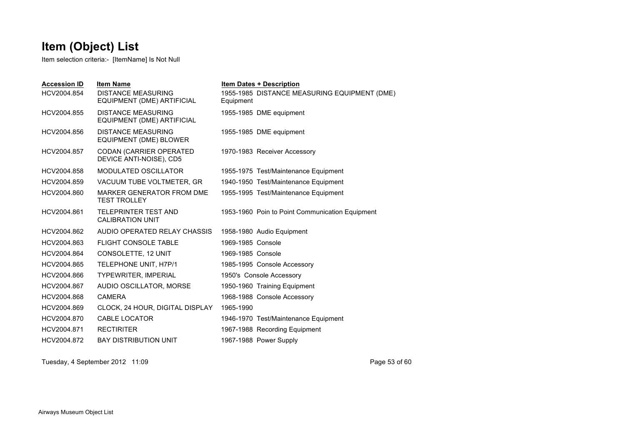Item selection criteria:- [ItemName] Is Not Null

| <b>Accession ID</b><br>HCV2004.854 | <b>Item Name</b><br><b>DISTANCE MEASURING</b>              | <b>Item Dates + Description</b><br>1955-1985 DISTANCE MEASURING EQUIPMENT (DME) |
|------------------------------------|------------------------------------------------------------|---------------------------------------------------------------------------------|
|                                    | EQUIPMENT (DME) ARTIFICIAL                                 | Equipment                                                                       |
| HCV2004.855                        | <b>DISTANCE MEASURING</b><br>EQUIPMENT (DME) ARTIFICIAL    | 1955-1985 DME equipment                                                         |
| HCV2004.856                        | <b>DISTANCE MEASURING</b><br>EQUIPMENT (DME) BLOWER        | 1955-1985 DME equipment                                                         |
| HCV2004.857                        | <b>CODAN (CARRIER OPERATED)</b><br>DEVICE ANTI-NOISE), CD5 | 1970-1983 Receiver Accessory                                                    |
| HCV2004.858                        | <b>MODULATED OSCILLATOR</b>                                | 1955-1975 Test/Maintenance Equipment                                            |
| HCV2004.859                        | VACUUM TUBE VOLTMETER, GR                                  | 1940-1950 Test/Maintenance Equipment                                            |
| HCV2004.860                        | <b>MARKER GENERATOR FROM DME</b><br><b>TEST TROLLEY</b>    | 1955-1995 Test/Maintenance Equipment                                            |
| HCV2004.861                        | <b>TELEPRINTER TEST AND</b><br><b>CALIBRATION UNIT</b>     | 1953-1960 Poin to Point Communication Equipment                                 |
| HCV2004.862                        | AUDIO OPERATED RELAY CHASSIS                               | 1958-1980 Audio Equipment                                                       |
| HCV2004.863                        | <b>FLIGHT CONSOLE TABLE</b>                                | 1969-1985 Console                                                               |
| HCV2004.864                        | CONSOLETTE, 12 UNIT                                        | 1969-1985 Console                                                               |
| HCV2004.865                        | TELEPHONE UNIT, H7P/1                                      | 1985-1995 Console Accessory                                                     |
| HCV2004.866                        | <b>TYPEWRITER, IMPERIAL</b>                                | 1950's Console Accessory                                                        |
| HCV2004.867                        | AUDIO OSCILLATOR, MORSE                                    | 1950-1960 Training Equipment                                                    |
| HCV2004.868                        | <b>CAMERA</b>                                              | 1968-1988 Console Accessory                                                     |
| HCV2004.869                        | CLOCK, 24 HOUR, DIGITAL DISPLAY                            | 1965-1990                                                                       |
| HCV2004.870                        | CABLE LOCATOR                                              | 1946-1970 Test/Maintenance Equipment                                            |
| HCV2004.871                        | <b>RECTIRITER</b>                                          | 1967-1988 Recording Equipment                                                   |
| HCV2004.872                        | <b>BAY DISTRIBUTION UNIT</b>                               | 1967-1988 Power Supply                                                          |

Tuesday, 4 September 2012 11:09 Page 53 of 60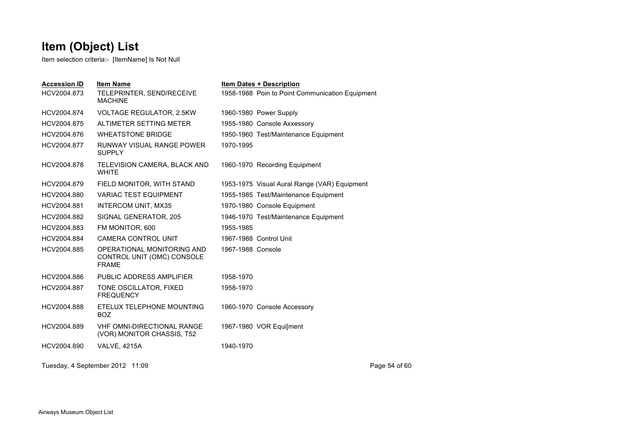Item selection criteria:- [ItemName] Is Not Null

| <b>Accession ID</b><br>HCV2004.873 | <b>Item Name</b><br>TELEPRINTER, SEND/RECEIVE<br><b>MACHINE</b>          |                   | <b>Item Dates + Description</b><br>1958-1988 Poin to Point Communication Equipment |
|------------------------------------|--------------------------------------------------------------------------|-------------------|------------------------------------------------------------------------------------|
| HCV2004.874                        | <b>VOLTAGE REGULATOR, 2.5KW</b>                                          |                   | 1960-1980 Power Supply                                                             |
| HCV2004.875                        | ALTIMETER SETTING METER                                                  |                   | 1955-1980 Console Axxessory                                                        |
| HCV2004.876                        | <b>WHEATSTONE BRIDGE</b>                                                 |                   | 1950-1960 Test/Maintenance Equipment                                               |
| HCV2004.877                        | RUNWAY VISUAL RANGE POWER<br><b>SUPPLY</b>                               | 1970-1995         |                                                                                    |
| HCV2004.878                        | TELEVISION CAMERA, BLACK AND<br><b>WHITE</b>                             |                   | 1960-1970 Recording Equipment                                                      |
| HCV2004.879                        | FIELD MONITOR, WITH STAND                                                |                   | 1953-1975 Visual Aural Range (VAR) Equipment                                       |
| HCV2004.880                        | <b>VARIAC TEST EQUIPMENT</b>                                             |                   | 1955-1985 Test/Maintenance Equipment                                               |
| HCV2004.881                        | INTERCOM UNIT, MX35                                                      |                   | 1970-1980 Console Equipment                                                        |
| HCV2004.882                        | SIGNAL GENERATOR, 205                                                    |                   | 1946-1970 Test/Maintenance Equipment                                               |
| HCV2004.883                        | FM MONITOR, 600                                                          | 1955-1985         |                                                                                    |
| HCV2004.884                        | <b>CAMERA CONTROL UNIT</b>                                               |                   | 1967-1988 Control Unit                                                             |
| HCV2004.885                        | OPERATIONAL MONITORING AND<br>CONTROL UNIT (OMC) CONSOLE<br><b>FRAME</b> | 1967-1988 Console |                                                                                    |
| HCV2004.886                        | PUBLIC ADDRESS AMPLIFIER                                                 | 1958-1970         |                                                                                    |
| HCV2004.887                        | TONE OSCILLATOR, FIXED<br><b>FREQUENCY</b>                               | 1958-1970         |                                                                                    |
| HCV2004.888                        | ETELUX TELEPHONE MOUNTING<br><b>BOZ</b>                                  |                   | 1960-1970 Console Accessory                                                        |
| HCV2004.889                        | VHF OMNI-DIRECTIONAL RANGE<br>(VOR) MONITOR CHASSIS, T52                 |                   | 1967-1980 VOR Equi[ment                                                            |
| HCV2004.890                        | <b>VALVE, 4215A</b>                                                      | 1940-1970         |                                                                                    |
|                                    |                                                                          |                   |                                                                                    |

Tuesday, 4 September 2012 11:09 Page 54 of 60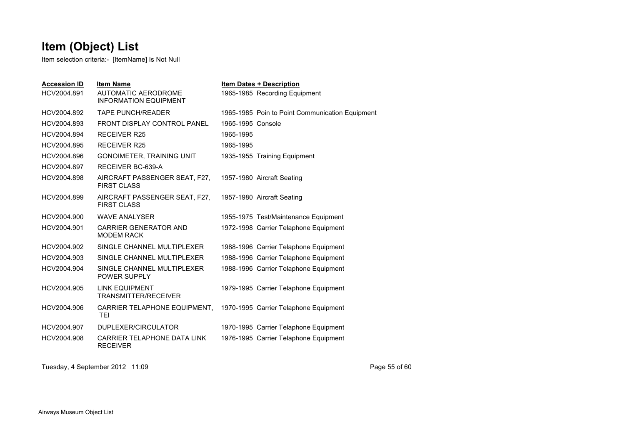Item selection criteria:- [ItemName] Is Not Null

| <b>Accession ID</b> | <b>Item Name</b>                                           |                   | <b>Item Dates + Description</b>                 |
|---------------------|------------------------------------------------------------|-------------------|-------------------------------------------------|
| HCV2004.891         | <b>AUTOMATIC AERODROME</b><br><b>INFORMATION EQUIPMENT</b> |                   | 1965-1985 Recording Equipment                   |
| HCV2004.892         | <b>TAPE PUNCH/READER</b>                                   |                   | 1965-1985 Poin to Point Communication Equipment |
| HCV2004.893         | <b>FRONT DISPLAY CONTROL PANEL</b>                         | 1965-1995 Console |                                                 |
| HCV2004.894         | <b>RECEIVER R25</b>                                        | 1965-1995         |                                                 |
| HCV2004.895         | <b>RECEIVER R25</b>                                        | 1965-1995         |                                                 |
| HCV2004.896         | <b>GONOIMETER, TRAINING UNIT</b>                           |                   | 1935-1955 Training Equipment                    |
| HCV2004.897         | RECEIVER BC-639-A                                          |                   |                                                 |
| HCV2004.898         | AIRCRAFT PASSENGER SEAT, F27,<br><b>FIRST CLASS</b>        |                   | 1957-1980 Aircraft Seating                      |
| HCV2004.899         | AIRCRAFT PASSENGER SEAT, F27,<br><b>FIRST CLASS</b>        |                   | 1957-1980 Aircraft Seating                      |
| HCV2004.900         | <b>WAVE ANALYSER</b>                                       |                   | 1955-1975 Test/Maintenance Equipment            |
| HCV2004.901         | <b>CARRIER GENERATOR AND</b><br><b>MODEM RACK</b>          |                   | 1972-1998 Carrier Telaphone Equipment           |
| HCV2004.902         | SINGLE CHANNEL MULTIPLEXER                                 |                   | 1988-1996 Carrier Telaphone Equipment           |
| HCV2004.903         | SINGLE CHANNEL MULTIPLEXER                                 |                   | 1988-1996 Carrier Telaphone Equipment           |
| HCV2004.904         | SINGLE CHANNEL MULTIPLEXER<br>POWER SUPPLY                 |                   | 1988-1996 Carrier Telaphone Equipment           |
| HCV2004.905         | <b>LINK EQUIPMENT</b><br>TRANSMITTER/RECEIVER              |                   | 1979-1995 Carrier Telaphone Equipment           |
| HCV2004.906         | CARRIER TELAPHONE EQUIPMENT,<br><b>TEI</b>                 |                   | 1970-1995 Carrier Telaphone Equipment           |
| HCV2004.907         | DUPLEXER/CIRCULATOR                                        |                   | 1970-1995 Carrier Telaphone Equipment           |
| HCV2004.908         | CARRIER TELAPHONE DATA LINK<br><b>RECEIVER</b>             |                   | 1976-1995 Carrier Telaphone Equipment           |
|                     |                                                            |                   |                                                 |

Tuesday, 4 September 2012 11:09 Page 55 of 60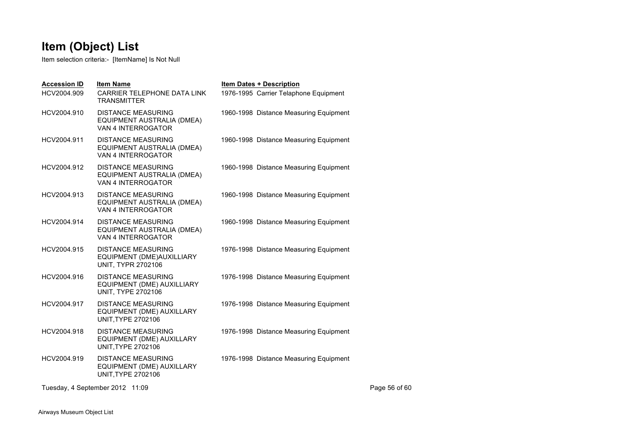Item selection criteria:- [ItemName] Is Not Null

| <b>Accession ID</b> | <b>Item Name</b>                                                                     | <b>Item Dates + Description</b>        |
|---------------------|--------------------------------------------------------------------------------------|----------------------------------------|
| HCV2004.909         | CARRIER TELEPHONE DATA LINK<br><b>TRANSMITTER</b>                                    | 1976-1995 Carrier Telaphone Equipment  |
| HCV2004.910         | <b>DISTANCE MEASURING</b><br>EQUIPMENT AUSTRALIA (DMEA)<br>VAN 4 INTERROGATOR        | 1960-1998 Distance Measuring Equipment |
| HCV2004.911         | <b>DISTANCE MEASURING</b><br>EQUIPMENT AUSTRALIA (DMEA)<br>VAN 4 INTERROGATOR        | 1960-1998 Distance Measuring Equipment |
| HCV2004.912         | <b>DISTANCE MEASURING</b><br>EQUIPMENT AUSTRALIA (DMEA)<br>VAN 4 INTERROGATOR        | 1960-1998 Distance Measuring Equipment |
| HCV2004.913         | <b>DISTANCE MEASURING</b><br>EQUIPMENT AUSTRALIA (DMEA)<br>VAN 4 INTERROGATOR        | 1960-1998 Distance Measuring Equipment |
| HCV2004.914         | <b>DISTANCE MEASURING</b><br>EQUIPMENT AUSTRALIA (DMEA)<br>VAN 4 INTERROGATOR        | 1960-1998 Distance Measuring Equipment |
| HCV2004.915         | <b>DISTANCE MEASURING</b><br>EQUIPMENT (DME)AUXILLIARY<br><b>UNIT, TYPR 2702106</b>  | 1976-1998 Distance Measuring Equipment |
| HCV2004.916         | <b>DISTANCE MEASURING</b><br>EQUIPMENT (DME) AUXILLIARY<br><b>UNIT, TYPE 2702106</b> | 1976-1998 Distance Measuring Equipment |
| HCV2004.917         | <b>DISTANCE MEASURING</b><br>EQUIPMENT (DME) AUXILLARY<br><b>UNIT, TYPE 2702106</b>  | 1976-1998 Distance Measuring Equipment |
| HCV2004.918         | <b>DISTANCE MEASURING</b><br>EQUIPMENT (DME) AUXILLARY<br><b>UNIT, TYPE 2702106</b>  | 1976-1998 Distance Measuring Equipment |
| HCV2004.919         | <b>DISTANCE MEASURING</b><br>EQUIPMENT (DME) AUXILLARY<br><b>UNIT, TYPE 2702106</b>  | 1976-1998 Distance Measuring Equipment |

Tuesday, 4 September 2012 11:09 Page 56 of 60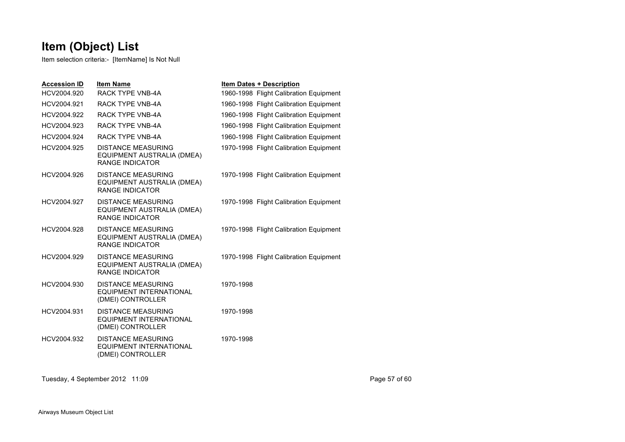Item selection criteria:- [ItemName] Is Not Null

| <b>Accession ID</b> | <b>Item Name</b>                                                                  | <b>Item Dates + Description</b>        |
|---------------------|-----------------------------------------------------------------------------------|----------------------------------------|
| HCV2004.920         | RACK TYPE VNB-4A                                                                  | 1960-1998 Flight Calibration Equipment |
| HCV2004.921         | RACK TYPE VNB-4A                                                                  | 1960-1998 Flight Calibration Equipment |
| HCV2004.922         | <b>RACK TYPE VNB-4A</b>                                                           | 1960-1998 Flight Calibration Equipment |
| HCV2004.923         | <b>RACK TYPE VNB-4A</b>                                                           | 1960-1998 Flight Calibration Equipment |
| HCV2004.924         | <b>RACK TYPE VNB-4A</b>                                                           | 1960-1998 Flight Calibration Equipment |
| HCV2004.925         | <b>DISTANCE MEASURING</b><br>EQUIPMENT AUSTRALIA (DMEA)<br><b>RANGE INDICATOR</b> | 1970-1998 Flight Calibration Equipment |
| HCV2004.926         | <b>DISTANCE MEASURING</b><br>EQUIPMENT AUSTRALIA (DMEA)<br><b>RANGE INDICATOR</b> | 1970-1998 Flight Calibration Equipment |
| HCV2004.927         | <b>DISTANCE MEASURING</b><br>EQUIPMENT AUSTRALIA (DMEA)<br><b>RANGE INDICATOR</b> | 1970-1998 Flight Calibration Equipment |
| HCV2004.928         | <b>DISTANCE MEASURING</b><br>EQUIPMENT AUSTRALIA (DMEA)<br><b>RANGE INDICATOR</b> | 1970-1998 Flight Calibration Equipment |
| HCV2004.929         | <b>DISTANCE MEASURING</b><br>EQUIPMENT AUSTRALIA (DMEA)<br><b>RANGE INDICATOR</b> | 1970-1998 Flight Calibration Equipment |
| HCV2004.930         | <b>DISTANCE MEASURING</b><br><b>EQUIPMENT INTERNATIONAL</b><br>(DMEI) CONTROLLER  | 1970-1998                              |
| HCV2004.931         | <b>DISTANCE MEASURING</b><br><b>EQUIPMENT INTERNATIONAL</b><br>(DMEI) CONTROLLER  | 1970-1998                              |
| HCV2004.932         | <b>DISTANCE MEASURING</b><br><b>EQUIPMENT INTERNATIONAL</b><br>(DMEI) CONTROLLER  | 1970-1998                              |

Tuesday, 4 September 2012 11:09 Page 57 of 60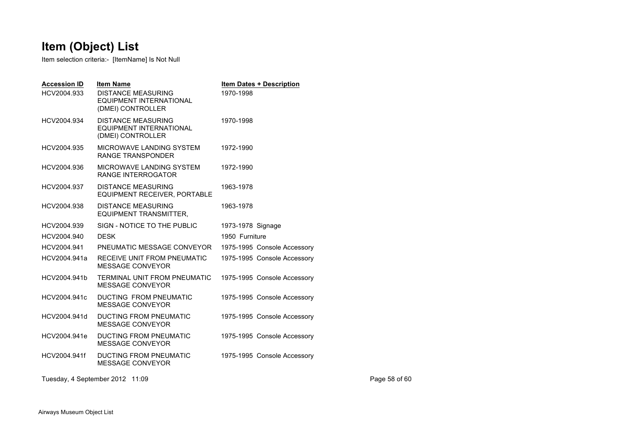Item selection criteria:- [ItemName] Is Not Null

| <b>Accession ID</b><br>HCV2004.933 | <b>Item Name</b><br><b>DISTANCE MEASURING</b><br>EQUIPMENT INTERNATIONAL<br>(DMEI) CONTROLLER | <b>Item Dates + Description</b><br>1970-1998 |
|------------------------------------|-----------------------------------------------------------------------------------------------|----------------------------------------------|
| HCV2004.934                        | <b>DISTANCE MEASURING</b><br><b>EQUIPMENT INTERNATIONAL</b><br>(DMEI) CONTROLLER              | 1970-1998                                    |
| HCV2004.935                        | MICROWAVE LANDING SYSTEM<br><b>RANGE TRANSPONDER</b>                                          | 1972-1990                                    |
| HCV2004.936                        | MICROWAVE LANDING SYSTEM<br><b>RANGE INTERROGATOR</b>                                         | 1972-1990                                    |
| HCV2004.937                        | <b>DISTANCE MEASURING</b><br>EQUIPMENT RECEIVER, PORTABLE                                     | 1963-1978                                    |
| HCV2004.938                        | <b>DISTANCE MEASURING</b><br><b>EQUIPMENT TRANSMITTER,</b>                                    | 1963-1978                                    |
| HCV2004.939                        | SIGN - NOTICE TO THE PUBLIC                                                                   | 1973-1978 Signage                            |
| HCV2004.940                        | <b>DESK</b>                                                                                   | 1950 Furniture                               |
| HCV2004.941                        | PNEUMATIC MESSAGE CONVEYOR                                                                    | 1975-1995 Console Accessory                  |
| HCV2004.941a                       | RECEIVE UNIT FROM PNEUMATIC<br><b>MESSAGE CONVEYOR</b>                                        | 1975-1995 Console Accessory                  |
| HCV2004.941b                       | TERMINAL UNIT FROM PNEUMATIC<br>MESSAGE CONVEYOR                                              | 1975-1995 Console Accessory                  |
| HCV2004.941c                       | DUCTING FROM PNEUMATIC<br>MESSAGE CONVEYOR                                                    | 1975-1995 Console Accessory                  |
| HCV2004.941d                       | <b>DUCTING FROM PNEUMATIC</b><br><b>MESSAGE CONVEYOR</b>                                      | 1975-1995 Console Accessory                  |
| HCV2004.941e                       | <b>DUCTING FROM PNEUMATIC</b><br><b>MESSAGE CONVEYOR</b>                                      | 1975-1995 Console Accessory                  |
| HCV2004.941f                       | <b>DUCTING FROM PNEUMATIC</b><br><b>MESSAGE CONVEYOR</b>                                      | 1975-1995 Console Accessory                  |

Tuesday, 4 September 2012 11:09 Page 58 of 60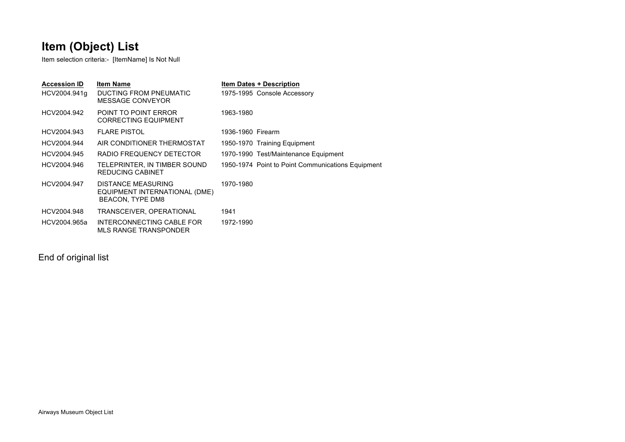Item selection criteria:- [ItemName] Is Not Null

| <b>Accession ID</b> | <b>Item Name</b>                                                        | <b>Item Dates + Description</b>                   |
|---------------------|-------------------------------------------------------------------------|---------------------------------------------------|
| HCV2004.941q        | DUCTING FROM PNEUMATIC<br>MESSAGE CONVEYOR                              | 1975-1995 Console Accessory                       |
| HCV2004.942         | POINT TO POINT ERROR<br><b>CORRECTING EQUIPMENT</b>                     | 1963-1980                                         |
| HCV2004.943         | <b>FLARE PISTOL</b>                                                     | 1936-1960 Firearm                                 |
| HCV2004.944         | AIR CONDITIONER THERMOSTAT                                              | 1950-1970 Training Equipment                      |
| HCV2004.945         | RADIO FREQUENCY DETECTOR                                                | 1970-1990 Test/Maintenance Equipment              |
| HCV2004.946         | TELEPRINTER, IN TIMBER SOUND<br>REDUCING CABINET                        | 1950-1974 Point to Point Communications Equipment |
| HCV2004.947         | DISTANCE MEASURING<br>EQUIPMENT INTERNATIONAL (DME)<br>BEACON, TYPE DM8 | 1970-1980                                         |
| HCV2004.948         | TRANSCEIVER, OPERATIONAL                                                | 1941                                              |
| HCV2004.965a        | INTERCONNECTING CABLE FOR<br>MLS RANGE TRANSPONDER                      | 1972-1990                                         |

End of original list